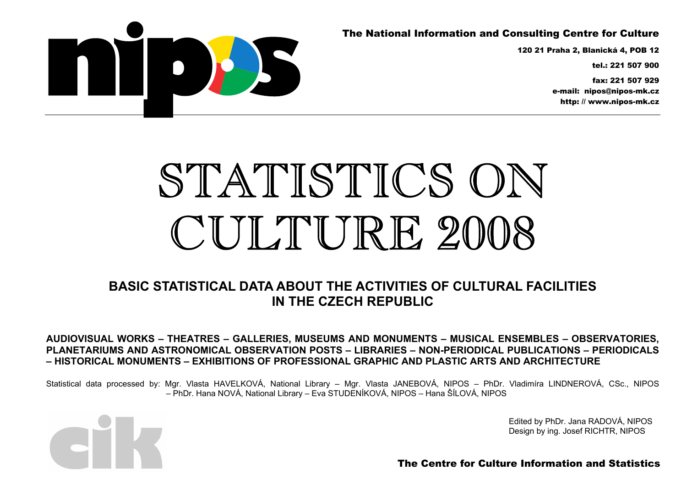## The National Information and Consulting Centre for Culture

120 21 Praha 2, Blanická 4, POB 12

tel.: 221 507 900

fax: 221 507 929 e-mail: nipos@nipos-mk.cz http: // www.nipos-mk.cz



# STATISTICS ON CUITTURE 2008

## **BASIC STATISTICAL DATA ABOUT THE ACTIVITIES OF CULTURAL FACILITIES IN THE CZECH REPUBLIC**

**AUDIOVISUAL WORKS – THEATRES – GALLERIES, MUSEUMS AND MONUMENTS – MUSICAL ENSEMBLES – OBSERVATORIES, PLANETARIUMS AND ASTRONOMICAL OBSERVATION POSTS – LIBRARIES – NON-PERIODICAL PUBLICATIONS – PERIODICALS – HISTORICAL MONUMENTS – EXHIBITIONS OF PROFESSIONAL GRAPHIC AND PLASTIC ARTS AND ARCHITECTURE** 

Statistical data processed by: Mgr. Vlasta HAVELKOVÁ, National Library – Mgr. Vlasta JANEBOVÁ, NIPOS – PhDr. Vladimíra LINDNEROVÁ, CSc., NIPOS – PhDr. Hana NOVÁ, National Library – Eva STUDENÍKOVÁ, NIPOS – Hana ŠÍLOVÁ, NIPOS



Edited by PhDr. Jana RADOVÁ, NIPOS Design by ing. Josef RICHTR, NIPOS

The Centre for Culture Information and Statistics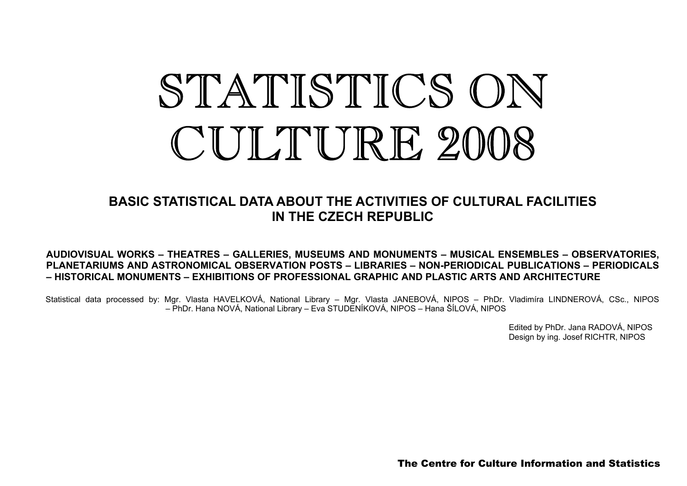# STATISTICS ON CUILTURE 2008

## **BASIC STATISTICAL DATA ABOUT THE ACTIVITIES OF CULTURAL FACILITIES IN THE CZECH REPUBLIC**

#### **AUDIOVISUAL WORKS – THEATRES – GALLERIES, MUSEUMS AND MONUMENTS – MUSICAL ENSEMBLES – OBSERVATORIES, PLANETARIUMS AND ASTRONOMICAL OBSERVATION POSTS – LIBRARIES – NON-PERIODICAL PUBLICATIONS – PERIODICALS – HISTORICAL MONUMENTS – EXHIBITIONS OF PROFESSIONAL GRAPHIC AND PLASTIC ARTS AND ARCHITECTURE**

Statistical data processed by: Mgr. Vlasta HAVELKOVÁ, National Library – Mgr. Vlasta JANEBOVÁ, NIPOS – PhDr. Vladimíra LINDNEROVÁ, CSc., NIPOS – PhDr. Hana NOVÁ, National Library – Eva STUDENÍKOVÁ, NIPOS – Hana ŠÍLOVÁ, NIPOS

> Edited by PhDr. Jana RADOVÁ, NIPOS Design by ing. Josef RICHTR, NIPOS

The Centre for Culture Information and Statistics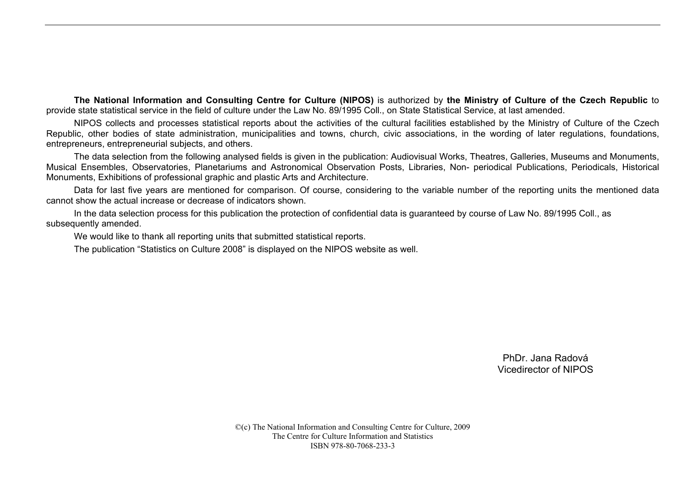**The National Information and Consulting Centre for Culture (NIPOS)** is authorized by **the Ministry of Culture of the Czech Republic** to provide state statistical service in the field of culture under the Law No. 89/1995 Coll., on State Statistical Service, at last amended.

NIPOS collects and processes statistical reports about the activities of the cultural facilities established by the Ministry of Culture of the Czech Republic, other bodies of state administration, municipalities and towns, church, civic associations, in the wording of later regulations, foundations, entrepreneurs, entrepreneurial subjects, and others.

The data selection from the following analysed fields is given in the publication: Audiovisual Works, Theatres, Galleries, Museums and Monuments, Musical Ensembles, Observatories, Planetariums and Astronomical Observation Posts, Libraries, Non- periodical Publications, Periodicals, Historical Monuments, Exhibitions of professional graphic and plastic Arts and Architecture.

Data for last five years are mentioned for comparison. Of course, considering to the variable number of the reporting units the mentioned data cannot show the actual increase or decrease of indicators shown.

In the data selection process for this publication the protection of confidential data is guaranteed by course of Law No. 89/1995 Coll., as subsequently amended.

We would like to thank all reporting units that submitted statistical reports.

The publication "Statistics on Culture 2008" is displayed on the NIPOS website as well.

PhDr. Jana Radová Vicedirector of NIPOS

©(c) The National Information and Consulting Centre for Culture, 2009 The Centre for Culture Information and Statistics ISBN 978-80-7068-233-3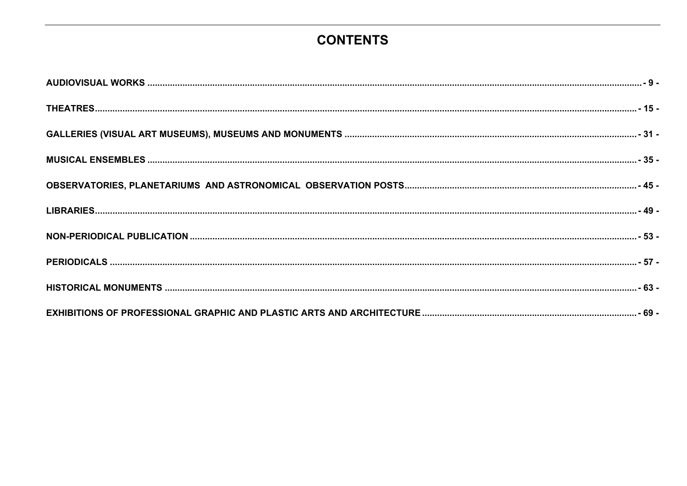# **CONTENTS**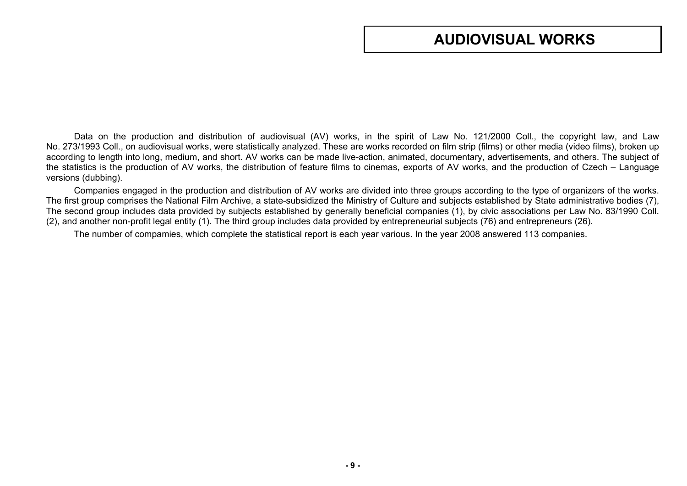# **AUDIOVISUAL WORKS**

<span id="page-8-0"></span>Data on the production and distribution of audiovisual (AV) works, in the spirit of Law No. 121/2000 Coll., the copyright law, and Law No. 273/1993 Coll., on audiovisual works, were statistically analyzed. These are works recorded on film strip (films) or other media (video films), broken up according to length into long, medium, and short. AV works can be made live-action, animated, documentary, advertisements, and others. The subject of the statistics is the production of AV works, the distribution of feature films to cinemas, exports of AV works, and the production of Czech – Language versions (dubbing).

Companies engaged in the production and distribution of AV works are divided into three groups according to the type of organizers of the works. The first group comprises the National Film Archive, a state-subsidized the Ministry of Culture and subjects established by State administrative bodies (7), The second group includes data provided by subjects established by generally beneficial companies (1), by civic associations per Law No. 83/1990 Coll. (2), and another non-profit legal entity (1). The third group includes data provided by entrepreneurial subjects (76) and entrepreneurs (26).

The number of compamies, which complete the statistical report is each year various. In the year 2008 answered 113 companies.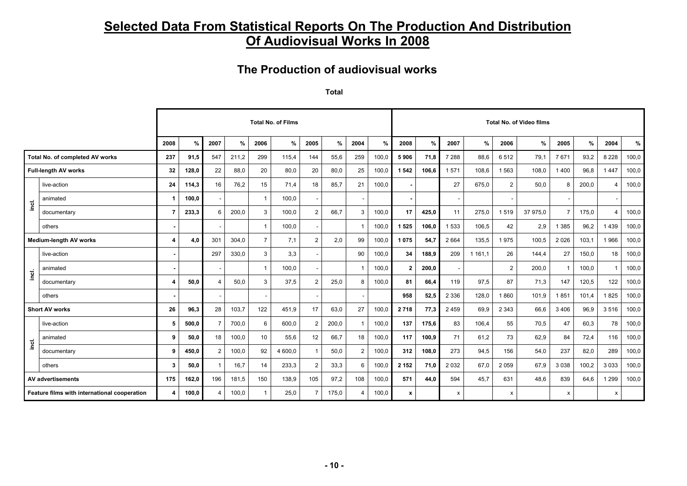## **Selected Data From Statistical Reports On The Production And Distribution Of Audiovisual Works In 2008**

## **The Production of audiovisual works**

**Total** 

|       |                                              |                  |       |                       |       |                 | <b>Total No. of Films</b> |                          |       |                       |       |              |       |                           |             |                           | <b>Total No. of Video films</b> |                |       |                       |       |
|-------|----------------------------------------------|------------------|-------|-----------------------|-------|-----------------|---------------------------|--------------------------|-------|-----------------------|-------|--------------|-------|---------------------------|-------------|---------------------------|---------------------------------|----------------|-------|-----------------------|-------|
|       |                                              | 2008             | $\%$  | 2007                  | %     | 2006            | %                         | 2005                     | %     | 2004                  | %     | 2008         | $\%$  | 2007                      | $\%$        | 2006                      | %                               | 2005           | $\%$  | 2004                  | %     |
|       | Total No. of completed AV works              | 237              | 91,5  | 547                   | 211,2 | 299             | 115,4                     | 144                      | 55,6  | 259                   | 100,0 | 5906         | 71,8  | 7 2 8 8                   | 88,6        | 6512                      | 79,1                            | 7671           | 93,2  | 8 2 2 8               | 100,0 |
|       | <b>Full-length AV works</b>                  | 32               | 128,0 | 22                    | 88,0  | 20              | 80,0                      | 20                       | 80,0  | 25                    | 100,0 | 1 5 4 2      | 106,6 | 1571                      | 108,6       | 1 5 6 3                   | 108,0                           | 1400           | 96,8  | 1447                  | 100,0 |
|       | live-action                                  | 24               | 114,3 | 16                    | 76,2  | 15              | 71.4                      | 18                       | 85,7  | 21                    | 100,0 |              |       | 27                        | 675.0       | $\overline{2}$            | 50,0                            | 8              | 200.0 | $\boldsymbol{\Delta}$ | 100,0 |
| inci. | animated                                     |                  | 100,0 |                       |       | $\mathbf{1}$    | 100,0                     | $\sim$                   |       |                       |       |              |       | $\overline{\phantom{a}}$  |             |                           |                                 |                |       |                       |       |
|       | documentary                                  | $\overline{7}$   | 233,3 | 6                     | 200,0 | $\mathbf{3}$    | 100,0                     | $\overline{2}$           | 66,7  | 3                     | 100,0 | 17           | 425,0 | 11                        | 275,0       | 1519                      | 37 975,0                        | $\overline{7}$ | 175,0 | $\overline{4}$        | 100,0 |
|       | others                                       |                  |       |                       |       | $\overline{1}$  | 100,0                     | $\sim$                   |       |                       | 100,0 | 1 5 2 5      | 106,0 | 1533                      | 106,5       | 42                        | 2,9                             | 385<br>1       | 96,2  | 1439                  | 100,0 |
|       | <b>Medium-length AV works</b>                | 4                | 4,0   | 301                   | 304,0 | $\overline{7}$  | 7,1                       | $\overline{2}$           | 2,0   | 99                    | 100,0 | 1075         | 54,7  | 2 6 6 4                   | 135.5       | 1975                      | 100,5                           | 2026           | 103,1 | 1966                  | 100,0 |
|       | live-action                                  |                  |       | 297                   | 330,0 | 3               | 3,3                       | $\overline{\phantom{a}}$ |       | 90                    | 100,0 | 34           | 188,9 | 209                       | 1 1 6 1 , 1 | 26                        | 144,4                           | 27             | 150,0 | 18                    | 100,0 |
|       | animated                                     |                  |       |                       |       | $\overline{1}$  | 100,0                     |                          |       |                       | 100,0 | $\mathbf{2}$ | 200,0 | $\overline{\phantom{a}}$  |             | 2                         | 200,0                           | $\mathbf{1}$   | 100,0 |                       | 100,0 |
| incl. | documentary                                  | $\boldsymbol{A}$ | 50,0  | $\boldsymbol{\Delta}$ | 50,0  | 3               | 37,5                      | $\overline{2}$           | 25,0  | 8                     | 100,0 | 81           | 66,4  | 119                       | 97,5        | 87                        | 71,3                            | 147            | 120,5 | 122                   | 100,0 |
|       | others                                       |                  |       |                       |       |                 |                           |                          |       |                       |       | 958          | 52,5  | 2 3 3 6                   | 128,0       | 1860                      | 101,9                           | 1851           | 101,4 | 1825                  | 100,0 |
|       | <b>Short AV works</b>                        | 26               | 96.3  | 28                    | 103,7 | 122             | 451,9                     | 17                       | 63,0  | 27                    | 100,0 | 2718         | 77,3  | 2459                      | 69,9        | 2 3 4 3                   | 66,6                            | 3406           | 96.9  | 3516                  | 100,0 |
|       | live-action                                  | 5                | 500,0 | $\overline{7}$        | 700,0 | 6               | 600,0                     | $\overline{2}$           | 200,0 |                       | 100,0 | 137          | 175,6 | 83                        | 106,4       | 55                        | 70,5                            | 47             | 60,3  | 78                    | 100,0 |
|       | animated                                     | 9                | 50,0  | 18                    | 100,0 | 10 <sup>1</sup> | 55,6                      | 12 <sup>°</sup>          | 66,7  | 18                    | 100,0 | 117          | 100,9 | 71                        | 61,2        | 73                        | 62,9                            | 84             | 72,4  | 116                   | 100,0 |
| inci. | documentary                                  | 9                | 450,0 | $\overline{2}$        | 100,0 | 92              | 4 600,0                   |                          | 50,0  | 2                     | 100,0 | 312          | 108,0 | 273                       | 94,5        | 156                       | 54,0                            | 237            | 82,0  | 289                   | 100,0 |
|       | others                                       | 3                | 50,0  | $\overline{1}$        | 16,7  | 14              | 233,3                     | $\overline{2}$           | 33,3  | 6                     | 100,0 | 2 1 5 2      | 71,0  | 2 0 3 2                   | 67.0        | 2 0 5 9                   | 67,9                            | 3 0 3 8        | 100,2 | 3 0 3 3               | 100,0 |
|       | <b>AV advertisements</b>                     | 175              | 162,0 | 196                   | 181,5 | 150             | 138,9                     | 105                      | 97,2  | 108                   | 100,0 | 571          | 44.0  | 594                       | 45,7        | 631                       | 48,6                            | 839            | 64,6  | 1 2 9 9               | 100,0 |
|       | Feature films with international cooperation | 4                | 100,0 | $\overline{4}$        | 100,0 | $\mathbf{1}$    | 25,0                      | $\overline{7}$           | 175,0 | $\boldsymbol{\Delta}$ | 100,0 | $\pmb{\chi}$ |       | $\boldsymbol{\mathsf{x}}$ |             | $\boldsymbol{\mathsf{x}}$ |                                 | X              |       | X                     |       |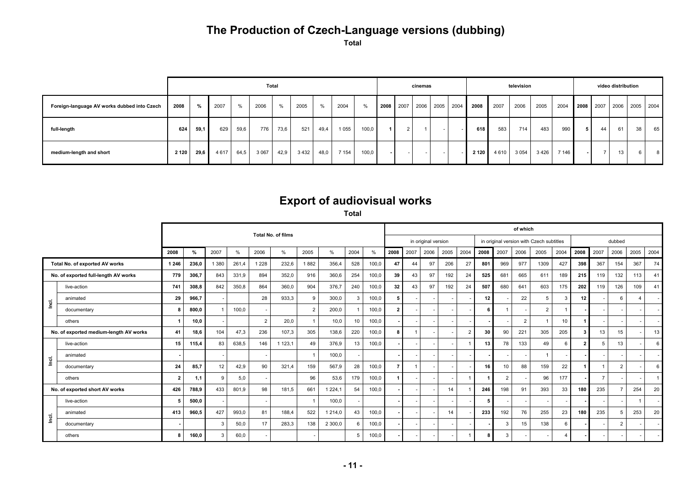# **The Production of Czech-Language versions (dubbing)**

**Total** 

|                                             |         |      |         |      |         | Total |         |      |         |               |  | cinemas |        |                          |         |      | television |      |         |           | video distribution |    |                |
|---------------------------------------------|---------|------|---------|------|---------|-------|---------|------|---------|---------------|--|---------|--------|--------------------------|---------|------|------------|------|---------|-----------|--------------------|----|----------------|
| Foreign-language AV works dubbed into Czech | 2008    | %    | 2007    | $\%$ | 2006    | $\%$  | 2005    | $\%$ | 2004    | $\frac{9}{6}$ |  |         |        | 2008 2007 2006 2005 2004 | 2008    | 2007 | 2006       | 2005 | 2004    | 2008 2007 |                    |    | 2006 2005 2004 |
| full-length                                 | 624     | 59,1 | 629     | 59,6 | 776     | 73,6  | 521     | 49,4 | 1 0 5 5 | 100,0         |  |         | $\sim$ | $ -$                     | 618     | 583  | 714        | 483  | 990     | 44        | 61                 | 38 | 65             |
| medium-length and short                     | 2 1 2 0 | 29,6 | 4 6 1 7 | 64,5 | 3 0 6 7 | 42.9  | 3 4 3 2 | 48,0 | 7 1 5 4 | 100,0         |  |         | $\sim$ |                          | 2 1 2 0 | 4610 | 3 0 5 4    | 3426 | 7 1 4 6 |           | 13 <sup>1</sup>    | 6. | 8              |

## **Export of audiovisual works**

**Total**

|                                |                                        |                         |       |         |               |                | <b>Total No. of films</b> |                |         |              |       |                 |      |                     |                          |                |      |      | of which       |                                          |                 |                |                |        |      |                          |
|--------------------------------|----------------------------------------|-------------------------|-------|---------|---------------|----------------|---------------------------|----------------|---------|--------------|-------|-----------------|------|---------------------|--------------------------|----------------|------|------|----------------|------------------------------------------|-----------------|----------------|----------------|--------|------|--------------------------|
|                                |                                        |                         |       |         |               |                |                           |                |         |              |       |                 |      | in original version |                          |                |      |      |                | in original version with Czech subtitles |                 |                |                | dubbed |      |                          |
|                                |                                        | 2008                    | %     | 2007    | $\frac{0}{0}$ | 2006           | %                         | 2005           | %       | 2004         | $\%$  | 2008            | 2007 | 2006                | 2005                     | 2004           | 2008 | 2007 | 2006           | 2005                                     | 2004            | 2008           | 2007           | 2006   | 2005 | 2004                     |
|                                | Total No. of exported AV works         | 1 2 4 6                 | 236,0 | 1 3 8 0 | 261,4         | 1 2 2 8        | 232,6                     | 1882           | 356,4   | 528          | 100,0 | 47              | 44   | 97                  | 206                      | 27             | 801  | 969  | 977            | 1309                                     | 427             | 398            | 367            | 154    | 367  | 74                       |
|                                | No. of exported full-length AV works   | 779                     | 306,7 | 843     | 331,9         | 894            | 352,0                     | 916            | 360,6   | 254          | 100,0 | 39 <sup>1</sup> | 43   | 97                  | 192                      | 24             | 525  | 681  | 665            | 611                                      | 189             | 215            | 119            | 132    | 113  | 41                       |
|                                | live-action                            | 741                     | 308,8 | 842     | 350,8         | 864            | 360,0                     | 904            | 376,7   | 240          | 100,0 | 32 <sub>1</sub> | 43   | 97                  | 192                      | 24             | 507  | 680  | 641            | 603                                      | 175             | 202            | 119            | 126    | 109  | 41                       |
| $\vec{\underline{\mathsf{e}}}$ | animated                               | 29                      | 966,7 |         |               | 28             | 933,3                     | 9              | 300,0   | $\mathbf{3}$ | 100,0 | 5 <sup>1</sup>  |      |                     | $\sim$                   |                | 12 I |      | 22             | 5                                        | $\mathbf{3}$    | 12             |                |        | 4    |                          |
|                                | documentary                            |                         | 800,0 |         | 100,0         |                |                           | $\overline{2}$ | 200,0   |              | 100,0 | $\overline{2}$  |      |                     | $\sim$                   |                | 6.   |      |                | $\overline{2}$                           |                 |                |                |        |      | $\overline{a}$           |
|                                | others                                 |                         | 10,0  |         |               | $\overline{2}$ | 20,0                      |                | 10,0    | 10           | 100,0 |                 |      |                     | $\overline{\phantom{a}}$ |                |      |      | $\overline{2}$ |                                          | 10 <sup>1</sup> |                |                |        |      | $\overline{\phantom{a}}$ |
|                                | No. of exported medium-length AV works | 41                      | 18.6  | 104     | 47,3          | 236            | 107,3                     | 305            | 138,6   | 220          | 100,0 | 8               |      |                     | $\sim$                   | $\overline{2}$ | 30   | 90   | 221            | 305                                      | 205             | 3              | 13             | 15     |      | 13                       |
|                                | live-action                            | 15                      | 115,4 | 83      | 638,5         | 146            | 1 1 2 3 , 1               | 49             | 376,9   | 13           | 100,0 |                 |      |                     |                          |                | 13   | 78   | 133            | 49                                       | 6               | $\overline{2}$ | -5             | 13     |      | 6                        |
| lnci.                          | animated                               |                         |       |         |               |                |                           |                | 100,0   |              |       |                 |      |                     | $\overline{a}$           |                |      |      |                |                                          |                 |                |                |        |      | $\sim$                   |
|                                | documentary                            | 24                      | 85,7  | 12      | 42,9          | 90             | 321,4                     | 159            | 567,9   | 28           | 100,0 | $\overline{7}$  |      |                     | $\sim$                   |                | 16 I | 10   | 88             | 159                                      | 22              |                |                |        |      | 6                        |
|                                | others                                 | $\overline{\mathbf{2}}$ | 1.1   | 9       | 5,0           |                |                           | 96             | 53,6    | 179          | 100,0 |                 |      |                     | $\overline{\phantom{a}}$ |                |      | 2    |                | 96                                       | 177             |                | $\overline{7}$ |        |      |                          |
|                                | No. of exported short AV works         | 426                     | 788,9 | 433     | 801,9         | 98             | 181,5                     | 661            | 1 224,1 | 54           | 100,0 |                 |      |                     | 14                       |                | 246  | 198  | 91             | 393                                      | 33              | 180            | 235            |        | 254  | 20                       |
|                                | live-action                            |                         | 500.0 |         |               |                |                           |                | 100,0   |              |       |                 |      |                     | $\sim$                   |                |      |      |                |                                          |                 |                |                |        |      | $\overline{\phantom{a}}$ |
| ۱od.                           | animated                               | 413                     | 960,5 | 427     | 993,0         | 81             | 188,4                     | 522            | 1 214,0 | 43           | 100,0 |                 |      |                     | 14                       |                | 233  | 192  | 76             | 255                                      | 23              | 180            | 235            |        | 253  | 20                       |
|                                | documentary                            |                         |       |         | 50,0          | 17             | 283,3                     | 138            | 2 300,0 | 6            | 100,0 |                 |      |                     | $\overline{\phantom{a}}$ |                |      | 3    | 15             | 138                                      | 6               |                |                |        |      |                          |
|                                | others                                 | я                       | 160.0 | 3       | 60,0          |                |                           |                |         | 5            | 100,0 |                 |      |                     | $\overline{\phantom{a}}$ |                | 8    | 3    |                |                                          |                 |                |                |        |      |                          |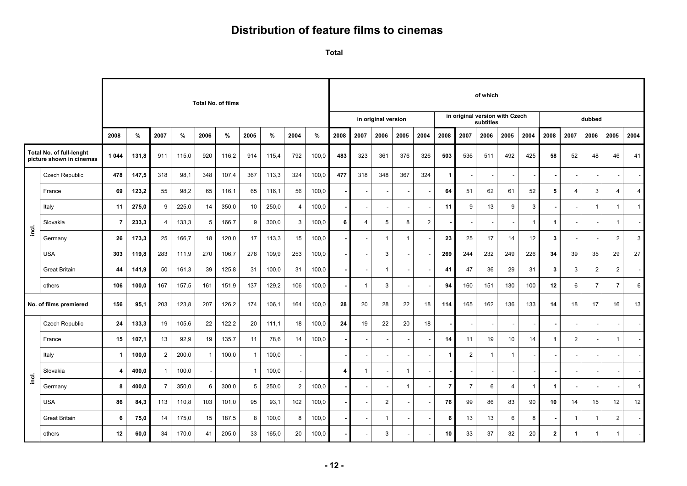## **Distribution of feature films to cinemas**

**Total** 

|                         |                                                             |                |       |                |       |              | <b>Total No. of films</b> |                |       |                          |       |      |                          |                          |              |                |                      |                | of which     |                                |                |              |                         |                |                          |                |
|-------------------------|-------------------------------------------------------------|----------------|-------|----------------|-------|--------------|---------------------------|----------------|-------|--------------------------|-------|------|--------------------------|--------------------------|--------------|----------------|----------------------|----------------|--------------|--------------------------------|----------------|--------------|-------------------------|----------------|--------------------------|----------------|
|                         |                                                             |                |       |                |       |              |                           |                |       |                          |       |      |                          | in original version      |              |                |                      |                | subtitles    | in original version with Czech |                |              |                         | dubbed         |                          |                |
|                         |                                                             | 2008           | %     | 2007           | %     | 2006         | $\%$                      | 2005           | %     | 2004                     | %     | 2008 | 2007                     | 2006                     | 2005         | 2004           | 2008                 | 2007           | 2006         | 2005                           | 2004           | 2008         | 2007                    | 2006           | 2005                     | 2004           |
|                         | <b>Total No. of full-lenght</b><br>picture shown in cinemas | 1 0 4 4        | 131,8 | 911            | 115,0 | 920          | 116,2                     | 914            | 115,4 | 792                      | 100,0 | 483  | 323                      | 361                      | 376          | 326            | 503                  | 536            | 511          | 492                            | 425            | 58           | 52                      | 48             | 46                       | 41             |
|                         | Czech Republic                                              | 478            | 147,5 | 318            | 98,1  | 348          | 107,4                     | 367            | 113,3 | 324                      | 100,0 | 477  | 318                      | 348                      | 367          | 324            | $\overline{1}$       |                |              |                                |                |              |                         |                | $\overline{\phantom{a}}$ |                |
|                         | France                                                      | 69             | 123,2 | 55             | 98,2  | 65           | 116,1                     | 65             | 116,1 | 56                       | 100,0 |      | $\overline{\phantom{a}}$ | $\overline{\phantom{a}}$ |              |                | 64                   | 51             | 62           | 61                             | 52             | 5            | $\overline{4}$          | 3              | 4                        | $\overline{4}$ |
|                         | Italy                                                       | 11             | 275,0 | 9              | 225,0 | 14           | 350,0                     | 10             | 250,0 | 4                        | 100,0 |      |                          |                          |              |                | 11                   | 9              | 13           | 9                              | 3              |              |                         |                | $\mathbf{1}$             | $\mathbf{1}$   |
| inci.                   | Slovakia                                                    | $\overline{7}$ | 233,3 | $\overline{4}$ | 133,3 | 5            | 166,7                     | 9              | 300,0 | 3                        | 100.0 | 6    | 4                        | 5                        | 8            | $\overline{2}$ |                      |                |              |                                | $\overline{1}$ | $\mathbf 1$  | ٠                       |                | $\overline{1}$           |                |
|                         | Germany                                                     | 26             | 173,3 | 25             | 166,7 | 18           | 120,0                     | 17             | 113,3 | 15                       | 100,0 |      |                          | $\mathbf{1}$             | $\mathbf{1}$ |                | 23                   | 25             | 17           | 14                             | 12             | 3            |                         |                | $\overline{2}$           | 3              |
|                         | <b>USA</b>                                                  | 303            | 119,8 | 283            | 111,9 | 270          | 106,7                     | 278            | 109,9 | 253                      | 100,0 |      |                          | 3                        |              |                | 269                  | 244            | 232          | 249                            | 226            | 34           | 39                      | 35             | 29                       | 27             |
|                         | <b>Great Britain</b>                                        | 44             | 141,9 | 50             | 161,3 | 39           | 125,8                     | 31             | 100,0 | 31                       | 100,0 |      |                          | $\mathbf{1}$             |              |                | 41                   | 47             | 36           | 29                             | 31             | 3            | 3                       | $\overline{2}$ | $\overline{2}$           |                |
|                         | others                                                      | 106            | 100,0 | 167            | 157,5 | 161          | 151,9                     | 137            | 129,2 | 106                      | 100,0 |      | $\mathbf{1}$             | 3                        |              |                | 94                   | 160            | 151          | 130                            | 100            | 12           | 6                       | $\overline{7}$ | $\overline{7}$           | 6              |
|                         | No. of films premiered                                      | 156            | 95,1  | 203            | 123,8 | 207          | 126,2                     | 174            | 106,1 | 164                      | 100,0 | 28   | 20                       | 28                       | 22           | 18             | 114                  | 165            | 162          | 136                            | 133            | 14           | 18                      | 17             | 16                       | 13             |
|                         | <b>Czech Republic</b>                                       | 24             | 133,3 | 19             | 105,6 | 22           | 122,2                     | 20             | 111,1 | 18                       | 100,0 | 24   | 19                       | 22                       | 20           | 18             |                      |                |              |                                |                |              |                         |                | $\overline{\phantom{a}}$ |                |
|                         | France                                                      | 15             | 107,1 | 13             | 92,9  | 19           | 135,7                     | 11             | 78,6  | 14                       | 100,0 |      |                          |                          |              |                | 14                   | 11             | 19           | 10                             | 14             |              | $\overline{2}$          |                | $\overline{1}$           |                |
|                         | Italy                                                       | $\mathbf{1}$   | 100,0 | 2              | 200,0 | $\mathbf{1}$ | 100,0                     | $\overline{1}$ | 100,0 |                          |       |      |                          |                          |              |                | $\blacktriangleleft$ | $\overline{2}$ | $\mathbf{1}$ | -1                             |                |              |                         |                |                          |                |
|                         | Slovakia                                                    | 4              | 400,0 |                | 100,0 | $\sim$       |                           | $\overline{1}$ | 100,0 | $\overline{\phantom{a}}$ |       | 4    | $\mathbf{1}$             |                          | -1           |                |                      | ٠              |              |                                |                |              |                         |                | $\overline{\phantom{a}}$ |                |
| $\overline{\mathbf{e}}$ | Germany                                                     | 8              | 400,0 | $\overline{7}$ | 350,0 | 6            | 300,0                     | 5              | 250,0 | $\overline{2}$           | 100,0 |      |                          |                          | $\mathbf{1}$ |                | $\overline{7}$       | $\overline{7}$ | 6            | $\overline{4}$                 | -1             | -1           |                         |                | $\overline{\phantom{a}}$ | $\mathbf{1}$   |
|                         | <b>USA</b>                                                  | 86             | 84,3  | 113            | 110,8 | 103          | 101,0                     | 95             | 93,1  | 102                      | 100,0 |      |                          | $\overline{c}$           |              |                | 76                   | 99             | 86           | 83                             | 90             | 10           | 14                      | 15             | 12                       | 12             |
|                         | <b>Great Britain</b>                                        | 6              | 75,0  | 14             | 175,0 | 15           | 187,5                     | 8              | 100,0 | 8                        | 100,0 |      |                          | $\mathbf{1}$             |              |                | 6                    | 13             | 13           | 6                              | 8              |              | $\overline{1}$          |                | 2                        |                |
|                         | others                                                      | 12             | 60,0  | 34             | 170,0 | 41           | 205,0                     | 33             | 165,0 | 20                       | 100,0 |      |                          | 3                        |              |                | 10                   | 33             | 37           | 32                             | 20             | $\mathbf{2}$ | $\overline{\mathbf{1}}$ | 1              | $\mathbf{1}$             |                |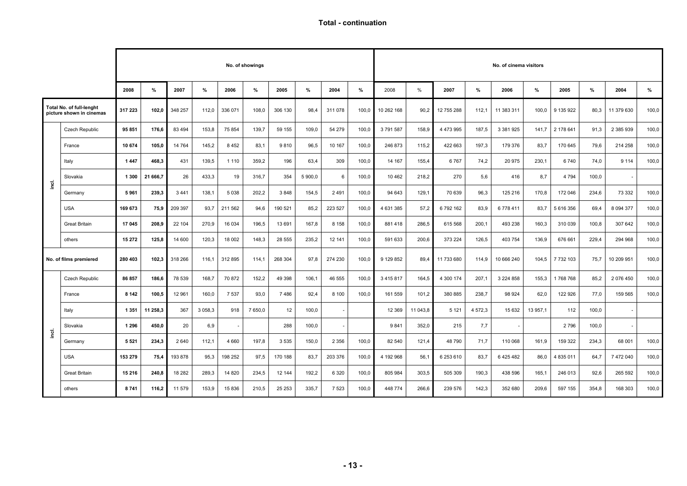**Total - continuation** 

|       |                                                      |         |          |         |          |         | No. of showings |         |         |         |       |               |          |            |             | No. of cinema visitors |          |           |       |               |       |
|-------|------------------------------------------------------|---------|----------|---------|----------|---------|-----------------|---------|---------|---------|-------|---------------|----------|------------|-------------|------------------------|----------|-----------|-------|---------------|-------|
|       |                                                      | 2008    | %        | 2007    | %        | 2006    | %               | 2005    | %       | 2004    | %     | 2008          | $\%$     | 2007       | %           | 2006                   | %        | 2005      | %     | 2004          | %     |
|       | Total No. of full-lenght<br>picture shown in cinemas | 317 223 | 102,0    | 348 257 | 112,0    | 336 071 | 108,0           | 306 130 | 98,4    | 311 078 | 100,0 | 10 262 168    | 90,2     | 12 755 288 | 112,1       | 11 383 311             | 100,0    | 9 135 922 | 80,3  | 11 379 630    | 100,0 |
|       | Czech Republic                                       | 95 851  | 176,6    | 83 4 94 | 153,8    | 75 854  | 139,7           | 59 155  | 109,0   | 54 279  | 100,0 | 3791587       | 158,9    | 4 473 995  | 187,5       | 3 381 925              | 141,7    | 2 178 641 | 91,3  | 2 385 939     | 100,0 |
|       | France                                               | 10 674  | 105.0    | 14 764  | 145,2    | 8 4 5 2 | 83.1            | 9810    | 96,5    | 10 167  | 100,0 | 246 873       | 115.2    | 422 663    | 197,3       | 179 376                | 83.7     | 170 645   | 79,6  | 214 258       | 100,0 |
|       | Italy                                                | 1447    | 468,3    | 431     | 139,5    | 1 1 1 0 | 359,2           | 196     | 63,4    | 309     | 100,0 | 14 167        | 155,4    | 6767       | 74,2        | 20 975                 | 230,1    | 6740      | 74,0  | 9 1 1 4       | 100,0 |
| ingi. | Slovakia                                             | 1 300   | 21 666.7 | 26      | 433,3    | 19      | 316,7           | 354     | 5 900,0 | 6       | 100,0 | 10 462        | 218,2    | 270        | 5,6         | 416                    | 8,7      | 4 7 9 4   | 100,0 |               |       |
|       | Germany                                              | 5961    | 239,3    | 3 4 4 1 | 138,1    | 5 0 38  | 202,2           | 3848    | 154,5   | 2 4 9 1 | 100,0 | 94 643        | 129,1    | 70 639     | 96,3        | 125 216                | 170,8    | 172 046   | 234,6 | 73 332        | 100,0 |
|       | <b>USA</b>                                           | 169 673 | 75,9     | 209 397 | 93,7     | 211 562 | 94,6            | 190 521 | 85,2    | 223 527 | 100,0 | 4 631 385     | 57,2     | 6792162    | 83.9        | 6778411                | 83,7     | 5 616 356 | 69,4  | 8 0 9 4 3 7 7 | 100,0 |
|       | <b>Great Britain</b>                                 | 17 045  | 208.9    | 22 104  | 270.9    | 16 0 34 | 196,5           | 13 691  | 167,8   | 8 1 5 8 | 100.0 | 881418        | 286.5    | 615 568    | 200.1       | 493 238                | 160.3    | 310 039   | 100,8 | 307 642       | 100,0 |
|       | others                                               | 15 27 2 | 125,8    | 14 600  | 120,3    | 18 002  | 148,3           | 28 555  | 235,2   | 12 14 1 | 100,0 | 591 633       | 200,6    | 373 224    | 126,5       | 403 754                | 136,9    | 676 661   | 229,4 | 294 968       | 100,0 |
|       | No. of films premiered                               | 280 403 | 102,3    | 318 266 | 116,1    | 312 895 | 114,1           | 268 304 | 97,8    | 274 230 | 100,0 | 9 129 852     | 89,4     | 11 733 680 | 114.9       | 10 666 240             | 104,5    | 7 732 103 | 75,7  | 10 209 951    | 100,0 |
|       | Czech Republic                                       | 86 857  | 186,6    | 78 539  | 168,7    | 70 872  | 152,2           | 49 398  | 106,1   | 46 555  | 100,0 | 3 4 1 5 8 1 7 | 164,5    | 4 300 174  | 207.1       | 3 224 858              | 155,3    | 1768768   | 85,2  | 2 076 450     | 100,0 |
|       | France                                               | 8 1 4 2 | 100,5    | 12 961  | 160,0    | 7 5 3 7 | 93,0            | 7486    | 92,4    | 8 100   | 100,0 | 161 559       | 101,2    | 380 885    | 238,7       | 98 924                 | 62,0     | 122 926   | 77,0  | 159 565       | 100,0 |
|       | Italy                                                | 1 3 5 1 | 11 258.3 | 367     | 3 0 58.3 | 918     | 7 650.0         | 12      | 100,0   |         |       | 12 3 69       | 11 043.8 | 5 1 2 1    | 4 5 7 2 . 3 | 15 632                 | 13 957.1 | 112       | 100,0 |               |       |
| inci. | Slovakia                                             | 1 2 9 6 | 450,0    | 20      | 6,9      |         |                 | 288     | 100,0   |         |       | 9841          | 352,0    | 215        | 7,7         |                        |          | 2 7 9 6   | 100,0 |               |       |
|       | Germany                                              | 5 5 2 1 | 234.3    | 2 6 4 0 | 112,1    | 4 6 6 0 | 197.8           | 3 5 3 5 | 150,0   | 2 3 5 6 | 100,0 | 82 540        | 121.4    | 48790      | 71.7        | 110 068                | 161.9    | 159 322   | 234,3 | 68 001        | 100,0 |
|       | <b>USA</b>                                           | 153 279 | 75,4     | 193 878 | 95,3     | 198 252 | 97,5            | 170 188 | 83,7    | 203 376 | 100.0 | 4 192 968     | 56,1     | 6 253 610  | 83,7        | 6 4 2 5 4 8 2          | 86,0     | 4 835 011 | 64.7  | 7 472 040     | 100,0 |
|       | <b>Great Britain</b>                                 | 15 216  | 240.8    | 18 28 2 | 289.3    | 14 8 20 | 234.5           | 12 144  | 192,2   | 6 3 2 0 | 100.0 | 805 984       | 303,5    | 505 309    | 190.3       | 438 596                | 165.1    | 246 013   | 92,6  | 265 592       | 100,0 |
|       | others                                               | 8741    | 116,2    | 11 579  | 153,9    | 15 836  | 210,5           | 25 25 3 | 335,7   | 7 5 2 3 | 100,0 | 448 774       | 266,6    | 239 576    | 142,3       | 352 680                | 209,6    | 597 155   | 354,8 | 168 303       | 100,0 |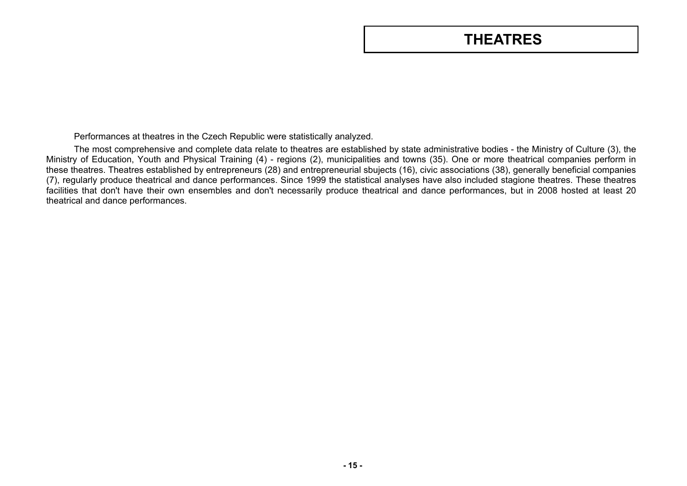# **THEATRES**

<span id="page-14-0"></span>Performances at theatres in the Czech Republic were statistically analyzed.

The most comprehensive and complete data relate to theatres are established by state administrative bodies - the Ministry of Culture (3), the Ministry of Education, Youth and Physical Training (4) - regions (2), municipalities and towns (35). One or more theatrical companies perform in these theatres. Theatres established by entrepreneurs (28) and entrepreneurial sbujects (16), civic associations (38), generally beneficial companies (7), regularly produce theatrical and dance performances. Since 1999 the statistical analyses have also included stagione theatres. These theatres facilities that don't have their own ensembles and don't necessarily produce theatrical and dance performances, but in 2008 hosted at least 20 theatrical and dance performances.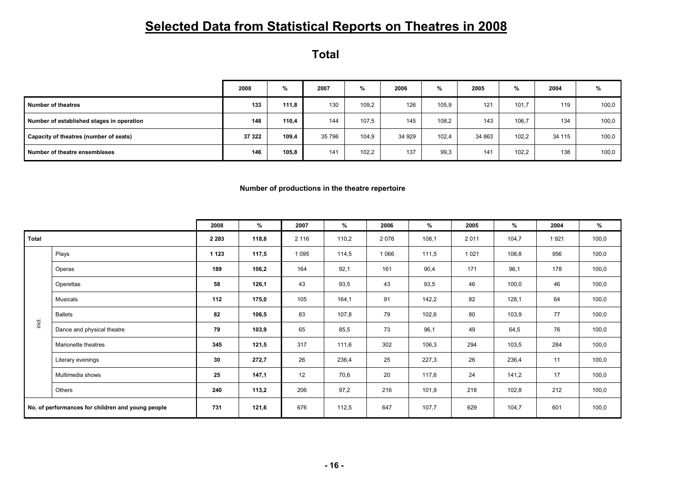# **Selected Data from Statistical Reports on Theatres in 2008**

**Total** 

|                                           | 2008   | %     | 2007   | %     | 2006   | %     | 2005   | %     | 2004   | %     |
|-------------------------------------------|--------|-------|--------|-------|--------|-------|--------|-------|--------|-------|
| Number of theatres                        | 133    | 111,8 | 130    | 109.2 | 126    | 105,9 | 121    | 101,7 | 119    | 100,0 |
| Number of established stages in operation | 148    | 110,4 | 144    | 107,5 | 145    | 108,2 | 143    | 106,7 | 134    | 100,0 |
| Capacity of theatres (number of seats)    | 37 322 | 109.4 | 35 796 | 104.9 | 34 929 | 102.4 | 34 863 | 102,2 | 34 115 | 100,0 |
| Number of theatre ensembleses             | 146    | 105.8 | 141    | 102,2 | 137    | 99.3  | 141    | 102,2 | 138    | 100,0 |

**Number of productions in the theatre repertoire** 

|       |                                                   | 2008    | %     | 2007    | %     | 2006    | %     | 2005    | %     | 2004 | %     |
|-------|---------------------------------------------------|---------|-------|---------|-------|---------|-------|---------|-------|------|-------|
| Total |                                                   | 2 2 8 3 | 118,8 | 2 1 1 6 | 110,2 | 2076    | 108,1 | 2011    | 104,7 | 1921 | 100,0 |
|       | Plays                                             | 1 1 2 3 | 117,5 | 1 0 9 5 | 114,5 | 1 0 6 6 | 111,5 | 1 0 2 1 | 106,8 | 956  | 100,0 |
|       | Operas                                            | 189     | 106,2 | 164     | 92,1  | 161     | 90,4  | 171     | 96,1  | 178  | 100,0 |
|       | Operettas                                         | 58      | 126,1 | 43      | 93,5  | 43      | 93,5  | 46      | 100,0 | 46   | 100,0 |
|       | Musicals                                          | 112     | 175,0 | 105     | 164,1 | 91      | 142,2 | 82      | 128,1 | 64   | 100,0 |
|       | <b>Ballets</b>                                    | 82      | 106,5 | 83      | 107,8 | 79      | 102,6 | 80      | 103,9 | 77   | 100,0 |
| ingi. | Dance and physical theatre                        | 79      | 103,9 | 65      | 85,5  | 73      | 96,1  | 49      | 64,5  | 76   | 100,0 |
|       | Marionette theatres                               | 345     | 121,5 | 317     | 111,6 | 302     | 106,3 | 294     | 103,5 | 284  | 100,0 |
|       | Literary evenings                                 | 30      | 272,7 | 26      | 236,4 | 25      | 227,3 | 26      | 236,4 | 11   | 100,0 |
|       | Multimedia shows                                  | 25      | 147,1 | 12      | 70,6  | 20      | 117,6 | 24      | 141,2 | 17   | 100,0 |
|       | Others                                            | 240     | 113,2 | 206     | 97,2  | 216     | 101,9 | 218     | 102,8 | 212  | 100,0 |
|       | No. of performances for children and young people | 731     | 121,6 | 676     | 112,5 | 647     | 107,7 | 629     | 104,7 | 601  | 100,0 |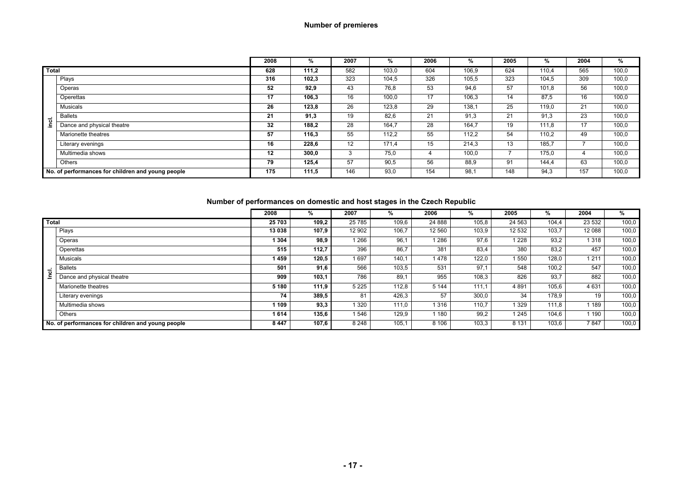#### **Number of premieres**

|              |                                                   | 2008 | %     | 2007 | %     | 2006 | %     | 2005 | %     | 2004 | %     |
|--------------|---------------------------------------------------|------|-------|------|-------|------|-------|------|-------|------|-------|
| <b>Total</b> |                                                   | 628  | 111,2 | 582  | 103,0 | 604  | 106,9 | 624  | 110.4 | 565  | 100,0 |
|              | Plays                                             | 316  | 102,3 | 323  | 104,5 | 326  | 105,5 | 323  | 104,5 | 309  | 100,0 |
|              | Operas                                            | 52   | 92,9  | 43   | 76,8  | 53   | 94,6  | 57   | 101,8 | 56   | 100,0 |
|              | Operettas                                         | 17   | 106,3 | 16   | 100,0 | 17   | 106,3 | 14   | 87.5  | 16   | 100,0 |
|              | Musicals                                          | 26   | 123,8 | 26   | 123,8 | 29   | 138,1 | 25   | 119,0 | 21   | 100,0 |
|              | <b>Ballets</b>                                    | 21   | 91,3  | 19   | 82,6  | 21   | 91,3  | 21   | 91,3  | 23   | 100,0 |
| ingi.        | Dance and physical theatre                        | 32   | 188,2 | 28   | 164,7 | 28   | 164,7 | 19   | 111,8 | 17   | 100,0 |
|              | Marionette theatres                               | 57   | 116,3 | 55   | 112,2 | 55   | 112,2 | 54   | 110,2 | 49   | 100,0 |
|              | Literary evenings                                 | 16   | 228,6 | 12   | 171.4 | 15   | 214,3 | 13   | 185.7 |      | 100,0 |
|              | Multimedia shows                                  | 12   | 300,0 | 3    | 75.0  | 4    | 100,0 |      | 175.0 |      | 100,0 |
|              | Others                                            | 79   | 125,4 | 57   | 90,5  | 56   | 88,9  | 91   | 144.4 | 63   | 100,0 |
|              | No. of performances for children and young people | 175  | 111,5 | 146  | 93,0  | 154  | 98,1  | 148  | 94,3  | 157  | 100,0 |

#### **Number of performances on domestic and host stages in the Czech Republic**

|              |                                                   | 2008    | %     | 2007    |       | 2006    | %     | 2005    | %     | 2004    | %     |
|--------------|---------------------------------------------------|---------|-------|---------|-------|---------|-------|---------|-------|---------|-------|
| <b>Total</b> |                                                   | 25 703  | 109,2 | 25 7 85 | 109,6 | 24 888  | 105,8 | 24 5 63 | 104,4 | 23 532  | 100,0 |
|              | Plays                                             | 13 038  | 107,9 | 12 902  | 106,7 | 12 560  | 103,9 | 12 532  | 103,7 | 12 088  | 100,0 |
|              | Operas                                            | 1 304   | 98,9  | 1 2 6 6 | 96.1  | 1 2 8 6 | 97,6  | 1 2 2 8 | 93,2  | 1 3 1 8 | 100,0 |
|              | Operettas                                         | 515     | 112,7 | 396     | 86.7  | 381     | 83.4  | 380     | 83,2  | 457     | 100,0 |
|              | <b>Musicals</b>                                   | 459     | 120,5 | 1697    | 140.1 | 1478    | 122,0 | 1 550   | 128,0 | 1211    | 100,0 |
| ಕ            | <b>Ballets</b>                                    | 501     | 91,6  | 566     | 103,5 | 531     | 97.1  | 548     | 100,2 | 547     | 100,0 |
|              | Dance and physical theatre                        | 909     | 103.1 | 786     | 89.1  | 955     | 108,3 | 826     | 93.7  | 882     | 100,0 |
|              | Marionette theatres                               | 5 1 8 0 | 111,9 | 5 2 2 5 | 112,8 | 5 1 4 4 | 111.1 | 4 8 9 1 | 105,6 | 4631    | 100,0 |
|              | Literary evenings                                 | 74      | 389,5 | 81      | 426,3 | 57      | 300,0 | 34      | 178,9 | 19      | 100,0 |
|              | Multimedia shows                                  | 109     | 93,3  | 1 3 2 0 | 111.0 | 1 3 1 6 | 110.7 | 1 3 2 9 | 111.8 | 189     | 100,0 |
|              | Others                                            | 1614    | 135.6 | 1 546   | 129.9 | 1 1 8 0 | 99.2  | 1 2 4 5 | 104,6 | 190     | 100,0 |
|              | No. of performances for children and young people | 8 4 4 7 | 107,6 | 8 2 4 8 | 105.1 | 8 1 0 6 | 103,3 | 8 1 3 1 | 103,6 | 7847    | 100,0 |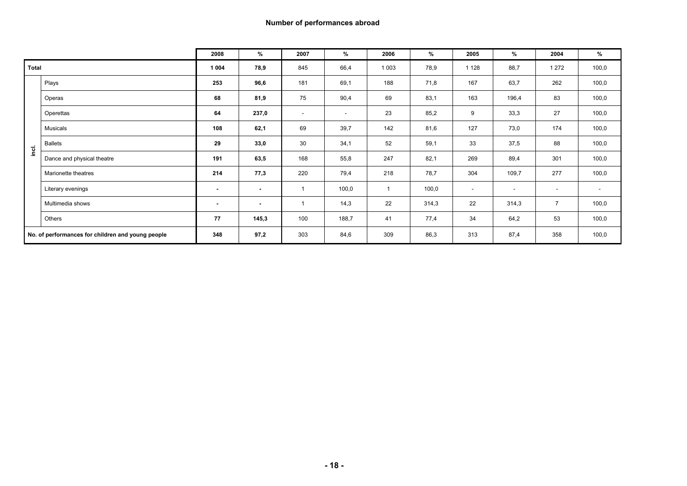|              |                                                   | 2008           | %              | 2007                     | %      | 2006           | %     | 2005    | $\%$   | 2004                     | %                        |
|--------------|---------------------------------------------------|----------------|----------------|--------------------------|--------|----------------|-------|---------|--------|--------------------------|--------------------------|
| <b>Total</b> |                                                   | 1 0 0 4        | 78,9           | 845                      | 66,4   | 1 0 0 3        | 78,9  | 1 1 2 8 | 88,7   | 1 2 7 2                  | 100,0                    |
|              | Plays                                             | 253            | 96,6           | 181                      | 69,1   | 188            | 71,8  | 167     | 63,7   | 262                      | 100,0                    |
|              | Operas                                            | 68             | 81,9           | 75                       | 90,4   | 69             | 83,1  | 163     | 196,4  | 83                       | 100,0                    |
|              | Operettas                                         | 64             | 237,0          | $\overline{\phantom{a}}$ | $\sim$ | 23             | 85,2  | 9       | 33,3   | 27                       | 100,0                    |
|              | Musicals                                          | 108            | 62,1           | 69                       | 39,7   | 142            | 81,6  | 127     | 73,0   | 174                      | 100,0                    |
| inci.        | <b>Ballets</b>                                    | 29             | 33,0           | 30                       | 34,1   | 52             | 59,1  | 33      | 37,5   | 88                       | 100,0                    |
|              | Dance and physical theatre                        | 191            | 63,5           | 168                      | 55,8   | 247            | 82,1  | 269     | 89,4   | 301                      | 100,0                    |
|              | Marionette theatres                               | 214            | 77,3           | 220                      | 79,4   | 218            | 78,7  | 304     | 109,7  | 277                      | 100,0                    |
|              | Literary evenings                                 | $\blacksquare$ | $\blacksquare$ |                          | 100,0  | $\overline{1}$ | 100,0 | $\sim$  | $\sim$ | $\overline{\phantom{a}}$ | $\overline{\phantom{a}}$ |
|              | Multimedia shows                                  | $\sim$         | $\sim$         |                          | 14,3   | 22             | 314,3 | 22      | 314,3  | $\overline{7}$           | 100,0                    |
|              | Others                                            | 77             | 145,3          | 100                      | 188,7  | 41             | 77,4  | 34      | 64,2   | 53                       | 100,0                    |
|              | No. of performances for children and young people | 348            | 97,2           | 303                      | 84,6   | 309            | 86,3  | 313     | 87,4   | 358                      | 100,0                    |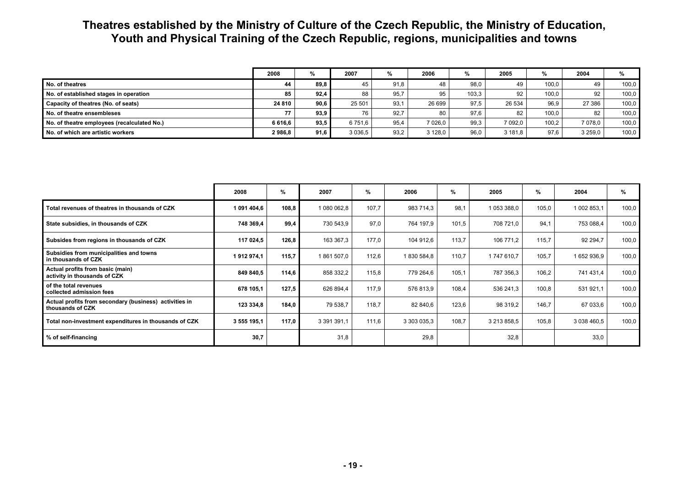## **Theatres established by the Ministry of Culture of the Czech Republic, the Ministry of Education, Youth and Physical Training of the Czech Republic, regions, municipalities and towns**

|                                             | 2008    |      | 2007        |      | 2006       |       | 2005    | $\frac{9}{6}$ | 2004     | %     |
|---------------------------------------------|---------|------|-------------|------|------------|-------|---------|---------------|----------|-------|
| No. of theatres                             | 44      | 89.8 | 45          | 91.8 | 48         | 98,0  | 49      | 100.0         | 49       | 100.0 |
| No. of established stages in operation      | 85      | 92.4 | 88          | 95.7 | 95         | 103.3 | 92      | 100.0         | 92       | 100.0 |
| Capacity of theatres (No. of seats)         | 24 810  | 90.6 | 25 501      | 93.7 | 26 699     | 97.5  | 26 534  | 96.9          | 27 386   | 100.0 |
| No. of theatre ensembleses                  | 77      | 93.9 | 76          | 92.7 | 80         | 97.6  | 82      | 100.0         | 82       | 100.0 |
| No. of theatre employees (recalculated No.) | 6 616.6 | 93.5 | 6 751.6     | 95.4 | $7026.0$ i | 99,3  | 7 092.0 | 100,2         | 7 0 78.0 | 100.0 |
| No. of which are artistic workers           | 2986.8  | 91,6 | 3 0 3 6 , 5 | 93.2 | 3 1 2 8 .0 | 96,0  | 3 181.8 | 97,6          | 3 259.0  | 100,0 |

|                                                                            | 2008        | %     | 2007        | %     | 2006        | %     | 2005        | %     | 2004        | %     |
|----------------------------------------------------------------------------|-------------|-------|-------------|-------|-------------|-------|-------------|-------|-------------|-------|
| Total revenues of theatres in thousands of CZK                             | 1 091 404,6 | 108,8 | 1 080 062,8 | 107,7 | 983 714,3   | 98,1  | 1 053 388,0 | 105,0 | 1 002 853,1 | 100,0 |
| State subsidies, in thousands of CZK                                       | 748 369,4   | 99.4  | 730 543,9   | 97,0  | 764 197,9   | 101,5 | 708 721,0   | 94.1  | 753 088,4   | 100,0 |
| Subsides from regions in thousands of CZK                                  | 117 024,5   | 126,8 | 163 367,3   | 177,0 | 104 912,6   | 113,7 | 106 771,2   | 115,7 | 92 294,7    | 100,0 |
| Subsidies from municipalities and towns<br>in thousands of CZK             | 1912974,1   | 115,7 | 1861507,0   | 112,6 | 1830 584,8  | 110,7 | 1747610.7   | 105,7 | 1652936,9   | 100,0 |
| Actual profits from basic (main)<br>activity in thousands of CZK           | 849 840,5   | 114.6 | 858 332,2   | 115,8 | 779 264,6   | 105,1 | 787 356,3   | 106,2 | 741 431,4   | 100,0 |
| of the total revenues<br>collected admission fees                          | 678 105,1   | 127,5 | 626 894,4   | 117,9 | 576 813,9   | 108,4 | 536 241.3   | 100,8 | 531 921,1   | 100,0 |
| Actual profits from secondary (business) activities in<br>thousands of CZK | 123 334,8   | 184,0 | 79 538,7    | 118,7 | 82 840,6    | 123,6 | 98 319.2    | 146.7 | 67 033,6    | 100,0 |
| Total non-investment expenditures in thousands of CZK                      | 3 555 195,1 | 117.0 | 3 391 391,1 | 111,6 | 3 303 035,3 | 108,7 | 3 213 858,5 | 105,8 | 3 038 460.5 | 100,0 |
| % of self-financing                                                        | 30,7        |       | 31,8        |       | 29,8        |       | 32,8        |       | 33,0        |       |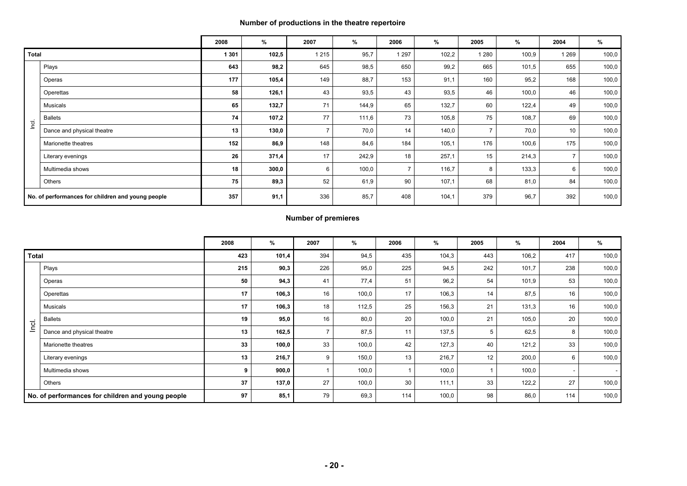#### **Number of productions in the theatre repertoire**

|              |                                                   | 2008  | %     | 2007           | $\%$  | 2006           | %     | 2005           | %     | 2004  | %     |
|--------------|---------------------------------------------------|-------|-------|----------------|-------|----------------|-------|----------------|-------|-------|-------|
| <b>Total</b> |                                                   | 1 301 | 102,5 | 1 2 1 5        | 95,7  | 1 297          | 102,2 | 1 2 8 0        | 100,9 | 1 269 | 100,0 |
|              | Plays                                             | 643   | 98,2  | 645            | 98,5  | 650            | 99,2  | 665            | 101,5 | 655   | 100,0 |
|              | Operas                                            | 177   | 105,4 | 149            | 88,7  | 153            | 91,1  | 160            | 95,2  | 168   | 100,0 |
|              | Operettas                                         | 58    | 126,1 | 43             | 93,5  | 43             | 93,5  | 46             | 100,0 | 46    | 100,0 |
|              | Musicals                                          | 65    | 132,7 | 71             | 144,9 | 65             | 132,7 | 60             | 122,4 | 49    | 100,0 |
| Incl.        | <b>Ballets</b>                                    | 74    | 107,2 | 77             | 111,6 | 73             | 105,8 | 75             | 108,7 | 69    | 100,0 |
|              | Dance and physical theatre                        | 13    | 130,0 | $\overline{7}$ | 70,0  | 14             | 140,0 | $\overline{ }$ | 70,0  | 10    | 100,0 |
|              | Marionette theatres                               | 152   | 86,9  | 148            | 84,6  | 184            | 105,1 | 176            | 100,6 | 175   | 100,0 |
|              | Literary evenings                                 | 26    | 371,4 | 17             | 242,9 | 18             | 257,1 | 15             | 214,3 |       | 100,0 |
|              | Multimedia shows                                  | 18    | 300,0 | 6              | 100,0 | $\overline{ }$ | 116,7 | 8              | 133,3 | 6     | 100,0 |
|              | Others                                            | 75    | 89,3  | 52             | 61,9  | 90             | 107,1 | 68             | 81,0  | 84    | 100,0 |
|              | No. of performances for children and young people | 357   | 91,1  | 336            | 85,7  | 408            | 104,1 | 379            | 96,7  | 392   | 100,0 |

#### **Number of premieres**

|              |                                                   | 2008 | %     | 2007 | %     | 2006 | %     | 2005 | %     | 2004 | %     |
|--------------|---------------------------------------------------|------|-------|------|-------|------|-------|------|-------|------|-------|
| <b>Total</b> |                                                   | 423  | 101,4 | 394  | 94,5  | 435  | 104,3 | 443  | 106,2 | 417  | 100,0 |
|              | Plays                                             | 215  | 90,3  | 226  | 95,0  | 225  | 94,5  | 242  | 101,7 | 238  | 100,0 |
|              | Operas                                            | 50   | 94,3  | 41   | 77,4  | 51   | 96,2  | 54   | 101,9 | 53   | 100,0 |
|              | Operettas                                         | 17   | 106,3 | 16   | 100,0 | 17   | 106,3 | 14   | 87,5  | 16   | 100,0 |
|              | Musicals                                          | 17   | 106,3 | 18   | 112,5 | 25   | 156,3 | 21   | 131,3 | 16   | 100,0 |
|              | <b>Ballets</b>                                    | 19   | 95,0  | 16   | 80,0  | 20   | 100,0 | 21   | 105,0 | 20   | 100,0 |
| Inci.        | Dance and physical theatre                        | 13   | 162,5 |      | 87,5  | 11   | 137,5 | 5    | 62,5  | 8    | 100,0 |
|              | Marionette theatres                               | 33   | 100,0 | 33   | 100,0 | 42   | 127,3 | 40   | 121,2 | 33   | 100,0 |
|              | Literary evenings                                 | 13   | 216,7 | 9    | 150,0 | 13   | 216,7 | 12   | 200,0 | 6    | 100,0 |
|              | Multimedia shows                                  | 9    | 900,0 |      | 100,0 |      | 100,0 |      | 100,0 |      | - 1   |
|              | Others                                            | 37   | 137,0 | 27   | 100,0 | 30   | 111,1 | 33   | 122,2 | 27   | 100,0 |
|              | No. of performances for children and young people | 97   | 85,1  | 79   | 69,3  | 114  | 100,0 | 98   | 86,0  | 114  | 100,0 |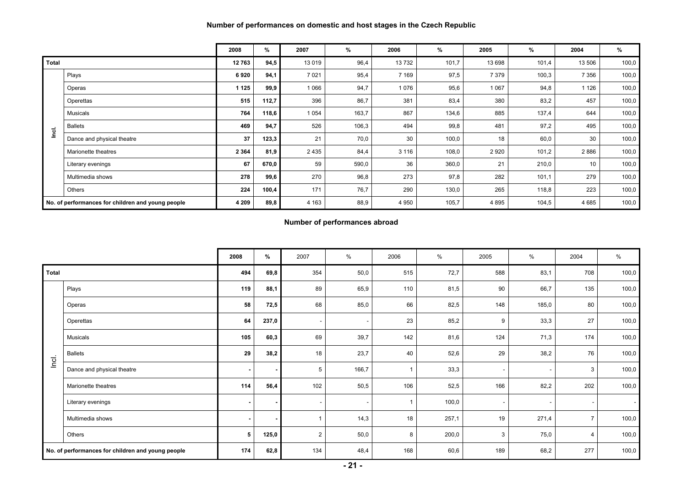#### **Number of performances on domestic and host stages in the Czech Republic**

|              |                                                   | 2008    | %     | 2007    | %     | 2006    | %     | 2005    | %     | 2004    | %     |
|--------------|---------------------------------------------------|---------|-------|---------|-------|---------|-------|---------|-------|---------|-------|
| <b>Total</b> |                                                   | 12763   | 94,5  | 13019   | 96,4  | 13732   | 101,7 | 13 698  | 101,4 | 13 506  | 100,0 |
|              | Plays                                             | 6920    | 94,1  | 7021    | 95,4  | 7 1 6 9 | 97,5  | 7 3 7 9 | 100,3 | 7 3 5 6 | 100,0 |
|              | Operas                                            | 1 1 2 5 | 99,9  | 1 0 6 6 | 94,7  | 1076    | 95,6  | 1 0 6 7 | 94,8  | 1 126   | 100,0 |
|              | Operettas                                         | 515     | 112,7 | 396     | 86,7  | 381     | 83,4  | 380     | 83,2  | 457     | 100,0 |
|              | Musicals                                          | 764     | 118,6 | 1 0 5 4 | 163,7 | 867     | 134,6 | 885     | 137,4 | 644     | 100,0 |
| $\mathbf{r}$ | <b>Ballets</b>                                    | 469     | 94,7  | 526     | 106,3 | 494     | 99,8  | 481     | 97,2  | 495     | 100,0 |
| ē            | Dance and physical theatre                        | 37      | 123,3 | 21      | 70,0  | 30      | 100,0 | 18      | 60,0  | 30      | 100,0 |
|              | Marionette theatres                               | 2 3 6 4 | 81,9  | 2435    | 84,4  | 3 1 1 6 | 108,0 | 2 9 2 0 | 101,2 | 2886    | 100,0 |
|              | Literary evenings                                 | 67      | 670,0 | 59      | 590,0 | 36      | 360,0 | 21      | 210,0 | 10      | 100,0 |
|              | Multimedia shows                                  | 278     | 99,6  | 270     | 96,8  | 273     | 97,8  | 282     | 101,1 | 279     | 100,0 |
|              | Others                                            | 224     | 100,4 | 171     | 76,7  | 290     | 130,0 | 265     | 118,8 | 223     | 100,0 |
|              | No. of performances for children and young people | 4 2 0 9 | 89,8  | 4 1 6 3 | 88,9  | 4 9 5 0 | 105,7 | 4 8 9 5 | 104,5 | 4 6 8 5 | 100,0 |

#### **Number of performances abroad**

|              |                                                   | 2008           | %     | 2007                     | %     | 2006 | $\frac{0}{0}$ | 2005 | %                        | 2004 | $\%$  |
|--------------|---------------------------------------------------|----------------|-------|--------------------------|-------|------|---------------|------|--------------------------|------|-------|
| <b>Total</b> |                                                   | 494            | 69,8  | 354                      | 50,0  | 515  | 72,7          | 588  | 83,1                     | 708  | 100,0 |
|              | Plays                                             | 119            | 88,1  | 89                       | 65,9  | 110  | 81,5          | 90   | 66,7                     | 135  | 100,0 |
|              | Operas                                            | 58             | 72,5  | 68                       | 85,0  | 66   | 82,5          | 148  | 185,0                    | 80   | 100,0 |
|              | Operettas                                         | 64             | 237,0 | ٠                        |       | 23   | 85,2          | 9    | 33,3                     | 27   | 100,0 |
|              | Musicals                                          | 105            | 60,3  | 69                       | 39,7  | 142  | 81,6          | 124  | 71,3                     | 174  | 100,0 |
| Incl.        | <b>Ballets</b>                                    | 29             | 38,2  | 18                       | 23,7  | 40   | 52,6          | 29   | 38,2                     | 76   | 100,0 |
|              | Dance and physical theatre                        |                |       | 5                        | 166,7 |      | 33,3          |      |                          | 3    | 100,0 |
|              | Marionette theatres                               | 114            | 56,4  | 102                      | 50,5  | 106  | 52,5          | 166  | 82,2                     | 202  | 100,0 |
|              | Literary evenings                                 |                |       | $\overline{\phantom{a}}$ |       |      | 100,0         |      | $\overline{\phantom{a}}$ |      |       |
|              | Multimedia shows                                  | $\blacksquare$ |       |                          | 14,3  | 18   | 257,1         | 19   | 271,4                    |      | 100,0 |
|              | Others                                            | 5              | 125,0 | $\overline{2}$           | 50,0  | 8    | 200,0         | 3    | 75,0                     | 4    | 100,0 |
|              | No. of performances for children and young people | 174            | 62,8  | 134                      | 48,4  | 168  | 60,6          | 189  | 68,2                     | 277  | 100,0 |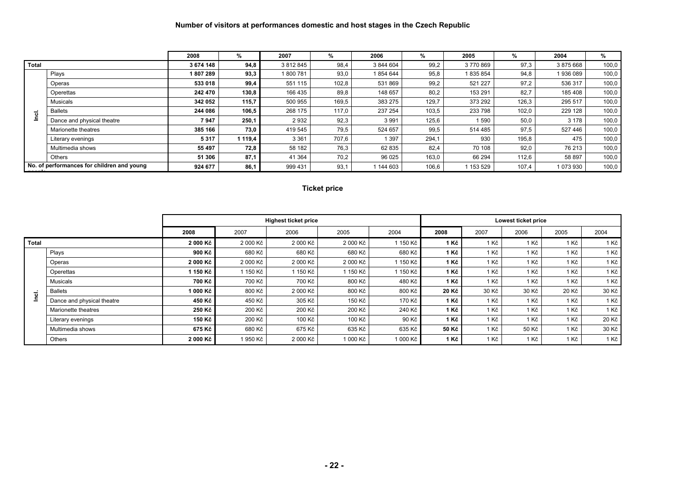#### **Number of visitors at performances domestic and host stages in the Czech Republic**

|              |                                            | 2008      | %       | 2007      | %     | 2006      | %     | 2005    | %     | 2004    | %     |
|--------------|--------------------------------------------|-----------|---------|-----------|-------|-----------|-------|---------|-------|---------|-------|
| <b>Total</b> |                                            | 3 674 148 | 94,8    | 3 812 845 | 98,4  | 3 844 604 | 99,2  | 3770869 | 97,3  | 3875668 | 100,0 |
|              | Plays                                      | 1807289   | 93,3    | 1800781   | 93,0  | 1854644   | 95,8  | 835 854 | 94,8  | 1936089 | 100,0 |
|              | Operas                                     | 533 018   | 99,4    | 551 115   | 102,8 | 531869    | 99,2  | 521 227 | 97,2  | 536 317 | 100,0 |
|              | Operettas                                  | 242 470   | 130,8   | 166 435   | 89,8  | 148 657   | 80,2  | 153 291 | 82.7  | 185 408 | 100,0 |
|              | <b>Musicals</b>                            | 342 052   | 115,7   | 500 955   | 169,5 | 383 275   | 129,7 | 373 292 | 126,3 | 295 517 | 100,0 |
|              | <b>Ballets</b>                             | 244 086   | 106,5   | 268 175   | 117,0 | 237 254   | 103,5 | 233 798 | 102,0 | 229 128 | 100,0 |
| <u>ات</u>    | Dance and physical theatre                 | 7947      | 250,1   | 2932      | 92,3  | 3 9 9 1   | 125,6 | 1590    | 50,0  | 3 1 7 8 | 100,0 |
|              | Marionette theatres                        | 385 166   | 73,0    | 419 545   | 79,5  | 524 657   | 99,5  | 514 485 | 97,5  | 527 446 | 100,0 |
|              | Literary evenings                          | 5317      | 1 119,4 | 3 3 6 1   | 707,6 | 397       | 294,1 | 930     | 195,8 | 475     | 100,0 |
|              | Multimedia shows                           | 55 497    | 72,8    | 58 182    | 76,3  | 62 835    | 82,4  | 70 108  | 92,0  | 76 213  | 100,0 |
|              | Others                                     | 51 306    | 87,1    | 41 364    | 70,2  | 96 025    | 163,0 | 66 294  | 112.6 | 58 897  | 100,0 |
|              | No. of performances for children and young | 924 677   | 86,1    | 999 431   | 93,1  | 1 144 603 | 106,6 | 153 529 | 107,4 | 1073930 | 100,0 |

#### **Ticket price**

|       |                            |                     |          | <b>Highest ticket price</b> |          |          |       |       | Lowest ticket price |       |       |
|-------|----------------------------|---------------------|----------|-----------------------------|----------|----------|-------|-------|---------------------|-------|-------|
|       |                            | 2008                | 2007     | 2006                        | 2005     | 2004     | 2008  | 2007  | 2006                | 2005  | 2004  |
| Total |                            | 2 000 Kč            | 2 000 Kč | 2 000 Kč                    | 2 000 Kč | 150 Kč   | 1 Kč  | 1 Kč  | 1 Kč                | 1 Kč  | 1 Kč  |
|       | Plays                      | 900 Kč l            | 680 Kč   | 680 Kč                      | 680 Kč   | 680 Kč   | 1 Kč  | 1 Kč  | 1 Kč                | 1 Kč  | 1 Kč  |
|       | Operas                     | 2 000 Kč l          | 2 000 Kč | 2 000 Kč                    | 2 000 Kč | 1 150 Kč | 1 Kč  | 1 Kč  | 1 Kč                | 1 Kč  | 1 Kč  |
|       | Operettas                  | 1 150 Kč l          | 150 Kč   | l 150 Kč                    | 1 150 Kč | 1 150 Kč | 1 Kč  | 1 Kč  | 1 Kč                | 1 Kč  | 1 Kč  |
|       | Musicals                   | 700 Kč <sup>1</sup> | 700 Kč   | 700 Kč                      | 800 Kč   | 480 Kč   | 1 Kč  | 1 Kč  | 1 Kč                | 1 Kč  | 1 Kč  |
| ಕ     | <b>Ballets</b>             | 1 000 Kč            | 800 Kč   | 2 000 Kč                    | 800 Kč   | 800 Kč   | 20 Kč | 30 Kč | 30 Kč               | 20 Kč | 30 Kč |
| 르     | Dance and physical theatre | 450 Kč l            | 450 Kč   | 305 Kč                      | 150 Kč   | 170 Kč   | 1 Kč  | 1 Kč  | 1 Kč                | 1 Kč  | 1 Kč  |
|       | Marionette theatres        | 250 Kč              | 200 Kč   | 200 Kč                      | 200 Kč   | 240 Kč   | 1 Kč  | 1 Kč  | 1 Kč                | 1 Kč  | 1 Kč  |
|       | Literary evenings          | 150 Kč l            | 200 Kč   | 100 Kč                      | 100 Kč   | 90 Kč    | 1 Kč  | 1 Kč  | 1 Kč                | 1 Kč  | 20 Kč |
|       | Multimedia shows           | 675 Kč l            | 680 Kč   | 675 Kč                      | 635 Kč   | 635 Kč   | 50 Kč | 1 Kč  | 50 Kč               | 1 Kč  | 30 Kč |
|       | Others                     | 2000 Kč             | 950 Kč   | 2 000 Kč                    | 1 000 Kč | 1 000 Kč | 1 Kč  | 1 Kč  | 1 Kč                | 1 Kč  | 1 Kč  |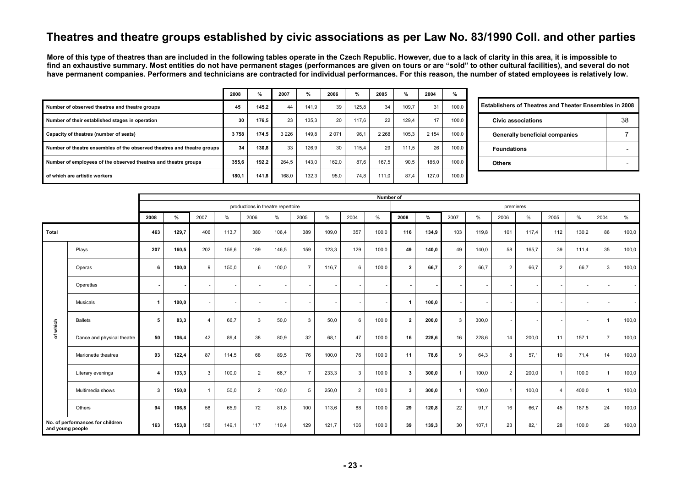## **Theatres and theatre groups established by civic associations as per Law No. 83/1990 Coll. and other parties**

**More of this type of theatres than are included in the following tables operate in the Czech Republic. However, due to a lack of clarity in this area, it is impossible to find an exhaustive summary. Most entities do not have permanent stages (performances are given on tours or are "sold" to other cultural facilities), and several do not**  have permanent companies. Performers and technicians are contracted for individual performances. For this reason, the number of stated employees is relatively low.

|                                                                         | 2008  | %     | 2007    | %     | 2006    | %     | 2005    | %     | 2004    | %     |
|-------------------------------------------------------------------------|-------|-------|---------|-------|---------|-------|---------|-------|---------|-------|
| Number of observed theatres and theatre groups                          | 45    | 145.2 | 44      | 141.9 | 39      | 125.8 | 34      | 109.7 | 31      | 100.0 |
| Number of their established stages in operation                         | 30    | 176.5 | 23      | 135.3 | 20      | 117.6 | 22      | 129.4 | 17      | 100.0 |
| Capacity of theatres (number of seats)                                  | 3758  | 174.5 | 3 2 2 6 | 149.8 | 2 0 7 1 | 96.1  | 2 2 6 8 | 105.3 | 2 1 5 4 | 100,0 |
| Number of theatre ensembles of the observed theatres and theatre groups | 34    | 130.8 | 33      | 126.9 | 30      | 115.4 | 29      | 111.5 | 26      | 100,0 |
| Number of employees of the observed theatres and theatre groups         | 355.6 | 192.2 | 264.5   | 143.0 | 162.0   | 87.6  | 167.5   | 90.5  | 185.0   | 100,0 |
| of which are artistic workers                                           | 180.1 | 141.8 | 168,0   | 132.3 | 95,0    | 74,8  | 111.0   | 87.4  | 127.0   | 100,0 |

| <b>Establishers of Theatres and Theater Ensembles in 2008</b> |    |
|---------------------------------------------------------------|----|
| Civic associations                                            | 38 |
| Generally beneficial companies                                |    |
| <b>Foundations</b>                                            |    |
| <b>Others</b>                                                 |    |

|                  |                                  |                         |       |                |       |                |                                   |                |               |                | Number of |                      |       |                |        |                |                          |                |                          |                |       |
|------------------|----------------------------------|-------------------------|-------|----------------|-------|----------------|-----------------------------------|----------------|---------------|----------------|-----------|----------------------|-------|----------------|--------|----------------|--------------------------|----------------|--------------------------|----------------|-------|
|                  |                                  |                         |       |                |       |                | productions in theatre repertoire |                |               |                |           |                      |       |                |        | premieres      |                          |                |                          |                |       |
|                  |                                  | 2008                    | %     | 2007           | $\%$  | 2006           | $\%$                              | 2005           | $\frac{9}{6}$ | 2004           | %         | 2008                 | %     | 2007           | $\%$   | 2006           | %                        | 2005           | $\%$                     | 2004           | %     |
| Total            |                                  | 463                     | 129,7 | 406            | 113,7 | 380            | 106,4                             | 389            | 109,0         | 357            | 100,0     | 116                  | 134,9 | 103            | 119.8  | 101            | 117.4                    | 112            | 130,2                    | 86             | 100,0 |
|                  | Plays                            | 207                     | 160,5 | 202            | 156,6 | 189            | 146,5                             | 159            | 123,3         | 129            | 100,0     | 49                   | 140,0 | 49             | 140,0  | 58             | 165,7                    | 39             | 111,4                    | 35             | 100,0 |
|                  | Operas                           | 6                       | 100,0 | 9              | 150,0 | 6              | 100,0                             | $\overline{7}$ | 116.7         | 6              | 100,0     | $\mathbf{2}$         | 66,7  | 2              | 66,7   | $\overline{2}$ | 66,7                     | 2              | 66,7                     | 3              | 100,0 |
|                  | Operettas                        |                         |       |                |       |                |                                   | $\sim$         |               |                |           |                      |       |                | $\sim$ | $\sim$         | $\overline{\phantom{a}}$ |                | $\overline{\phantom{a}}$ |                |       |
| which            | Musicals                         | $\overline{1}$          | 100,0 |                |       |                |                                   | ٠              |               |                |           | $\blacktriangleleft$ | 100,0 | $\sim$         | $\sim$ | $\sim$         |                          |                |                          |                |       |
|                  | <b>Ballets</b>                   | 5                       | 83,3  | $\overline{4}$ | 66,7  | 3              | 50,0                              | 3              | 50,0          | 6              | 100,0     | $\overline{2}$       | 200,0 | $\mathbf{3}$   | 300,0  | $\sim$         | $\overline{\phantom{a}}$ |                | $\overline{\phantom{a}}$ | -1             | 100,0 |
| ৳                | Dance and physical theatre       | 50                      | 106,4 | 42             | 89,4  | 38             | 80,9                              | 32             | 68,1          | 47             | 100,0     | 16                   | 228,6 | 16             | 228,6  | 14             | 200,0                    | 11             | 157,1                    | $\overline{7}$ | 100,0 |
|                  | Marionette theatres              | 93                      | 122,4 | 87             | 114,5 | 68             | 89,5                              | 76             | 100,0         | 76             | 100,0     | 11                   | 78,6  | 9              | 64,3   | 8              | 57,1                     | 10             | 71,4                     | 14             | 100,0 |
|                  | Literary evenings                | $\overline{\mathbf{4}}$ | 133,3 | 3              | 100,0 | $\overline{2}$ | 66,7                              | $\overline{ }$ | 233,3         | 3              | 100,0     | 3                    | 300,0 | $\overline{1}$ | 100,0  | $\overline{2}$ | 200,0                    | -1             | 100,0                    | $\overline{1}$ | 100,0 |
|                  | Multimedia shows                 | 3                       | 150,0 |                | 50,0  | $\overline{2}$ | 100,0                             | 5              | 250,0         | $\overline{2}$ | 100,0     | 3                    | 300,0 | $\overline{1}$ | 100,0  | $\overline{1}$ | 100,0                    | $\overline{4}$ | 400,0                    | $\overline{1}$ | 100,0 |
|                  | Others                           | 94                      | 106,8 | 58             | 65,9  | 72             | 81,8                              | 100            | 113,6         | 88             | 100,0     | 29                   | 120,8 | 22             | 91,7   | 16             | 66,7                     | 45             | 187,5                    | 24             | 100,0 |
| and young people | No. of performances for children | 163                     | 153,8 | 158            | 149,1 | 117            | 110,4                             | 129            | 121,7         | 106            | 100,0     | 39                   | 139,3 | 30             | 107,1  | 23             | 82,1                     | 28             | 100,0                    | 28             | 100,0 |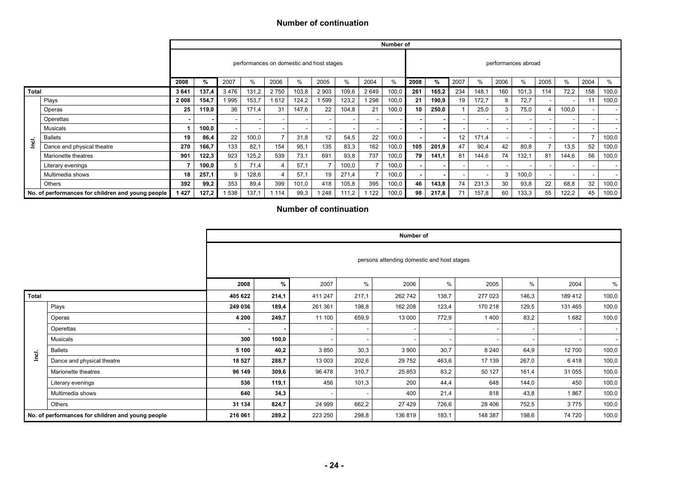#### **Number of continuation**

|              |                                                   |         |       |      |               |                                          |                          |         |       |      | Number of |      |                |      |       |      |                     |      |                          |      |       |
|--------------|---------------------------------------------------|---------|-------|------|---------------|------------------------------------------|--------------------------|---------|-------|------|-----------|------|----------------|------|-------|------|---------------------|------|--------------------------|------|-------|
|              |                                                   |         |       |      |               | performances on domestic and host stages |                          |         |       |      |           |      |                |      |       |      | performances abroad |      |                          |      |       |
|              |                                                   | 2008    | %     | 2007 | $\frac{0}{0}$ | 2006                                     | $\frac{0}{0}$            | 2005    | %     | 2004 | %         | 2008 | $\frac{9}{6}$  | 2007 | $\%$  | 2006 | $\%$                | 2005 | $\%$                     | 2004 | $\%$  |
| <b>Total</b> |                                                   | 3641    | 137,4 | 3476 | 131,2         | 2750                                     | 103,8                    | 2 9 0 3 | 109,6 | 2649 | 100.0     | 261  | 165,2          | 234  | 148.1 | 160  | 101,3               | 114  | 72,2                     | 158  | 100,0 |
|              | Plays                                             | 2 0 0 8 | 154,7 | 995  | 153,7         | 1612                                     | 124,2                    | 1 599   | 123,2 | 298  | 100,0     | 21   | 190,9          | 19   | 172.7 | 8    | 72.7                |      | $\overline{\phantom{a}}$ | -11  | 100,0 |
|              | Operas                                            | 25      | 119,0 | 36   | 171,4         | 31                                       | 147,6                    | 22      | 104,8 | 21   | 100,0     | 10   | 250,0          |      | 25,0  | 3    | 75,0                | 4    | 100,0                    |      |       |
|              | Operettas                                         |         |       |      |               | $\overline{\phantom{a}}$                 | ۰                        | . .     |       |      |           |      |                |      |       |      |                     |      |                          |      |       |
|              | Musicals                                          |         | 100,0 |      |               | $\overline{\phantom{a}}$                 | $\overline{\phantom{a}}$ | $\sim$  |       |      |           |      |                |      |       |      |                     |      |                          |      |       |
|              | <b>Ballets</b>                                    | 19      | 86.4  | 22   | 100,0         | $\overline{7}$                           | 31.8                     | 12      | 54.5  | 22   | 100,0     |      |                | 12   | 171,4 |      |                     |      |                          |      | 100,0 |
| <u>rei</u>   | Dance and physical theatre                        | 270     | 166,7 | 133  | 82.1          | 154                                      | 95,1                     | 135     | 83,3  | 162  | 100,0     | 105  | 201,9          | 47   | 90,4  | 42   | 80,8                |      | 13,5                     | 52   | 100,0 |
|              | Marionette theatres                               | 901     | 122,3 | 923  | 125,2         | 539                                      | 73,1                     | 691     | 93,8  | 737  | 100,0     | 79   | 141,1          | 81   | 144,6 | 74   | 132,1               | 81   | 144,6                    | 56   | 100,0 |
|              | Literary evenings                                 |         | 100,0 | 5    | 71.4          | $\overline{4}$                           | 57.1                     |         | 100,0 |      | 100,0     |      | $\blacksquare$ | ۰    | ۰     |      |                     |      | . .                      |      |       |
|              | Multimedia shows                                  | 18      | 257,1 | 9    | 128,6         | $\overline{4}$                           | 57.1                     | 19      | 271,4 |      | 100,0     |      |                |      |       | 3    | 100,0               |      | . .                      |      |       |
|              | <b>Others</b>                                     | 392     | 99,2  | 353  | 89,4          | 399                                      | 101,0                    | 418     | 105,8 | 395  | 100,0     | 46   | 143,8          | 74   | 231,3 | 30   | 93,8                | 22   | 68,8                     | 32   | 100,0 |
|              | No. of performances for children and young people | 1427    | 127,2 | 538  | 137,1         | 1114                                     | 99,3                     | 248     | 111,2 | 122  | 100,0     | 98   | 217,8          | 71   | 157,8 | 60   | 133,3               | 55   | 122,2                    | 45   | 100,0 |

#### **Number of continuation**

|              |                                                   |         |       |         |                          | Number of                                  |       |         |       |                          |       |
|--------------|---------------------------------------------------|---------|-------|---------|--------------------------|--------------------------------------------|-------|---------|-------|--------------------------|-------|
|              |                                                   |         |       |         |                          | persons attending domestic and host stages |       |         |       |                          |       |
|              |                                                   | 2008    | %     | 2007    | %                        | 2006                                       | %     | 2005    | $\%$  | 2004                     | %     |
| <b>Total</b> |                                                   | 405 622 | 214,1 | 411 247 | 217,1                    | 262 742                                    | 138,7 | 277 023 | 146,3 | 189 412                  | 100,0 |
|              | Plays                                             | 249 036 | 189,4 | 261 361 | 198,8                    | 162 208                                    | 123,4 | 170 218 | 129,5 | 131 465                  | 100,0 |
|              | Operas                                            | 4 200   | 249,7 | 11 100  | 659,9                    | 13 000                                     | 772,9 | 1400    | 83,2  | 1682                     | 100,0 |
|              | Operettas                                         |         |       |         |                          |                                            |       |         |       | $\sim$                   |       |
|              | <b>Musicals</b>                                   | 300     | 100,0 |         | $\overline{\phantom{a}}$ |                                            |       |         |       | $\overline{\phantom{a}}$ |       |
| Incl.        | <b>Ballets</b>                                    | 5 100   | 40,2  | 3850    | 30,3                     | 3 9 0 0                                    | 30,7  | 8 2 4 0 | 64,9  | 12 700                   | 100,0 |
|              | Dance and physical theatre                        | 18 527  | 288,7 | 13 003  | 202,6                    | 29 752                                     | 463,6 | 17 139  | 267,0 | 6418                     | 100,0 |
|              | Marionette theatres                               | 96 149  | 309,6 | 96 478  | 310,7                    | 25 853                                     | 83,2  | 50 127  | 161,4 | 31 055                   | 100,0 |
|              | Literary evenings                                 | 536     | 119,1 | 456     | 101,3                    | 200                                        | 44,4  | 648     | 144,0 | 450                      | 100,0 |
|              | Multimedia shows                                  | 640     | 34,3  |         |                          | 400                                        | 21,4  | 818     | 43,8  | 1867                     | 100,0 |
|              | Others                                            | 31 134  | 824,7 | 24 999  | 662,2                    | 27 4 29                                    | 726,6 | 28 40 6 | 752,5 | 3775                     | 100,0 |
|              | No. of performances for children and young people | 216 061 | 289,2 | 223 250 | 298,8                    | 136 819                                    | 183,1 | 148 387 | 198,6 | 74 720                   | 100,0 |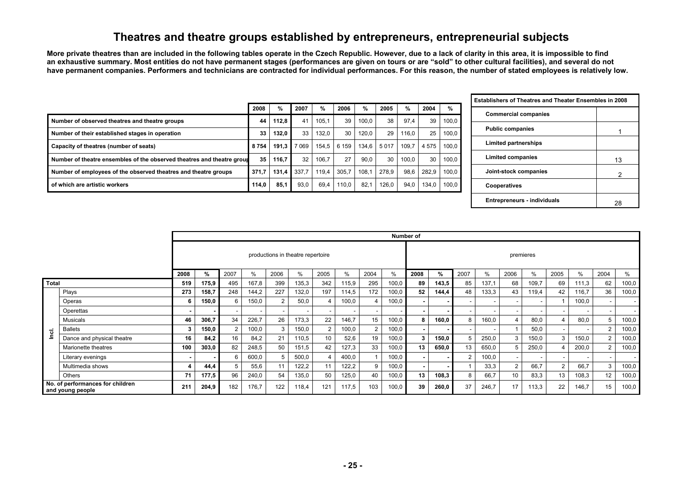## **Theatres and theatre groups established by entrepreneurs, entrepreneurial subjects**

**More private theatres than are included in the following tables operate in the Czech Republic. However, due to a lack of clarity in this area, it is impossible to find an exhaustive summary. Most entities do not have permanent stages (performances are given on tours or are "sold" to other cultural facilities), and several do not have permanent companies. Performers and technicians are contracted for individual performances. For this reason, the number of stated employees is relatively low.** 

|                                                                        | 2008  | %     | 2007    | %     | 2006    | %     | 2005  | %     | 2004  | $\frac{9}{6}$ |
|------------------------------------------------------------------------|-------|-------|---------|-------|---------|-------|-------|-------|-------|---------------|
| Number of observed theatres and theatre groups                         | 44    | 112.8 | 41      | 105.1 | 39      | 100.0 | 38    | 97,4  | 39    | 100.0         |
| Number of their established stages in operation                        | 33    | 132.0 | 33      | 132.0 | 30      | 120.0 | 29    | 116.0 | 25    | 100.0         |
| Capacity of theatres (number of seats)                                 | 8754  | 191.3 | 7 0 6 9 | 154.5 | 6 1 5 9 | 134.6 | 5017  | 109.7 | 4575  | 100.0         |
| Number of theatre ensembles of the observed theatres and theatre group | 35    | 116.7 | 32      | 106.7 | 27      | 90.0  | 30    | 100.0 | 30    | 100.0         |
| Number of employees of the observed theatres and theatre groups        | 371.7 | 131.4 | 337.7   | 119.4 | 305.7   | 108.1 | 278.9 | 98.6  | 282.9 | 100.0         |
| of which are artistic workers                                          | 114.0 | 85,1  | 93.0    | 69.4  | 110.0   | 82.1  | 126.0 | 94,0  | 134.0 | 100.0         |

| Establishers of Theatres and Theater Ensembles in 2008 |    |
|--------------------------------------------------------|----|
| <b>Commercial companies</b>                            |    |
| <b>Public companies</b>                                |    |
| <b>Limited partnerships</b>                            |    |
| Limited companies                                      | 13 |
| Joint-stock companies                                  | 2  |
| Cooperatives                                           |    |
| <b>Entrepreneurs - individuals</b>                     |    |

|       |                                                      |                  |               |                |       |      |                                   |      |       |      |       | Number of |       |                          |                          |                |           |               |       |                          |       |
|-------|------------------------------------------------------|------------------|---------------|----------------|-------|------|-----------------------------------|------|-------|------|-------|-----------|-------|--------------------------|--------------------------|----------------|-----------|---------------|-------|--------------------------|-------|
|       |                                                      |                  |               |                |       |      | productions in theatre repertoire |      |       |      |       |           |       |                          |                          |                | premieres |               |       |                          |       |
|       |                                                      | 2008             | $\frac{9}{6}$ | 2007           | %     | 2006 | %                                 | 2005 | $\%$  | 2004 | %     | 2008      | %     | 2007                     | $\frac{0}{0}$            | 2006           | $\%$      | 2005          | $\%$  | 2004                     | %     |
| Total |                                                      | 519              | 175,9         | 495            | 167,8 | 399  | 135,3                             | 342  | 115,9 | 295  | 100,0 | 89        | 143,5 | 85                       | 137,1                    | 68             | 109,7     | 69            | 111,3 | 62                       | 100,0 |
|       | Plays                                                | 273              | 158,7         | 248            | 144,2 | 227  | 132,0                             | 197  | 114,5 | 172  | 100,0 | 52        | 144,4 | 48                       | 133,3                    | 43             | 119,4     | 42            | 116,7 | 36                       | 100,0 |
|       | Operas                                               | 6                | 150,0         | 6              | 150,0 | 2    | 50,0                              |      | 100,0 | 4    | 100,0 |           |       | $\overline{\phantom{a}}$ | $\overline{\phantom{a}}$ |                |           |               | 100,0 |                          |       |
|       | Operettas                                            | $\blacksquare$   |               |                |       |      |                                   |      |       |      |       |           |       | $\overline{\phantom{a}}$ | $\overline{\phantom{a}}$ |                |           |               |       | $\overline{\phantom{a}}$ |       |
|       | Musicals                                             | 46               | 306,7         | 34             | 226,7 | 26   | 173,3                             | 22   | 146,7 | 15   | 100,0 | 8         | 160,0 | 8                        | 160,0                    | 4              | 80,0      |               | 80.0  | 5                        | 100,0 |
| ಕ     | <b>Ballets</b>                                       | 3                | 150,0         | $\mathfrak{p}$ | 100,0 | 3    | 150,0                             | 2    | 100,0 |      | 100,0 |           |       | $\overline{\phantom{a}}$ | $\overline{\phantom{a}}$ |                | 50,0      |               |       | 2                        | 100,0 |
|       | Dance and physical theatre                           | 16               | 84.2          | 16             | 84,2  | 21   | 110,5                             | 10   | 52,6  | 19   | 100,0 | 3         | 150,0 | 5                        | 250,0                    | 3              | 150,0     | 3             | 150,0 | $\overline{2}$           | 100,0 |
|       | Marionette theatres                                  | 100              | 303,0         | 82             | 248,5 | 50   | 151,5                             | 42   | 127,3 | 33   | 100,0 | 13        | 650,0 | 13                       | 650,0                    | 5              | 250,0     |               | 200,0 | 2                        | 100,0 |
|       | Literary evenings                                    | $\,$             |               | 6              | 600,0 |      | 500,0                             |      | 400,0 |      | 100,0 |           |       | 2                        | 100,0                    |                |           |               |       | $\overline{\phantom{a}}$ |       |
|       | Multimedia shows                                     | $\boldsymbol{4}$ | 44,4          | 5              | 55,6  |      | 122,2                             | 11   | 122,2 | 9    | 100,0 |           |       |                          | 33,3                     | $\overline{2}$ | 66,7      | $\mathcal{P}$ | 66,7  | 3                        | 100,0 |
|       | Others                                               | 71               | 177,5         | 96             | 240,0 | 54   | 135,0                             | 50   | 125,0 | 40   | 100,0 | 13        | 108,3 | 8                        | 66,7                     | 10             | 83,3      | 13            | 108,3 | 12                       | 100,0 |
|       | No. of performances for children<br>and young people | 211              | 204,9         | 182            | 176,7 | 122  | 118,4                             | 121  | 117,5 | 103  | 100,0 | 39        | 260,0 | 37                       | 246,7                    | 17             | 113,3     | 22            | 146,7 | 15                       | 100,0 |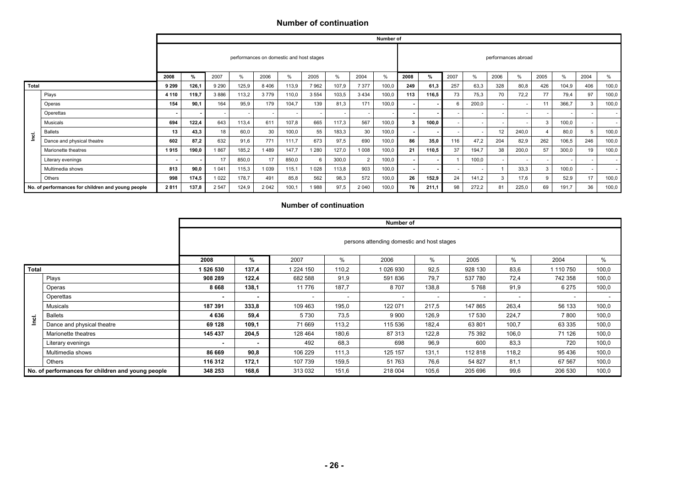#### **Number of continuation**

|         |                                                   |         |       |         |               |         |                                          |         |       |                | Number of |              |               |      |       |      |                     |        |        |                          |       |
|---------|---------------------------------------------------|---------|-------|---------|---------------|---------|------------------------------------------|---------|-------|----------------|-----------|--------------|---------------|------|-------|------|---------------------|--------|--------|--------------------------|-------|
|         |                                                   |         |       |         |               |         | performances on domestic and host stages |         |       |                |           |              |               |      |       |      | performances abroad |        |        |                          |       |
|         |                                                   | 2008    | $\%$  | 2007    | $\frac{0}{0}$ | 2006    | %                                        | 2005    | $\%$  | 2004           | $\%$      | 2008         | $\frac{9}{6}$ | 2007 | %     | 2006 | %                   | 2005   | %      | 2004                     | %     |
| Total   |                                                   | 9 2 9 9 | 126,1 | 9 2 9 0 | 125,9         | 8 4 0 6 | 113,9                                    | 7 9 6 2 | 107,9 | 7 3 7 7        | 100,0     | 249          | 61,3          | 257  | 63,3  | 328  | 80,8                | 426    | 104,9  | 406                      | 100,0 |
|         | Plays                                             | 4 1 1 0 | 119,7 | 3886    | 113,2         | 3779    | 110,0                                    | 3 5 5 4 | 103,5 | 3 4 3 4        | 100,0     | 113          | 116,5         | 73   | 75,3  | 70   | 72,2                | 77     | 79,4   | 97                       | 100,0 |
|         | Operas                                            | 154     | 90.1  | 164     | 95,9          | 179     | 104.7                                    | 139     | 81,3  | 171            | 100,0     |              |               | 6    | 200,0 |      |                     | 11     | 366,7  |                          | 100,0 |
|         | Operettas                                         |         |       |         |               |         |                                          |         |       |                |           |              |               |      |       |      |                     |        | $\sim$ |                          |       |
|         | Musicals                                          | 694     | 122,4 | 643     | 113,4         | 611     | 107,8                                    | 665     | 117,3 | 567            | 100,0     | $\mathbf{3}$ | 100,0         |      |       |      |                     |        | 100,0  |                          |       |
| .<br>اع | <b>Ballets</b>                                    | 13      | 43,3  | 18      | 60,0          | 30      | 100,0                                    | 55      | 183,3 | 30             | 100,0     |              |               |      |       | 12   | 240,0               |        | 80,0   | 5                        | 100,0 |
|         | Dance and physical theatre                        | 602     | 87,2  | 632     | 91,6          | 771     | 111.7                                    | 673     | 97,5  | 690            | 100,0     | 86           | 35,0          | 116  | 47,2  | 204  | 82,9                | 262    | 106,5  | 246                      | 100,0 |
|         | Marionette theatres                               | 1915    | 190,0 | 1867    | 185,2         | 1489    | 147.7                                    | 1 280   | 127,0 | 1 0 0 8        | 100,0     | 21           | 110,5         | 37   | 194.7 | 38   | 200,0               | 57     | 300,0  | 19                       | 100,0 |
|         | Literary evenings                                 |         |       | 17      | 850,0         | 17      | 850,0                                    | 6       | 300,0 | $\overline{2}$ | 100,0     |              |               |      | 100.0 |      |                     | $\sim$ | $\sim$ | $\overline{\phantom{a}}$ |       |
|         | Multimedia shows                                  | 813     | 90,0  | 1 0 4 1 | 115,3         | 1 0 3 9 | 115,1                                    | 1028    | 113,8 | 903            | 100,0     |              |               |      |       |      | 33.3                |        | 100,0  |                          |       |
|         | Others                                            | 998     | 174,5 | 1 0 2 2 | 178,7         | 491     | 85,8                                     | 562     | 98,3  | 572            | 100,0     | 26           | 152,9         | 24   | 141,2 | 3    | 17,6                |        | 52,9   | 17                       | 100,0 |
|         | No. of performances for children and young people | 2811    | 137,8 | 2 5 4 7 | 124,9         | 2 0 4 2 | 100,1                                    | 1988    | 97,5  | 2 0 4 0        | 100,0     | 76           | 211,1         | 98   | 272,2 | 81   | 225.0               | 69     | 191.7  | 36                       | 100,0 |

#### **Number of continuation**

|              |                                                   |           |       |                          |        | Number of                                  |       |         |        |           |                          |
|--------------|---------------------------------------------------|-----------|-------|--------------------------|--------|--------------------------------------------|-------|---------|--------|-----------|--------------------------|
|              |                                                   |           |       |                          |        | persons attending domestic and host stages |       |         |        |           |                          |
|              |                                                   | 2008      | %     | 2007                     | %      | 2006                                       | %     | 2005    | %      | 2004      | %                        |
| <b>Total</b> |                                                   | 1 526 530 | 137,4 | 224 150                  | 110,2  | 1 026 930                                  | 92,5  | 928 130 | 83,6   | 1 110 750 | 100,0                    |
|              | Plays                                             | 908 289   | 122,4 | 682 588                  | 91,9   | 591 836                                    | 79.7  | 537 780 | 72,4   | 742 358   | 100,0                    |
|              | Operas                                            | 8 6 6 8   | 138,1 | 11 776                   | 187,7  | 8707                                       | 138,8 | 5768    | 91,9   | 6 2 7 5   | 100,0                    |
|              | Operettas                                         |           |       | $\overline{\phantom{a}}$ | $\sim$ | $\overline{\phantom{a}}$                   |       |         | $\sim$ |           | $\overline{\phantom{a}}$ |
|              | Musicals                                          | 187 391   | 333,8 | 109 463                  | 195,0  | 122 071                                    | 217,5 | 147 865 | 263,4  | 56 133    | 100,0                    |
|              | <b>Ballets</b>                                    | 4 6 3 6   | 59,4  | 5730                     | 73,5   | 9 9 0 0                                    | 126,9 | 17 530  | 224,7  | 7800      | 100,0                    |
| Inci.        | Dance and physical theatre                        | 69 128    | 109,1 | 71 669                   | 113,2  | 115 536                                    | 182,4 | 63 801  | 100,7  | 63 335    | 100,0                    |
|              | Marionette theatres                               | 145 437   | 204,5 | 128 464                  | 180,6  | 87 313                                     | 122,8 | 75 392  | 106,0  | 71 126    | 100,0                    |
|              | Literary evenings                                 |           |       | 492                      | 68,3   | 698                                        | 96,9  | 600     | 83,3   | 720       | 100,0                    |
|              | Multimedia shows                                  | 86 669    | 90,8  | 106 229                  | 111,3  | 125 157                                    | 131,1 | 112818  | 118,2  | 95 436    | 100,0                    |
|              | Others                                            | 116 312   | 172,1 | 107 739                  | 159,5  | 51 763                                     | 76,6  | 54 827  | 81,1   | 67 567    | 100,0                    |
|              | No. of performances for children and young people | 348 253   | 168,6 | 313 032                  | 151,6  | 218 004                                    | 105,6 | 205 696 | 99,6   | 206 530   | 100,0                    |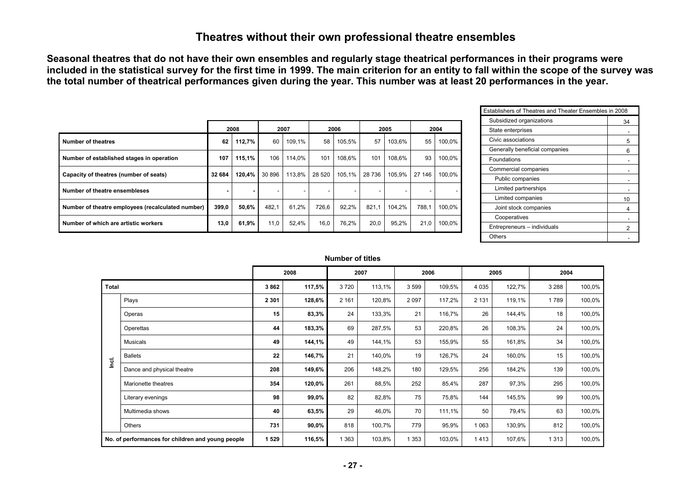## **Theatres without their own professional theatre ensembles**

**Seasonal theatres that do not have their own ensembles and regularly stage theatrical performances in their programs were included in the statistical survey for the first time in 1999. The main criterion for an entity to fall within the scope of the survey was the total number of theatrical performances given during the year. This number was at least 20 performances in the year.** 

|                                                   |        | 2008   |        | 2007   |         | 2006   |        | 2005   |        | 2004   |
|---------------------------------------------------|--------|--------|--------|--------|---------|--------|--------|--------|--------|--------|
| Number of theatres                                | 62     | 112,7% | 60     | 109.1% | 58      | 105.5% | 57     | 103.6% | 55     | 100.0% |
| Number of established stages in operation         | 107    | 115,1% | 106    | 114.0% | 101     | 108.6% | 101    | 108.6% | 93     | 100.0% |
| Capacity of theatres (number of seats)            | 32 684 | 120,4% | 30 896 | 113.8% | 28 5 20 | 105.1% | 28 736 | 105.9% | 27 146 | 100.0% |
| Number of theatre ensembleses                     |        | ۰      |        | ۰.     | ۰       | ۰.     |        | ۰.     | ۰      |        |
| Number of theatre employees (recalculated number) | 399.0  | 50,6%  | 482,1  | 61.2%  | 726.6   | 92,2%  | 821.1  | 104.2% | 788,1  | 100,0% |
| Number of which are artistic workers              | 13,0   | 61,9%  | 11,0   | 52,4%  | 16,0    | 76,2%  | 20,0   | 95,2%  | 21,0   | 100,0% |

| Establishers of Theatres and Theater Ensembles in 2008 |    |
|--------------------------------------------------------|----|
| Subsidized organizations                               | 34 |
| State enterprises                                      |    |
| Civic associations                                     | 5  |
| Generally beneficial companies                         | 6  |
| Foundations                                            |    |
| Commercial companies                                   |    |
| Public companies                                       |    |
| Limited partnerships                                   |    |
| Limited companies                                      | 10 |
| Joint stock companies                                  | 4  |
| Cooperatives                                           |    |
| Entrepreneurs - individuals                            |    |
| Others                                                 |    |

#### **Number of titles**

|              |                                                   |         | 2008   |         | 2007   |         | 2006   |         | 2005   |         | 2004   |
|--------------|---------------------------------------------------|---------|--------|---------|--------|---------|--------|---------|--------|---------|--------|
| <b>Total</b> |                                                   | 3862    | 117,5% | 3720    | 113,1% | 3599    | 109,5% | 4 0 3 5 | 122,7% | 3 2 8 8 | 100,0% |
|              | Plays                                             | 2 3 0 1 | 128,6% | 2 1 6 1 | 120,8% | 2 0 9 7 | 117,2% | 2 1 3 1 | 119,1% | 1789    | 100,0% |
|              | Operas                                            | 15      | 83,3%  | 24      | 133,3% | 21      | 116,7% | 26      | 144,4% | 18      | 100,0% |
|              | Operettas                                         | 44      | 183,3% | 69      | 287,5% | 53      | 220,8% | 26      | 108,3% | 24      | 100,0% |
|              | Musicals                                          | 49      | 144,1% | 49      | 144,1% | 53      | 155,9% | 55      | 161,8% | 34      | 100,0% |
| lnci.        | <b>Ballets</b>                                    | 22      | 146,7% | 21      | 140,0% | 19      | 126,7% | 24      | 160,0% | 15      | 100,0% |
|              | Dance and physical theatre                        | 208     | 149,6% | 206     | 148,2% | 180     | 129,5% | 256     | 184,2% | 139     | 100,0% |
|              | Marionette theatres                               | 354     | 120,0% | 261     | 88,5%  | 252     | 85,4%  | 287     | 97,3%  | 295     | 100,0% |
|              | Literary evenings                                 | 98      | 99,0%  | 82      | 82,8%  | 75      | 75,8%  | 144     | 145,5% | 99      | 100,0% |
|              | Multimedia shows                                  | 40      | 63,5%  | 29      | 46,0%  | 70      | 111,1% | 50      | 79,4%  | 63      | 100,0% |
|              | Others                                            | 731     | 90,0%  | 818     | 100,7% | 779     | 95,9%  | 1 0 6 3 | 130,9% | 812     | 100,0% |
|              | No. of performances for children and young people | 1 529   | 116,5% | 1 3 6 3 | 103,8% | 1 3 5 3 | 103,0% | 1413    | 107,6% | 1 3 1 3 | 100,0% |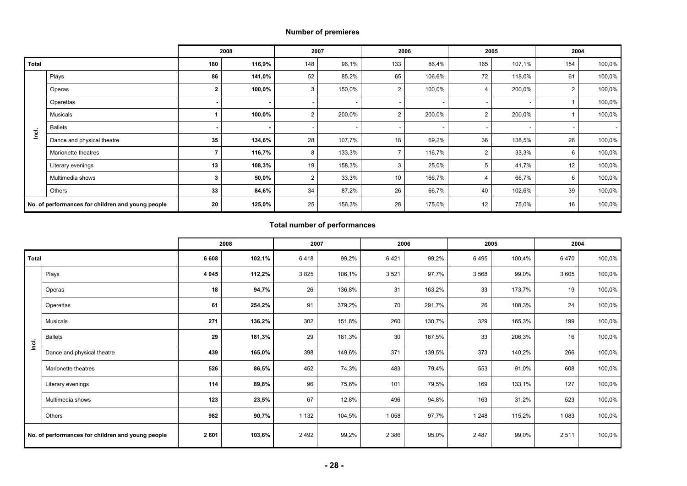#### **Number of premieres**

|              |                                                   |                          | 2008   |                | 2007   |                | 2006                     |     | 2005   | 2004 |        |
|--------------|---------------------------------------------------|--------------------------|--------|----------------|--------|----------------|--------------------------|-----|--------|------|--------|
| <b>Total</b> |                                                   | 180                      | 116,9% | 148            | 96,1%  | 133            | 86,4%                    | 165 | 107,1% | 154  | 100,0% |
|              | Plays                                             | 86                       | 141,0% | 52             | 85,2%  | 65             | 106,6%                   | 72  | 118,0% | 61   | 100,0% |
|              | Operas                                            | $\mathbf{2}$             | 100,0% | 3              | 150,0% | 2              | 100,0%                   |     | 200,0% | 2    | 100,0% |
|              | Operettas                                         | $\overline{\phantom{a}}$ |        |                |        |                | $\overline{\phantom{a}}$ | ٠   |        |      | 100,0% |
|              | Musicals                                          |                          | 100,0% | 2              | 200,0% | $\overline{2}$ | 200,0%                   | ∠   | 200,0% |      | 100,0% |
| lnci.        | <b>Ballets</b>                                    | $\,$ $\,$                |        |                |        |                |                          |     |        |      |        |
|              | Dance and physical theatre                        | 35                       | 134,6% | 28             | 107,7% | 18             | 69,2%                    | 36  | 138,5% | 26   | 100,0% |
|              | Marionette theatres                               |                          | 116,7% | 8              | 133,3% |                | 116,7%                   | 2   | 33,3%  | 6    | 100,0% |
|              | Literary evenings                                 | 13                       | 108,3% | 19             | 158,3% | 3              | 25,0%                    |     | 41,7%  | 12   | 100,0% |
|              | Multimedia shows                                  | 3                        | 50,0%  | $\overline{2}$ | 33,3%  | 10             | 166,7%                   |     | 66,7%  | 6    | 100,0% |
|              | Others                                            | 33                       | 84,6%  | 34             | 87,2%  | 26             | 66,7%                    | 40  | 102,6% | 39   | 100,0% |
|              | No. of performances for children and young people | 20                       | 125,0% | 25             | 156,3% | 28             | 175,0%                   | 12  | 75,0%  | 16   | 100,0% |

#### **Total number of performances**

|              |                                                   |         | 2008   |         | 2007   |         | 2006   |         | 2005   | 2004    |        |
|--------------|---------------------------------------------------|---------|--------|---------|--------|---------|--------|---------|--------|---------|--------|
| <b>Total</b> |                                                   | 6 6 0 8 | 102,1% | 6418    | 99,2%  | 6421    | 99,2%  | 6495    | 100,4% | 6470    | 100,0% |
|              | Plays                                             | 4 0 4 5 | 112,2% | 3825    | 106,1% | 3521    | 97,7%  | 3 5 6 8 | 99,0%  | 3 6 0 5 | 100,0% |
|              | Operas                                            | 18      | 94,7%  | 26      | 136,8% | 31      | 163,2% | 33      | 173,7% | 19      | 100,0% |
|              | Operettas                                         | 61      | 254,2% | 91      | 379,2% | 70      | 291,7% | 26      | 108,3% | 24      | 100,0% |
|              | Musicals                                          | 271     | 136,2% | 302     | 151,8% | 260     | 130,7% | 329     | 165,3% | 199     | 100,0% |
| Inci.        | <b>Ballets</b>                                    | 29      | 181,3% | 29      | 181,3% | 30      | 187,5% | 33      | 206,3% | 16      | 100,0% |
|              | Dance and physical theatre                        | 439     | 165,0% | 398     | 149,6% | 371     | 139,5% | 373     | 140,2% | 266     | 100,0% |
|              | Marionette theatres                               | 526     | 86,5%  | 452     | 74,3%  | 483     | 79,4%  | 553     | 91,0%  | 608     | 100,0% |
|              | Literary evenings                                 | 114     | 89,8%  | 96      | 75,6%  | 101     | 79,5%  | 169     | 133,1% | 127     | 100,0% |
|              | Multimedia shows                                  | 123     | 23,5%  | 67      | 12,8%  | 496     | 94,8%  | 163     | 31,2%  | 523     | 100,0% |
|              | Others                                            | 982     | 90,7%  | 1 1 3 2 | 104,5% | 1 0 5 8 | 97,7%  | 1 2 4 8 | 115,2% | 1 0 8 3 | 100,0% |
|              | No. of performances for children and young people | 2601    | 103,6% | 2492    | 99,2%  | 2 3 8 6 | 95,0%  | 2487    | 99,0%  | 2511    | 100,0% |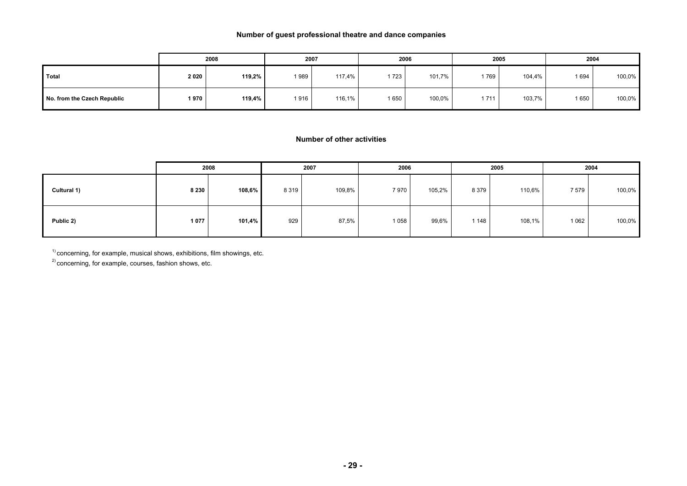#### **Number of guest professional theatre and dance companies**

|                             |      | 2008      |      | 2007   |       | 2006   |      | 2005   | 2004    |        |
|-----------------------------|------|-----------|------|--------|-------|--------|------|--------|---------|--------|
| Total                       | 2020 | 119,2%    | 1989 | 117,4% | 1 723 | 101,7% | 769  | 104,4% | 1 6 9 4 | 100,0% |
| No. from the Czech Republic | 1970 | $119.4\%$ | 1916 | 116,1% | 1650  | 100,0% | 1711 | 103,7% | 1 650   | 100,0% |

#### **Number of other activities**

|             |         | 2008      |         | 2007   | 2006    |        |         | 2005   |         | 2004   |
|-------------|---------|-----------|---------|--------|---------|--------|---------|--------|---------|--------|
| Cultural 1) | 8 2 3 0 | $108,6\%$ | 8 3 1 9 | 109,8% | 7970    | 105,2% | 8 3 7 9 | 110,6% | 7579    | 100,0% |
| Public 2)   | 1077    | 101,4%    | 929     | 87,5%  | 1 0 5 8 | 99,6%  | 1 1 4 8 | 108,1% | 1 0 6 2 | 100,0% |

 $1)$  concerning, for example, musical shows, exhibitions, film showings, etc.

<sup>2)</sup> concerning, for example, courses, fashion shows, etc.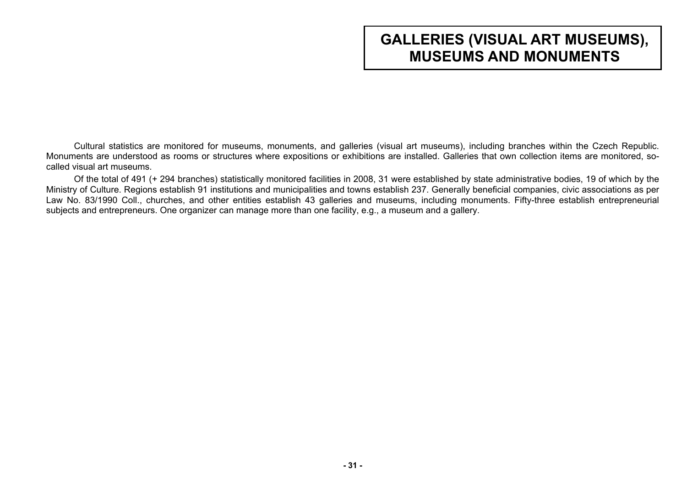# **GALLERIES (VISUAL ART MUSEUMS), MUSEUMS AND MONUMENTS**

<span id="page-30-0"></span>Cultural statistics are monitored for museums, monuments, and galleries (visual art museums), including branches within the Czech Republic. Monuments are understood as rooms or structures where expositions or exhibitions are installed. Galleries that own collection items are monitored, socalled visual art museums.

Of the total of 491 (+ 294 branches) statistically monitored facilities in 2008, 31 were established by state administrative bodies, 19 of which by the Ministry of Culture. Regions establish 91 institutions and municipalities and towns establish 237. Generally beneficial companies, civic associations as per Law No. 83/1990 Coll., churches, and other entities establish 43 galleries and museums, including monuments. Fifty-three establish entrepreneurial subjects and entrepreneurs. One organizer can manage more than one facility, e.g., a museum and a gallery.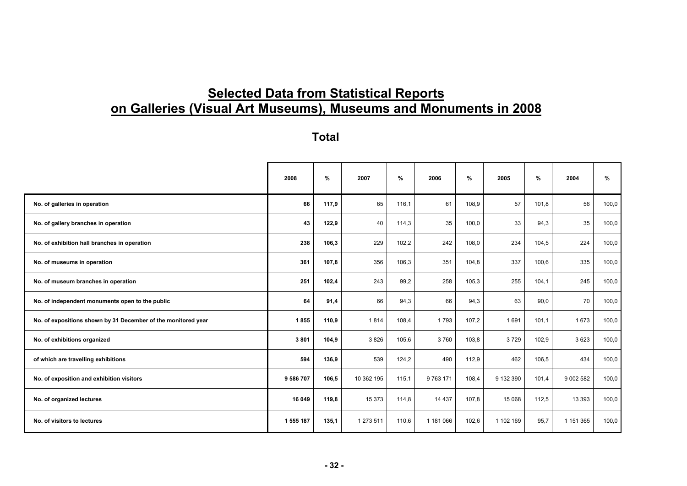# **Selected Data from Statistical Reports on Galleries (Visual Art Museums), Museums and Monuments in 2008**

**Total** 

|                                                               | 2008      | %     | 2007       | $\%$  | 2006      | %     | 2005      | %     | 2004      | %     |
|---------------------------------------------------------------|-----------|-------|------------|-------|-----------|-------|-----------|-------|-----------|-------|
| No. of galleries in operation                                 | 66        | 117,9 | 65         | 116,1 | 61        | 108,9 | 57        | 101,8 | 56        | 100,0 |
| No. of gallery branches in operation                          | 43        | 122,9 | 40         | 114,3 | 35        | 100,0 | 33        | 94,3  | 35        | 100,0 |
| No. of exhibition hall branches in operation                  | 238       | 106,3 | 229        | 102,2 | 242       | 108,0 | 234       | 104,5 | 224       | 100,0 |
| No. of museums in operation                                   | 361       | 107,8 | 356        | 106,3 | 351       | 104,8 | 337       | 100,6 | 335       | 100,0 |
| No. of museum branches in operation                           | 251       | 102,4 | 243        | 99,2  | 258       | 105,3 | 255       | 104,1 | 245       | 100,0 |
| No. of independent monuments open to the public               | 64        | 91,4  | 66         | 94,3  | 66        | 94,3  | 63        | 90,0  | 70        | 100,0 |
| No. of expositions shown by 31 December of the monitored year | 1855      | 110,9 | 1814       | 108,4 | 1793      | 107,2 | 1691      | 101,1 | 1673      | 100,0 |
| No. of exhibitions organized                                  | 3801      | 104,9 | 3826       | 105,6 | 3760      | 103,8 | 3729      | 102,9 | 3623      | 100,0 |
| of which are travelling exhibitions                           | 594       | 136,9 | 539        | 124,2 | 490       | 112,9 | 462       | 106,5 | 434       | 100,0 |
| No. of exposition and exhibition visitors                     | 9 586 707 | 106,5 | 10 362 195 | 115,1 | 9 763 171 | 108,4 | 9 132 390 | 101,4 | 9 002 582 | 100,0 |
| No. of organized lectures                                     | 16 049    | 119,8 | 15 373     | 114,8 | 14 4 3 7  | 107,8 | 15 0 68   | 112,5 | 13 3 9 3  | 100,0 |
| No. of visitors to lectures                                   | 1 555 187 | 135,1 | 1 273 511  | 110,6 | 1 181 066 | 102,6 | 1 102 169 | 95,7  | 1 151 365 | 100,0 |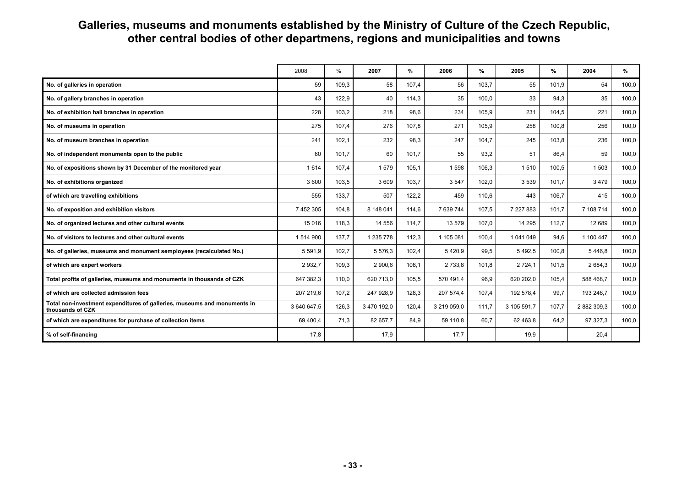## **Galleries, museums and monuments established by the Ministry of Culture of the Czech Republic, other central bodies of other departmens, regions and municipalities and towns**

|                                                                                              | 2008        | %     | 2007        | %     | 2006        | %     | 2005        | %     | 2004        | %     |
|----------------------------------------------------------------------------------------------|-------------|-------|-------------|-------|-------------|-------|-------------|-------|-------------|-------|
| No. of galleries in operation                                                                | 59          | 109,3 | 58          | 107.4 | 56          | 103,7 | 55          | 101.9 | 54          | 100,0 |
| No. of gallery branches in operation                                                         | 43          | 122,9 | 40          | 114,3 | 35          | 100,0 | 33          | 94,3  | 35          | 100,0 |
| No. of exhibition hall branches in operation                                                 | 228         | 103,2 | 218         | 98,6  | 234         | 105,9 | 231         | 104,5 | 221         | 100,0 |
| No. of museums in operation                                                                  | 275         | 107.4 | 276         | 107.8 | 271         | 105,9 | 258         | 100.8 | 256         | 100,0 |
| No. of museum branches in operation                                                          | 241         | 102,1 | 232         | 98,3  | 247         | 104,7 | 245         | 103,8 | 236         | 100,0 |
| No. of independent monuments open to the public                                              | 60          | 101,7 | 60          | 101,7 | 55          | 93,2  | 51          | 86,4  | 59          | 100,0 |
| No. of expositions shown by 31 December of the monitored year                                | 1 6 1 4     | 107.4 | 1579        | 105,1 | 1 5 9 8     | 106,3 | 1510        | 100,5 | 1 503       | 100,0 |
| No. of exhibitions organized                                                                 | 3 600       | 103,5 | 3 609       | 103,7 | 3 5 4 7     | 102,0 | 3 5 3 9     | 101.7 | 3479        | 100,0 |
| of which are travelling exhibitions                                                          | 555         | 133,7 | 507         | 122,2 | 459         | 110,6 | 443         | 106.7 | 415         | 100,0 |
| No. of exposition and exhibition visitors                                                    | 7 452 305   | 104.8 | 8 148 041   | 114.6 | 7 639 744   | 107,5 | 7 227 883   | 101.7 | 7 108 714   | 100,0 |
| No. of organized lectures and other cultural events                                          | 15 0 16     | 118.3 | 14 556      | 114.7 | 13 579      | 107.0 | 14 295      | 112,7 | 12 689      | 100,0 |
| No. of visitors to lectures and other cultural events                                        | 1 514 900   | 137.7 | 1 235 778   | 112,3 | 1 105 081   | 100.4 | 1 041 049   | 94.6  | 1 100 447   | 100,0 |
| No. of galleries, museums and monument semployees (recalculated No.)                         | 5 5 9 1 , 9 | 102,7 | 5 576,3     | 102,4 | 5420,9      | 99,5  | 5 4 9 2.5   | 100,8 | 5 4 4 6 8   | 100,0 |
| of which are expert workers                                                                  | 2932.7      | 109,3 | 2 900.6     | 108,1 | 2 7 3 3.8   | 101,8 | 2 7 2 4 . 1 | 101,5 | 2 684.3     | 100,0 |
| Total profits of galleries, museums and monuments in thousands of CZK                        | 647 382,3   | 110,0 | 620 713,0   | 105,5 | 570 491,4   | 96,9  | 620 202,0   | 105,4 | 588 468.7   | 100,0 |
| of which are collected admission fees                                                        | 207 219,6   | 107,2 | 247 928,9   | 128,3 | 207 574,4   | 107,4 | 192 578,4   | 99,7  | 193 246,7   | 100,0 |
| Total non-investment expenditures of galleries, museums and monuments in<br>thousands of CZK | 3 640 647,5 | 126,3 | 3 470 192,0 | 120,4 | 3 219 059,0 | 111,7 | 3 105 591,7 | 107,7 | 2 882 309,3 | 100,0 |
| of which are expenditures for purchase of collection items                                   | 69 400,4    | 71,3  | 82 657,7    | 84,9  | 59 110,8    | 60,7  | 62 463,8    | 64,2  | 97 327,3    | 100,0 |
| % of self-financing                                                                          | 17,8        |       | 17.9        |       | 17,7        |       | 19,9        |       | 20,4        |       |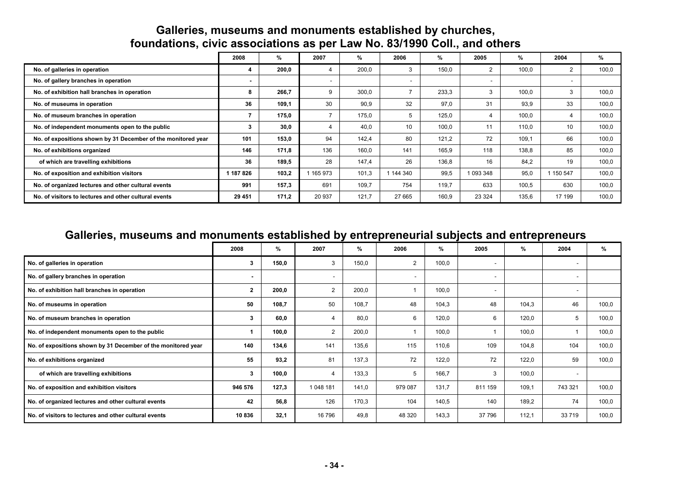## **Galleries, museums and monuments established by churches, foundations, civic associations as per Law No. 83/1990 Coll., and others**

|                                                               | 2008           | %     | 2007    | %     | 2006    | %     | 2005                     | %     | 2004    | %     |
|---------------------------------------------------------------|----------------|-------|---------|-------|---------|-------|--------------------------|-------|---------|-------|
| No. of galleries in operation                                 |                | 200,0 |         | 200,0 |         | 150,0 | $\overline{2}$           | 100.0 | 2       | 100,0 |
| No. of gallery branches in operation                          | $\blacksquare$ |       |         |       | ۰       |       | $\overline{\phantom{a}}$ |       |         |       |
| No. of exhibition hall branches in operation                  |                | 266,7 | 9       | 300,0 |         | 233,3 | 3                        | 100.0 | 3       | 100,0 |
| No. of museums in operation                                   | 36             | 109,1 | 30      | 90,9  | 32      | 97,0  | 31                       | 93,9  | 33      | 100,0 |
| No. of museum branches in operation                           |                | 175,0 |         | 175,0 | 5       | 125,0 | 4                        | 100.0 | 4       | 100,0 |
| No. of independent monuments open to the public               |                | 30,0  |         | 40.0  | 10      | 100,0 | 11                       | 110.0 | 10      | 100,0 |
| No. of expositions shown by 31 December of the monitored year | 101            | 153,0 | 94      | 142,4 | 80      | 121,2 | 72                       | 109,1 | 66      | 100,0 |
| No. of exhibitions organized                                  | 146            | 171,8 | 136     | 160,0 | 141     | 165,9 | 118                      | 138.8 | 85      | 100,0 |
| of which are travelling exhibitions                           | 36             | 189,5 | 28      | 147,4 | 26      | 136,8 | 16                       | 84.2  | 19      | 100,0 |
| No. of exposition and exhibition visitors                     | 187 826        | 103.2 | 165 973 | 101.3 | 1144340 | 99.5  | 1 093 348                | 95.0  | 150 547 | 100,0 |
| No. of organized lectures and other cultural events           | 991            | 157,3 | 691     | 109.7 | 754     | 119.7 | 633                      | 100.5 | 630     | 100.0 |
| No. of visitors to lectures and other cultural events         | 29 451         | 171,2 | 20 937  | 121,7 | 27 665  | 160,9 | 23 3 24                  | 135,6 | 17 199  | 100,0 |

## **Galleries, museums and monuments established by entrepreneurial subjects and entrepreneurs**

|                                                               | 2008         | %     | 2007           | %     | 2006           | %     | 2005    | %     | 2004                     | %     |
|---------------------------------------------------------------|--------------|-------|----------------|-------|----------------|-------|---------|-------|--------------------------|-------|
| No. of galleries in operation                                 | 3            | 150,0 | 3              | 150,0 | $\overline{c}$ | 100,0 |         |       |                          |       |
| No. of gallery branches in operation                          |              |       | ٠              |       |                |       |         |       |                          |       |
| No. of exhibition hall branches in operation                  | $\mathbf{2}$ | 200,0 | $\overline{2}$ | 200,0 |                | 100,0 |         |       | $\overline{\phantom{a}}$ |       |
| No. of museums in operation                                   | 50           | 108,7 | 50             | 108,7 | 48             | 104,3 | 48      | 104,3 | 46                       | 100,0 |
| No. of museum branches in operation                           | 3            | 60,0  | 4              | 80.0  | 6              | 120,0 | 6       | 120,0 | 5                        | 100,0 |
| No. of independent monuments open to the public               |              | 100,0 | $\overline{2}$ | 200,0 |                | 100,0 |         | 100,0 |                          | 100,0 |
| No. of expositions shown by 31 December of the monitored year | 140          | 134,6 | 141            | 135,6 | 115            | 110,6 | 109     | 104,8 | 104                      | 100,0 |
| No. of exhibitions organized                                  | 55           | 93,2  | 81             | 137,3 | 72             | 122,0 | 72      | 122,0 | 59                       | 100,0 |
| of which are travelling exhibitions                           | 3            | 100,0 | 4              | 133,3 | 5              | 166,7 | 3       | 100,0 | $\overline{\phantom{a}}$ |       |
| No. of exposition and exhibition visitors                     | 946 576      | 127,3 | 1 048 181      | 141,0 | 979 087        | 131,7 | 811 159 | 109,1 | 743 321                  | 100,0 |
| No. of organized lectures and other cultural events           | 42           | 56,8  | 126            | 170,3 | 104            | 140,5 | 140     | 189,2 | 74                       | 100,0 |
| No. of visitors to lectures and other cultural events         | 10836        | 32,1  | 16 796         | 49.8  | 48 320         | 143,3 | 37 796  | 112,1 | 33 719                   | 100,0 |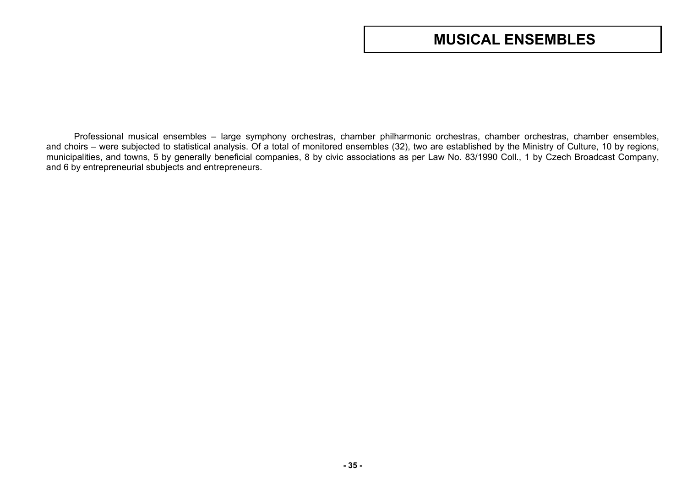# **MUSICAL ENSEMBLES**

<span id="page-34-0"></span>Professional musical ensembles – large symphony orchestras, chamber philharmonic orchestras, chamber orchestras, chamber ensembles, and choirs – were subjected to statistical analysis. Of a total of monitored ensembles (32), two are established by the Ministry of Culture, 10 by regions, municipalities, and towns, 5 by generally beneficial companies, 8 by civic associations as per Law No. 83/1990 Coll., 1 by Czech Broadcast Company, and 6 by entrepreneurial sbubjects and entrepreneurs.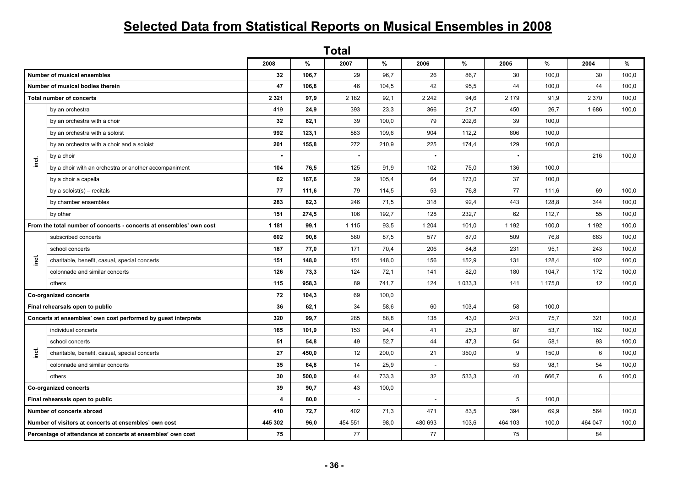# **Selected Data from Statistical Reports on Musical Ensembles in 2008**

|                                                                     | <b>Total</b>                                                  |           |       |           |       |                          |             |           |         |         |       |  |  |
|---------------------------------------------------------------------|---------------------------------------------------------------|-----------|-------|-----------|-------|--------------------------|-------------|-----------|---------|---------|-------|--|--|
|                                                                     |                                                               | 2008      | %     | 2007      | %     | 2006                     | $\%$        | 2005      | $\%$    | 2004    | %     |  |  |
|                                                                     | Number of musical ensembles                                   | 32        | 106,7 | 29        | 96,7  | 26                       | 86,7        | 30        | 100,0   | 30      | 100,0 |  |  |
|                                                                     | Number of musical bodies therein                              | 47        | 106,8 | 46        | 104,5 | 42                       | 95,5        | 44        | 100,0   | 44      | 100,0 |  |  |
|                                                                     | <b>Total number of concerts</b>                               | 2 3 2 1   | 97,9  | 2 1 8 2   | 92,1  | 2 2 4 2                  | 94,6        | 2 1 7 9   | 91,9    | 2 3 7 0 | 100,0 |  |  |
|                                                                     | by an orchestra                                               | 419       | 24,9  | 393       | 23,3  | 366                      | 21,7        | 450       | 26,7    | 1686    | 100,0 |  |  |
|                                                                     | by an orchestra with a choir                                  | 32        | 82,1  | 39        | 100,0 | 79                       | 202,6       | 39        | 100,0   |         |       |  |  |
|                                                                     | by an orchestra with a soloist                                | 992       | 123,1 | 883       | 109,6 | 904                      | 112,2       | 806       | 100,0   |         |       |  |  |
|                                                                     | by an orchestra with a choir and a soloist                    | 201       | 155,8 | 272       | 210,9 | 225                      | 174,4       | 129       | 100,0   |         |       |  |  |
| inci.                                                               | by a choir                                                    | $\bullet$ |       | $\bullet$ |       | $\bullet$                |             | $\bullet$ |         | 216     | 100,0 |  |  |
|                                                                     | by a choir with an orchestra or another accompaniment         | 104       | 76,5  | 125       | 91,9  | 102                      | 75,0        | 136       | 100,0   |         |       |  |  |
|                                                                     | by a choir a capella                                          | 62        | 167,6 | 39        | 105,4 | 64                       | 173,0       | 37        | 100,0   |         |       |  |  |
|                                                                     | by a soloist(s) - recitals                                    | 77        | 111,6 | 79        | 114,5 | 53                       | 76.8        | 77        | 111.6   | 69      | 100.0 |  |  |
|                                                                     | by chamber ensembles                                          | 283       | 82,3  | 246       | 71,5  | 318                      | 92,4        | 443       | 128,8   | 344     | 100,0 |  |  |
|                                                                     | by other                                                      | 151       | 274,5 | 106       | 192,7 | 128                      | 232,7       | 62        | 112,7   | 55      | 100,0 |  |  |
| From the total number of concerts - concerts at ensembles' own cost |                                                               | 1 1 8 1   | 99,1  | 1 1 1 5   | 93,5  | 1 2 0 4                  | 101,0       | 1 1 9 2   | 100,0   | 1 1 9 2 | 100,0 |  |  |
|                                                                     | subscribed concerts                                           | 602       | 90,8  | 580       | 87,5  | 577                      | 87,0        | 509       | 76,8    | 663     | 100,0 |  |  |
|                                                                     | school concerts                                               | 187       | 77,0  | 171       | 70,4  | 206                      | 84,8        | 231       | 95,1    | 243     | 100,0 |  |  |
| ingi                                                                | charitable, benefit, casual, special concerts                 | 151       | 148,0 | 151       | 148,0 | 156                      | 152,9       | 131       | 128,4   | 102     | 100,0 |  |  |
|                                                                     | colonnade and similar concerts                                | 126       | 73,3  | 124       | 72,1  | 141                      | 82,0        | 180       | 104,7   | 172     | 100,0 |  |  |
|                                                                     | others                                                        | 115       | 958,3 | 89        | 741,7 | 124                      | 1 0 3 3 , 3 | 141       | 1 175,0 | 12      | 100,0 |  |  |
|                                                                     | <b>Co-organized concerts</b>                                  | 72        | 104,3 | 69        | 100,0 |                          |             |           |         |         |       |  |  |
|                                                                     | Final rehearsals open to public                               | 36        | 62,1  | 34        | 58,6  | 60                       | 103,4       | 58        | 100,0   |         |       |  |  |
|                                                                     | Concerts at ensembles' own cost performed by guest interprets | 320       | 99,7  | 285       | 88,8  | 138                      | 43,0        | 243       | 75,7    | 321     | 100,0 |  |  |
|                                                                     | individual concerts                                           | 165       | 101,9 | 153       | 94,4  | 41                       | 25,3        | 87        | 53,7    | 162     | 100,0 |  |  |
|                                                                     | school concerts                                               | 51        | 54,8  | 49        | 52,7  | 44                       | 47,3        | 54        | 58,1    | 93      | 100,0 |  |  |
| ingi.                                                               | charitable, benefit, casual, special concerts                 | 27        | 450,0 | 12        | 200,0 | 21                       | 350,0       | 9         | 150,0   | 6       | 100,0 |  |  |
|                                                                     | colonnade and similar concerts                                | 35        | 64,8  | 14        | 25,9  | $\overline{\phantom{a}}$ |             | 53        | 98,1    | 54      | 100,0 |  |  |
|                                                                     | others                                                        | 30        | 500,0 | 44        | 733,3 | 32                       | 533,3       | 40        | 666,7   | 6       | 100,0 |  |  |
| Co-organized concerts                                               |                                                               | 39        | 90,7  | 43        | 100,0 |                          |             |           |         |         |       |  |  |
| Final rehearsals open to public                                     |                                                               | 4         | 80,0  | $\sim$    |       |                          |             | 5         | 100,0   |         |       |  |  |
|                                                                     | Number of concerts abroad                                     | 410       | 72,7  | 402       | 71,3  | 471                      | 83,5        | 394       | 69,9    | 564     | 100.0 |  |  |
|                                                                     | Number of visitors at concerts at ensembles' own cost         | 445 302   | 96,0  | 454 551   | 98,0  | 480 693                  | 103,6       | 464 103   | 100,0   | 464 047 | 100,0 |  |  |
|                                                                     | Percentage of attendance at concerts at ensembles' own cost   | 75        |       | 77        |       | 77                       |             | 75        |         | 84      |       |  |  |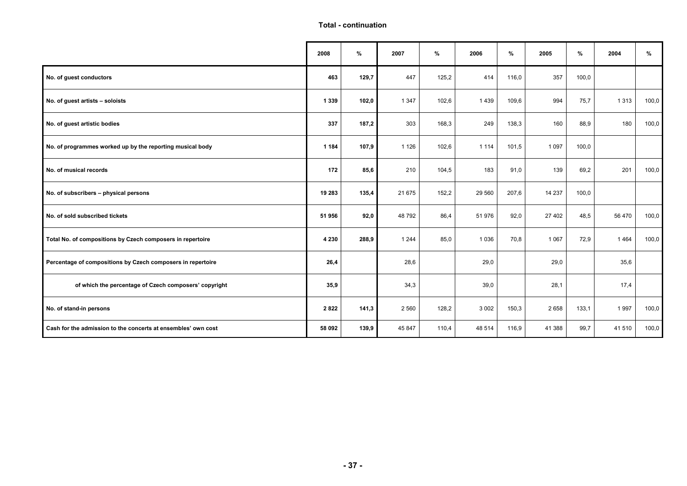#### **Total - continuation**

|                                                               | 2008    | %     | 2007    | $\%$  | 2006    | %     | 2005    | %     | 2004    | %     |
|---------------------------------------------------------------|---------|-------|---------|-------|---------|-------|---------|-------|---------|-------|
| No. of guest conductors                                       | 463     | 129,7 | 447     | 125,2 | 414     | 116,0 | 357     | 100,0 |         |       |
| No. of guest artists - soloists                               | 1 3 3 9 | 102,0 | 1 3 4 7 | 102,6 | 1439    | 109,6 | 994     | 75,7  | 1 3 1 3 | 100,0 |
| No. of guest artistic bodies                                  | 337     | 187,2 | 303     | 168,3 | 249     | 138,3 | 160     | 88,9  | 180     | 100,0 |
| No. of programmes worked up by the reporting musical body     | 1 1 8 4 | 107,9 | 1 1 2 6 | 102,6 | 1 1 1 4 | 101,5 | 1 0 9 7 | 100,0 |         |       |
| No. of musical records                                        | 172     | 85,6  | 210     | 104,5 | 183     | 91,0  | 139     | 69,2  | 201     | 100,0 |
| No. of subscribers - physical persons                         | 19 283  | 135,4 | 21 675  | 152,2 | 29 560  | 207,6 | 14 237  | 100,0 |         |       |
| No. of sold subscribed tickets                                | 51 956  | 92,0  | 48 792  | 86,4  | 51 976  | 92,0  | 27 402  | 48,5  | 56 470  | 100,0 |
| Total No. of compositions by Czech composers in repertoire    | 4 2 3 0 | 288,9 | 1 2 4 4 | 85,0  | 1 0 3 6 | 70,8  | 1 0 6 7 | 72,9  | 1464    | 100,0 |
| Percentage of compositions by Czech composers in repertoire   | 26,4    |       | 28,6    |       | 29,0    |       | 29,0    |       | 35,6    |       |
| of which the percentage of Czech composers' copyright         | 35,9    |       | 34,3    |       | 39,0    |       | 28,1    |       | 17,4    |       |
| No. of stand-in persons                                       | 2822    | 141,3 | 2 5 6 0 | 128,2 | 3 0 0 2 | 150,3 | 2 6 5 8 | 133,1 | 1997    | 100,0 |
| Cash for the admission to the concerts at ensembles' own cost | 58 092  | 139,9 | 45 847  | 110,4 | 48 514  | 116,9 | 41 388  | 99,7  | 41 510  | 100,0 |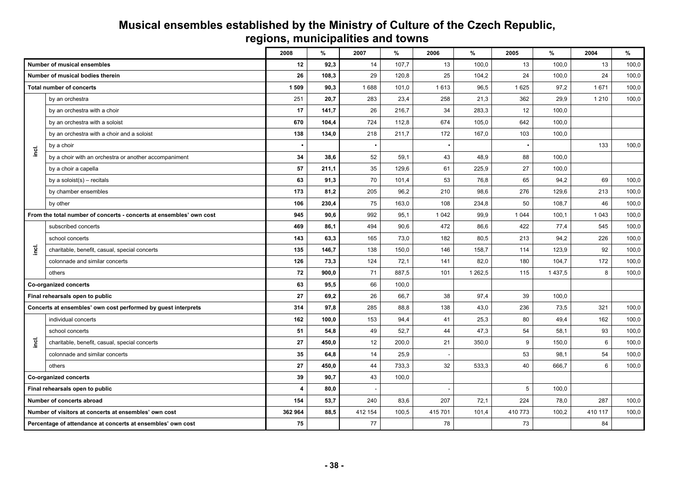#### **Musical ensembles established by the Ministry of Culture of the Czech Republic, regions, municipalities and towns**

|           |                                                                     | 2008           | %     | 2007    | %     | 2006    | %       | 2005    | $\%$        | 2004    | %     |
|-----------|---------------------------------------------------------------------|----------------|-------|---------|-------|---------|---------|---------|-------------|---------|-------|
|           | <b>Number of musical ensembles</b>                                  | 12             | 92,3  | 14      | 107,7 | 13      | 100,0   | 13      | 100,0       | 13      | 100,0 |
|           | Number of musical bodies therein                                    | 26             | 108,3 | 29      | 120,8 | 25      | 104,2   | 24      | 100,0       | 24      | 100,0 |
|           | <b>Total number of concerts</b>                                     | 1509           | 90,3  | 1688    | 101,0 | 1613    | 96,5    | 1 6 2 5 | 97,2        | 1671    | 100,0 |
|           | by an orchestra                                                     | 251            | 20,7  | 283     | 23,4  | 258     | 21,3    | 362     | 29,9        | 1 2 1 0 | 100,0 |
|           | by an orchestra with a choir                                        | 17             | 141,7 | 26      | 216,7 | 34      | 283,3   | 12      | 100,0       |         |       |
|           | by an orchestra with a soloist                                      | 670            | 104,4 | 724     | 112,8 | 674     | 105.0   | 642     | 100,0       |         |       |
|           | by an orchestra with a choir and a soloist                          | 138            | 134,0 | 218     | 211,7 | 172     | 167,0   | 103     | 100,0       |         |       |
| incl.     | by a choir                                                          |                |       |         |       |         |         |         |             | 133     | 100,0 |
|           | by a choir with an orchestra or another accompaniment               | 34             | 38,6  | 52      | 59,1  | 43      | 48,9    | 88      | 100,0       |         |       |
|           | by a choir a capella                                                | 57             | 211,1 | 35      | 129,6 | 61      | 225,9   | 27      | 100,0       |         |       |
|           | by a soloist(s) - recitals                                          | 63             | 91,3  | 70      | 101,4 | 53      | 76,8    | 65      | 94,2        | 69      | 100,0 |
|           | by chamber ensembles                                                | 173            | 81,2  | 205     | 96,2  | 210     | 98,6    | 276     | 129,6       | 213     | 100,0 |
|           | by other                                                            | 106            | 230,4 | 75      | 163,0 | 108     | 234,8   | 50      | 108,7       | 46      | 100,0 |
|           | From the total number of concerts - concerts at ensembles' own cost | 945            | 90,6  | 992     | 95,1  | 1 0 4 2 | 99,9    | 1 0 4 4 | 100,1       | 1 0 4 3 | 100,0 |
|           | subscribed concerts                                                 | 469            | 86,1  | 494     | 90,6  | 472     | 86,6    | 422     | 77,4        | 545     | 100,0 |
|           | school concerts                                                     | 143            | 63,3  | 165     | 73,0  | 182     | 80,5    | 213     | 94,2        | 226     | 100,0 |
| أ¤<br>أ   | charitable, benefit, casual, special concerts                       | 135            | 146,7 | 138     | 150,0 | 146     | 158,7   | 114     | 123,9       | 92      | 100,0 |
|           | colonnade and similar concerts                                      | 126            | 73,3  | 124     | 72,1  | 141     | 82,0    | 180     | 104,7       | 172     | 100,0 |
|           | others                                                              | 72             | 900,0 | 71      | 887,5 | 101     | 1 262,5 | 115     | 1 4 3 7 , 5 | 8       | 100,0 |
|           | Co-organized concerts                                               | 63             | 95,5  | 66      | 100,0 |         |         |         |             |         |       |
|           | Final rehearsals open to public                                     | 27             | 69,2  | 26      | 66,7  | 38      | 97,4    | 39      | 100,0       |         |       |
|           | Concerts at ensembles' own cost performed by guest interprets       | 314            | 97,8  | 285     | 88,8  | 138     | 43,0    | 236     | 73,5        | 321     | 100,0 |
|           | individual concerts                                                 | 162            | 100.0 | 153     | 94,4  | 41      | 25,3    | 80      | 49,4        | 162     | 100,0 |
|           | school concerts                                                     | 51             | 54,8  | 49      | 52,7  | 44      | 47,3    | 54      | 58,1        | 93      | 100,0 |
| <u>re</u> | charitable, benefit, casual, special concerts                       | 27             | 450,0 | 12      | 200,0 | 21      | 350,0   | 9       | 150,0       | 6       | 100,0 |
|           | colonnade and similar concerts                                      | 35             | 64,8  | 14      | 25,9  |         |         | 53      | 98,1        | 54      | 100,0 |
|           | others                                                              | 27             | 450,0 | 44      | 733,3 | 32      | 533,3   | 40      | 666,7       | 6       | 100,0 |
|           | Co-organized concerts                                               | 39             | 90,7  | 43      | 100,0 |         |         |         |             |         |       |
|           | Final rehearsals open to public                                     | $\overline{4}$ | 80,0  |         |       |         |         | 5       | 100,0       |         |       |
|           | Number of concerts abroad                                           | 154            | 53,7  | 240     | 83,6  | 207     | 72,1    | 224     | 78,0        | 287     | 100,0 |
|           | Number of visitors at concerts at ensembles' own cost               | 362 964        | 88.5  | 412 154 | 100,5 | 415 701 | 101,4   | 410 773 | 100,2       | 410 117 | 100,0 |
|           | Percentage of attendance at concerts at ensembles' own cost         | 75             |       | 77      |       | 78      |         | 73      |             | 84      |       |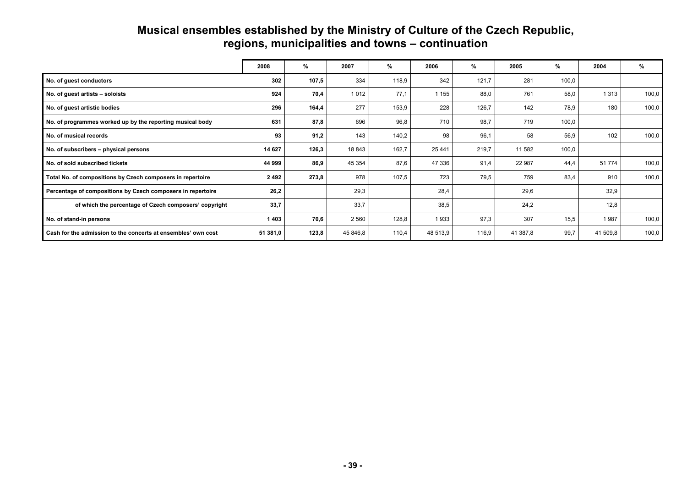#### **Musical ensembles established by the Ministry of Culture of the Czech Republic, regions, municipalities and towns – continuation**

|                                                               | 2008     | %     | 2007     | %     | 2006     | %     | 2005     | %     | 2004     | %     |
|---------------------------------------------------------------|----------|-------|----------|-------|----------|-------|----------|-------|----------|-------|
| No. of guest conductors                                       | 302      | 107,5 | 334      | 118,9 | 342      | 121,7 | 281      | 100,0 |          |       |
| No. of guest artists - soloists                               | 924      | 70,4  | 1012     | 77,1  | 1 1 5 5  | 88,0  | 761      | 58,0  | 1 3 1 3  | 100,0 |
| No. of guest artistic bodies                                  | 296      | 164,4 | 277      | 153,9 | 228      | 126,7 | 142      | 78,9  | 180      | 100,0 |
| No. of programmes worked up by the reporting musical body     | 631      | 87,8  | 696      | 96,8  | 710      | 98.7  | 719      | 100,0 |          |       |
| No. of musical records                                        | 93       | 91,2  | 143      | 140,2 | 98       | 96.1  | 58       | 56,9  | 102      | 100,0 |
| No. of subscribers - physical persons                         | 14 627   | 126,3 | 18843    | 162,7 | 25 4 4 1 | 219,7 | 11 582   | 100,0 |          |       |
| No. of sold subscribed tickets                                | 44 999   | 86,9  | 45 354   | 87,6  | 47 336   | 91,4  | 22 987   | 44.4  | 51 774   | 100,0 |
| Total No. of compositions by Czech composers in repertoire    | 2492     | 273,8 | 978      | 107,5 | 723      | 79,5  | 759      | 83,4  | 910      | 100,0 |
| Percentage of compositions by Czech composers in repertoire   | 26,2     |       | 29,3     |       | 28,4     |       | 29,6     |       | 32,9     |       |
| of which the percentage of Czech composers' copyright         | 33,7     |       | 33,7     |       | 38,5     |       | 24,2     |       | 12,8     |       |
| No. of stand-in persons                                       | 1403     | 70,6  | 2 5 6 0  | 128,8 | 1933     | 97,3  | 307      | 15,5  | 1987     | 100,0 |
| Cash for the admission to the concerts at ensembles' own cost | 51 381,0 | 123,8 | 45 846,8 | 110,4 | 48 513,9 | 116,9 | 41 387,8 | 99,7  | 41 509,8 | 100,0 |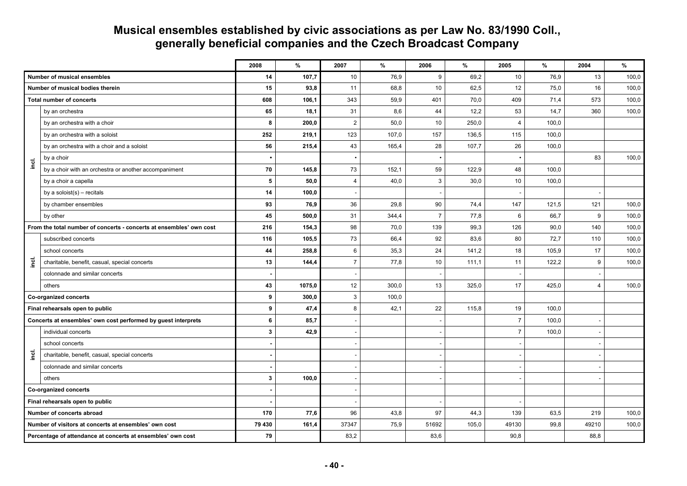## **Musical ensembles established by civic associations as per Law No. 83/1990 Coll., generally beneficial companies and the Czech Broadcast Company**

|           |                                                                     | 2008   | $\%$   | 2007           | $\%$  | 2006           | $\%$  | 2005           | $\%$  | 2004           | $\%$  |
|-----------|---------------------------------------------------------------------|--------|--------|----------------|-------|----------------|-------|----------------|-------|----------------|-------|
|           | Number of musical ensembles                                         | 14     | 107,7  | 10             | 76,9  | 9              | 69,2  | 10             | 76,9  | 13             | 100,0 |
|           | Number of musical bodies therein                                    | 15     | 93,8   | 11             | 68,8  | 10             | 62,5  | 12             | 75,0  | 16             | 100,0 |
|           | <b>Total number of concerts</b>                                     | 608    | 106,1  | 343            | 59,9  | 401            | 70,0  | 409            | 71,4  | 573            | 100,0 |
|           | by an orchestra                                                     | 65     | 18,1   | 31             | 8,6   | 44             | 12,2  | 53             | 14,7  | 360            | 100,0 |
|           | by an orchestra with a choir                                        | 8      | 200,0  | $\overline{2}$ | 50,0  | 10             | 250,0 | $\overline{4}$ | 100,0 |                |       |
|           | by an orchestra with a soloist                                      | 252    | 219,1  | 123            | 107,0 | 157            | 136,5 | 115            | 100,0 |                |       |
|           | by an orchestra with a choir and a soloist                          | 56     | 215,4  | 43             | 165,4 | 28             | 107,7 | 26             | 100,0 |                |       |
| inci.     | by a choir                                                          |        |        |                |       | ٠              |       |                |       | 83             | 100,0 |
|           | by a choir with an orchestra or another accompaniment               | 70     | 145,8  | 73             | 152,1 | 59             | 122,9 | 48             | 100,0 |                |       |
|           | by a choir a capella                                                | 5      | 50,0   | $\overline{4}$ | 40,0  | 3              | 30,0  | 10             | 100,0 |                |       |
|           | by a soloist $(s)$ – recitals                                       | 14     | 100,0  |                |       |                |       |                |       |                |       |
|           | by chamber ensembles                                                | 93     | 76,9   | 36             | 29,8  | 90             | 74,4  | 147            | 121,5 | 121            | 100,0 |
|           | by other                                                            | 45     | 500,0  | 31             | 344,4 | $\overline{7}$ | 77,8  | 6              | 66,7  | 9              | 100,0 |
|           | From the total number of concerts - concerts at ensembles' own cost | 216    | 154,3  | 98             | 70,0  | 139            | 99,3  | 126            | 90,0  | 140            | 100,0 |
|           | subscribed concerts                                                 | 116    | 105,5  | 73             | 66,4  | 92             | 83,6  | 80             | 72,7  | 110            | 100,0 |
|           | school concerts                                                     | 44     | 258,8  | 6              | 35,3  | 24             | 141,2 | 18             | 105,9 | 17             | 100,0 |
| <u>ie</u> | charitable, benefit, casual, special concerts                       | 13     | 144,4  | $\overline{7}$ | 77,8  | 10             | 111,1 | 11             | 122,2 | 9              | 100,0 |
|           | colonnade and similar concerts                                      |        |        |                |       |                |       |                |       |                |       |
|           | others                                                              | 43     | 1075,0 | 12             | 300,0 | 13             | 325,0 | 17             | 425,0 | $\overline{4}$ | 100,0 |
|           | Co-organized concerts                                               | 9      | 300,0  | $\mathbf{3}$   | 100,0 |                |       |                |       |                |       |
|           | Final rehearsals open to public                                     | 9      | 47,4   | 8              | 42,1  | 22             | 115,8 | 19             | 100,0 |                |       |
|           | Concerts at ensembles' own cost performed by guest interprets       | 6      | 85,7   |                |       |                |       | $\overline{7}$ | 100,0 |                |       |
|           | individual concerts                                                 | 3      | 42,9   |                |       |                |       | $\overline{7}$ | 100,0 |                |       |
|           | school concerts                                                     |        |        |                |       |                |       |                |       |                |       |
| inci.     | charitable, benefit, casual, special concerts                       |        |        |                |       |                |       |                |       |                |       |
|           | colonnade and similar concerts                                      |        |        |                |       |                |       |                |       |                |       |
|           | others                                                              | 3      | 100,0  |                |       |                |       |                |       |                |       |
|           | Co-organized concerts                                               |        |        |                |       |                |       |                |       |                |       |
|           | Final rehearsals open to public                                     |        |        |                |       |                |       |                |       |                |       |
|           | Number of concerts abroad                                           | 170    | 77,6   | 96             | 43,8  | 97             | 44,3  | 139            | 63,5  | 219            | 100,0 |
|           | Number of visitors at concerts at ensembles' own cost               | 79 430 | 161,4  | 37347          | 75,9  | 51692          | 105,0 | 49130          | 99,8  | 49210          | 100,0 |
|           | Percentage of attendance at concerts at ensembles' own cost         | 79     |        | 83,2           |       | 83,6           |       | 90,8           |       | 88,8           |       |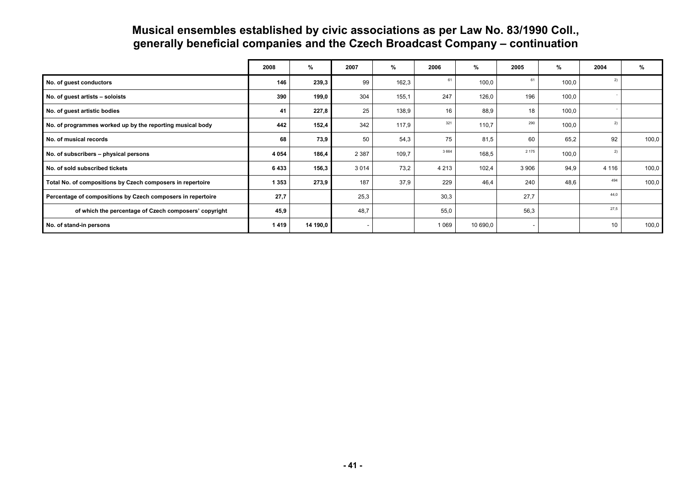## **Musical ensembles established by civic associations as per Law No. 83/1990 Coll., generally beneficial companies and the Czech Broadcast Company – continuation**

|                                                             | 2008    | %        | 2007    | %     | 2006    | %        | 2005    | %     | 2004    | %     |
|-------------------------------------------------------------|---------|----------|---------|-------|---------|----------|---------|-------|---------|-------|
| No. of guest conductors                                     | 146     | 239,3    | 99      | 162,3 | 61      | 100,0    | 61      | 100,0 | 2)      |       |
| No. of guest artists - soloists                             | 390     | 199,0    | 304     | 155,1 | 247     | 126,0    | 196     | 100,0 |         |       |
| No. of guest artistic bodies                                | 41      | 227,8    | 25      | 138,9 | 16      | 88,9     | 18      | 100,0 |         |       |
| No. of programmes worked up by the reporting musical body   | 442     | 152,4    | 342     | 117,9 | 321     | 110,7    | 290     | 100,0 | 2)      |       |
| No. of musical records                                      | 68      | 73,9     | 50      | 54,3  | 75      | 81,5     | 60      | 65,2  | 92      | 100,0 |
| No. of subscribers - physical persons                       | 4 0 5 4 | 186,4    | 2 3 8 7 | 109,7 | 3 6 6 4 | 168,5    | 2 1 7 5 | 100,0 | 2)      |       |
| No. of sold subscribed tickets                              | 6433    | 156,3    | 3 0 1 4 | 73,2  | 4 2 1 3 | 102,4    | 3 9 0 6 | 94,9  | 4 1 1 6 | 100,0 |
| Total No. of compositions by Czech composers in repertoire  | 1 3 5 3 | 273,9    | 187     | 37,9  | 229     | 46,4     | 240     | 48,6  | 494     | 100,0 |
| Percentage of compositions by Czech composers in repertoire | 27,7    |          | 25,3    |       | 30,3    |          | 27,7    |       | 44.0    |       |
| of which the percentage of Czech composers' copyright       | 45,9    |          | 48,7    |       | 55,0    |          | 56,3    |       | 27.5    |       |
| No. of stand-in persons                                     | 1419    | 14 190,0 |         |       | 1 0 6 9 | 10 690,0 |         |       | 10      | 100,0 |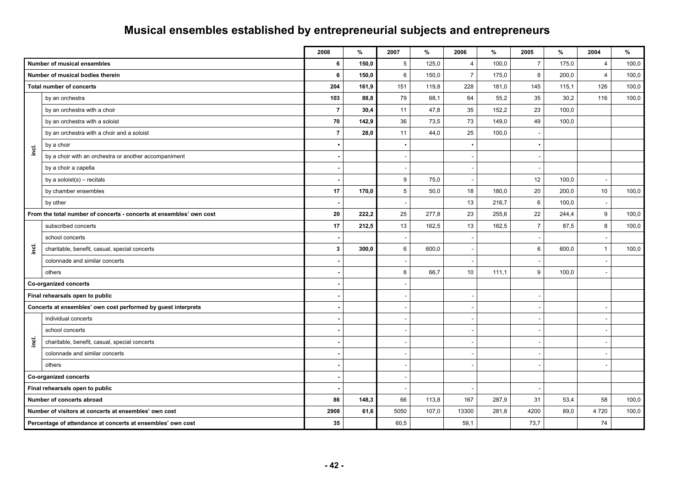#### **2008 % 2007 % 2006 % 2005 % 2004 % Number of musical ensembles 6 150,0** 5 125,0 4 100,0 7 175,0 4 100,0 **Number of musical bodies therein 6 150,0** 6 150,0 7 175,0 8 200,0 4 100,0 **Total number of concerts** 204 **101, 204 161,9** 161,9 161,9 161,9 161,9 119,8 228 181,0 145 115,1 126 100,0 **incl.**  by an orchestra **103 88,8** 79 68,1 64 55,2 35 30,2 116 100,0 **by an orchestra with a choir 7 30.4 11 47.8 35** 152.2 23 100.0 by an orchestra with a soloist **70 142,9** 36 73,5 73 149,0 49 100,0 **by an orchestra with a choir and a soloist 7 128,0** 11 **44.0 25** 100.0 by a choir **•** • • • by a choir with an orchestra or another accompaniment **-** - - by a choir a capella **-** - - by a soloist(s) – recitals **12** 100,0 **- 12** 100,0 **- 12** 100,0 **- 12** 100,0 **- 12** 100,0 **- 12** 100,0 **- 12** 100,0 **- 12** 100,0 **- 12** 100,0 **- 12** 100,0 **- 12** 100,0 **- 12** 100,0 **- 12** 100,0 **- 12** 100,0 **- 12** 100,0 by chamber ensembles **17 170,0** 5 50,0 18 180,0 20 200,0 10 100,0 by other **-** - 13 216,7 6 100,0 - **From the total number of concerts - concerts at ensembles' own cost 20 220 222,2** 25 227,8 25,8 23 255,6 22 244,4 9 100,0 **incl.**  subscribed concerts 17 | 212,5 **|** 13 | 162,5 | 13 | 162,5 | 7 | 87,5 | 8 | 100,0 school concerts **-** - - - charitable, benefit, casual, special concerts **3 300,0** 6 600,0 - 6 600,0 1 100,0 colonnade and similar concerts others **-** 6 66,7 10 111,1 9 100,0 - **Co-organized concerts Final rehearsals open to public and a set of the set of the set of the set of the set of the set of the set of the set of the set of the set of the set of the set of the set of the set of the set of the set of the set of** Concerts at ensembles' own cost performed by guest interprets **incl.**  individual concerts **-** - - - school concerts **-** - - - charitable, benefit, casual, special concerts colonnade and similar concerts **-** - - - others **-** - - - - **Co-organized concerts** and the contract of the contract of the contract of the contract of the contract of the contract of the contract of the contract of the contract of the contract of the contract of the contract of th **Final rehearsals open to public Number of concerts abroad 86 148,3** 66 113,8 167 287,9 31 53,4 58 100,0 **Number of visitors at concerts at ensembles' own cost** 2908 **107,6 2908 61,6 107,0** 13300 107,0 **281,8 2900** 89,0 **281,8 89,0 4720** 100,0 **Percentage of attendance at concerts at ensembles' own cost** 34 **1** 35 **1** 35 **1** 59,1 73,7 74 74

## **Musical ensembles established by entrepreneurial subjects and entrepreneurs**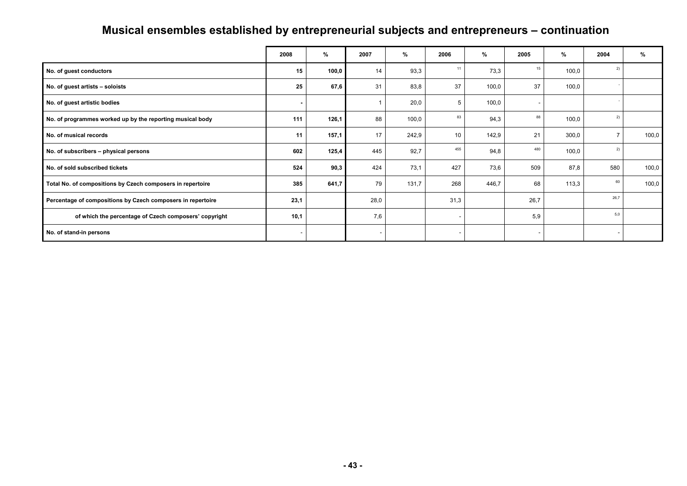# **Musical ensembles established by entrepreneurial subjects and entrepreneurs – continuation**

|                                                             | 2008 | %     | 2007 | %     | 2006 | $\%$  | 2005   | %     | 2004 | %     |
|-------------------------------------------------------------|------|-------|------|-------|------|-------|--------|-------|------|-------|
| No. of guest conductors                                     | 15   | 100,0 | 14   | 93,3  | 11   | 73,3  | 15     | 100,0 | 2)   |       |
| No. of guest artists - soloists                             | 25   | 67,6  | 31   | 83,8  | 37   | 100,0 | 37     | 100,0 |      |       |
| No. of guest artistic bodies                                |      |       |      | 20,0  | 5    | 100,0 | ۰      |       |      |       |
| No. of programmes worked up by the reporting musical body   | 111  | 126,1 | 88   | 100,0 | 83   | 94,3  | 88     | 100,0 | 2)   |       |
| No. of musical records                                      | 11   | 157,1 | 17   | 242,9 | 10   | 142,9 | 21     | 300,0 |      | 100,0 |
| No. of subscribers - physical persons                       | 602  | 125,4 | 445  | 92,7  | 455  | 94,8  | 480    | 100,0 | 2)   |       |
| No. of sold subscribed tickets                              | 524  | 90,3  | 424  | 73,1  | 427  | 73,6  | 509    | 87,8  | 580  | 100,0 |
| Total No. of compositions by Czech composers in repertoire  | 385  | 641,7 | 79   | 131,7 | 268  | 446,7 | 68     | 113,3 | 60   | 100,0 |
| Percentage of compositions by Czech composers in repertoire | 23,1 |       | 28,0 |       | 31,3 |       | 26,7   |       | 26.7 |       |
| of which the percentage of Czech composers' copyright       | 10,1 |       | 7,6  |       |      |       | 5,9    |       | 5,0  |       |
| No. of stand-in persons                                     |      |       |      |       |      |       | $\sim$ |       | ٠    |       |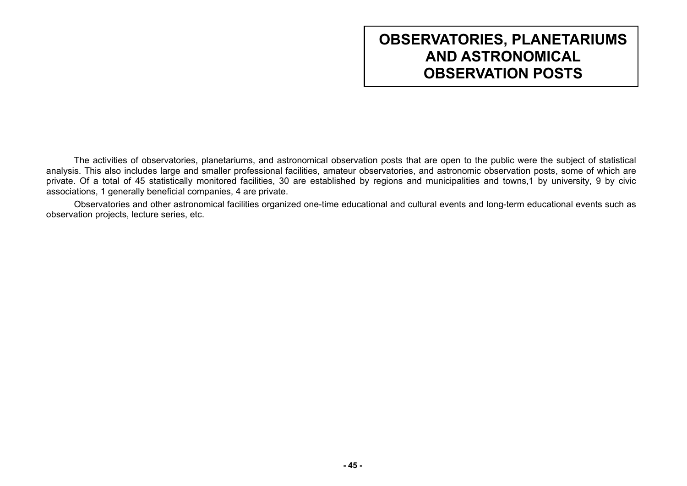# **OBSERVATORIES, PLANETARIUMS AND ASTRONOMICAL OBSERVATION POSTS**

The activities of observatories, planetariums, and astronomical observation posts that are open to the public were the subject of statistical analysis. This also includes large and smaller professional facilities, amateur observatories, and astronomic observation posts, some of which are private. Of a total of 45 statistically monitored facilities, 30 are established by regions and municipalities and towns,1 by university, 9 by civic associations, 1 generally beneficial companies, 4 are private.

Observatories and other astronomical facilities organized one-time educational and cultural events and long-term educational events such as observation projects, lecture series, etc.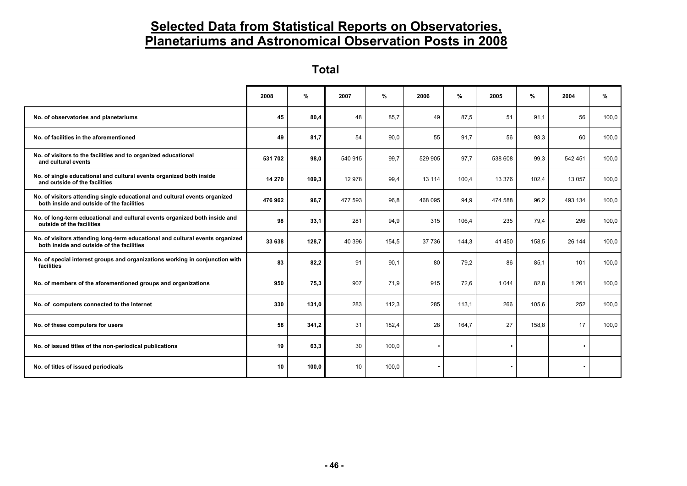## **Selected Data from Statistical Reports on Observatories, Planetariums and Astronomical Observation Posts in 2008**

**Total** 

|                                                                                                                            | 2008    | %     | 2007    | %     | 2006      | $\%$  | 2005      | %     | 2004      | %     |
|----------------------------------------------------------------------------------------------------------------------------|---------|-------|---------|-------|-----------|-------|-----------|-------|-----------|-------|
| No. of observatories and planetariums                                                                                      | 45      | 80,4  | 48      | 85,7  | 49        | 87,5  | 51        | 91.1  | 56        | 100,0 |
| No. of facilities in the aforementioned                                                                                    | 49      | 81,7  | 54      | 90,0  | 55        | 91,7  | 56        | 93,3  | 60        | 100,0 |
| No. of visitors to the facilities and to organized educational<br>and cultural events                                      | 531 702 | 98,0  | 540 915 | 99,7  | 529 905   | 97,7  | 538 608   | 99,3  | 542 451   | 100,0 |
| No. of single educational and cultural events organized both inside<br>and outside of the facilities                       | 14 270  | 109,3 | 12 978  | 99,4  | 13 114    | 100,4 | 13 376    | 102,4 | 13 057    | 100,0 |
| No. of visitors attending single educational and cultural events organized<br>both inside and outside of the facilities    | 476 962 | 96,7  | 477 593 | 96,8  | 468 095   | 94,9  | 474 588   | 96,2  | 493 134   | 100,0 |
| No. of long-term educational and cultural events organized both inside and<br>outside of the facilities                    | 98      | 33,1  | 281     | 94,9  | 315       | 106,4 | 235       | 79,4  | 296       | 100,0 |
| No. of visitors attending long-term educational and cultural events organized<br>both inside and outside of the facilities | 33 638  | 128,7 | 40 396  | 154,5 | 37 736    | 144,3 | 41 450    | 158.5 | 26 144    | 100,0 |
| No. of special interest groups and organizations working in conjunction with<br>facilities                                 | 83      | 82,2  | 91      | 90,1  | 80        | 79,2  | 86        | 85,1  | 101       | 100,0 |
| No. of members of the aforementioned groups and organizations                                                              | 950     | 75,3  | 907     | 71,9  | 915       | 72,6  | 1 0 4 4   | 82,8  | 1 2 6 1   | 100,0 |
| No. of computers connected to the Internet                                                                                 | 330     | 131,0 | 283     | 112,3 | 285       | 113,1 | 266       | 105,6 | 252       | 100,0 |
| No. of these computers for users                                                                                           | 58      | 341,2 | 31      | 182,4 | 28        | 164,7 | 27        | 158,8 | 17        | 100,0 |
| No. of issued titles of the non-periodical publications                                                                    | 19      | 63,3  | 30      | 100,0 | $\bullet$ |       |           |       |           |       |
| No. of titles of issued periodicals                                                                                        | 10      | 100.0 | 10      | 100,0 | ٠         |       | $\bullet$ |       | $\bullet$ |       |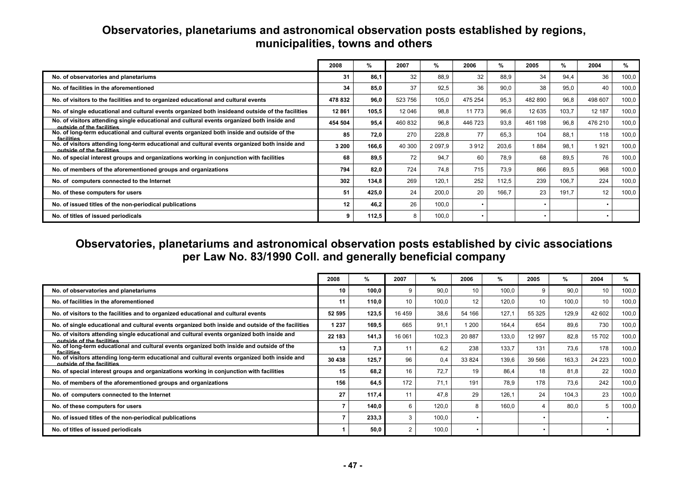|                                                                                                                            | 2008    | %     | 2007    | %         | 2006    | %     | 2005    | %     | 2004    | %     |
|----------------------------------------------------------------------------------------------------------------------------|---------|-------|---------|-----------|---------|-------|---------|-------|---------|-------|
| No. of observatories and planetariums                                                                                      | 31      | 86.1  | 32      | 88.9      | 32      | 88,9  | 34      | 94.4  | 36      | 100,0 |
| No. of facilities in the aforementioned                                                                                    | 34      | 85.0  | 37      | 92.5      | 36      | 90.0  | 38      | 95.0  | 40      | 100,0 |
| No. of visitors to the facilities and to organized educational and cultural events                                         | 478 832 | 96,0  | 523 756 | 105,0     | 475 254 | 95,3  | 482 890 | 96,8  | 498 607 | 100,0 |
| No. of single educational and cultural events organized both insideand outside of the facilities                           | 12861   | 105,5 | 12 046  | 98.8      | 11 773  | 96.6  | 12 635  | 103.7 | 12 187  | 100,0 |
| No. of visitors attending single educational and cultural events organized both inside and<br>outside of the facilities    | 454 504 | 95.4  | 460 832 | 96,8      | 446 723 | 93,8  | 461 198 | 96.8  | 476 210 | 100,0 |
| No. of long-term educational and cultural events organized both inside and outside of the<br>facilities                    | 85      | 72,0  | 270     | 228.8     | 77      | 65,3  | 104     | 88.1  | 118     | 100,0 |
| No. of visitors attending long-term educational and cultural events organized both inside and<br>outside of the facilities | 3 200   | 166,6 | 40 300  | 2 0 9 7 9 | 3912    | 203,6 | 1884    | 98.1  | 1921    | 100,0 |
| No. of special interest groups and organizations working in conjunction with facilities                                    | 68      | 89,5  | 72      | 94.7      | 60      | 78.9  | 68      | 89.5  | 76      | 100,0 |
| No. of members of the aforementioned groups and organizations                                                              | 794     | 82,0  | 724     | 74.8      | 715     | 73.9  | 866     | 89.5  | 968     | 100,0 |
| No. of computers connected to the Internet                                                                                 | 302     | 134.8 | 269     | 120.1     | 252     | 112.5 | 239     | 106.7 | 224     | 100,0 |
| No. of these computers for users                                                                                           | 51      | 425,0 | 24      | 200,0     | 20      | 166,7 | 23      | 191.7 | 12      | 100,0 |
| No. of issued titles of the non-periodical publications                                                                    | 12      | 46.2  | 26      | 100,0     |         |       |         |       |         |       |
| No. of titles of issued periodicals                                                                                        | 9       | 112,5 | 8       | 100,0     |         |       |         |       |         |       |

#### **Observatories, planetariums and astronomical observation posts established by regions, municipalities, towns and others**

**Observatories, planetariums and astronomical observation posts established by civic associations per Law No. 83/1990 Coll. and generally beneficial company** 

|                                                                                                                            | 2008    | %     | 2007   | %     | 2006            | %     | 2005   | %     | 2004    | %     |
|----------------------------------------------------------------------------------------------------------------------------|---------|-------|--------|-------|-----------------|-------|--------|-------|---------|-------|
| No. of observatories and planetariums                                                                                      | 10      | 100.0 | g      | 90.0  | 10              | 100,0 | 9      | 90.0  | 10      | 100,0 |
| No. of facilities in the aforementioned                                                                                    | 11      | 110.0 | 10     | 100.0 | 12 <sup>2</sup> | 120.0 | 10     | 100.0 | 10      | 100,0 |
| No. of visitors to the facilities and to organized educational and cultural events                                         | 52 595  | 123,5 | 16 459 | 38,6  | 54 166          | 127.1 | 55 325 | 129,9 | 42 602  | 100,0 |
| No. of single educational and cultural events organized both inside and outside of the facilities                          | 1 2 3 7 | 169,5 | 665    | 91.1  | 1 200           | 164.4 | 654    | 89,6  | 730     | 100,0 |
| No. of visitors attending single educational and cultural events organized both inside and<br>outside of the facilities    | 22 183  | 141,3 | 16 061 | 102,3 | 20 887          | 133,0 | 12 997 | 82,8  | 15 702  | 100,0 |
| No. of long-term educational and cultural events organized both inside and outside of the<br>facilities                    | 13      | 7,3   | 11     | 6,2   | 238             | 133,7 | 131    | 73.6  | 178     | 100,0 |
| No. of visitors attending long-term educational and cultural events organized both inside and<br>outside of the facilities | 30 438  | 125.7 | 96     | 0.4   | 33 824          | 139,6 | 39 566 | 163,3 | 24 2 23 | 100,0 |
| No. of special interest groups and organizations working in conjunction with facilities                                    | 15      | 68.2  | 16     | 72.7  | 19              | 86.4  | 18     | 81,8  | 22      | 100,0 |
| No. of members of the aforementioned groups and organizations                                                              | 156     | 64,5  | 172    | 71.1  | 191             | 78.9  | 178    | 73.6  | 242     | 100,0 |
| No. of computers connected to the Internet                                                                                 | 27      | 117,4 | 11     | 47.8  | 29              | 126.1 | 24     | 104.3 | 23      | 100,0 |
| No. of these computers for users                                                                                           |         | 140.0 | 6      | 120,0 | 8               | 160.0 | -4     | 80.0  | 5       | 100,0 |
| No. of issued titles of the non-periodical publications                                                                    |         | 233,3 | 3      | 100,0 | ٠               |       |        |       |         |       |
| No. of titles of issued periodicals                                                                                        |         | 50.0  | 2      | 100,0 |                 |       |        |       |         |       |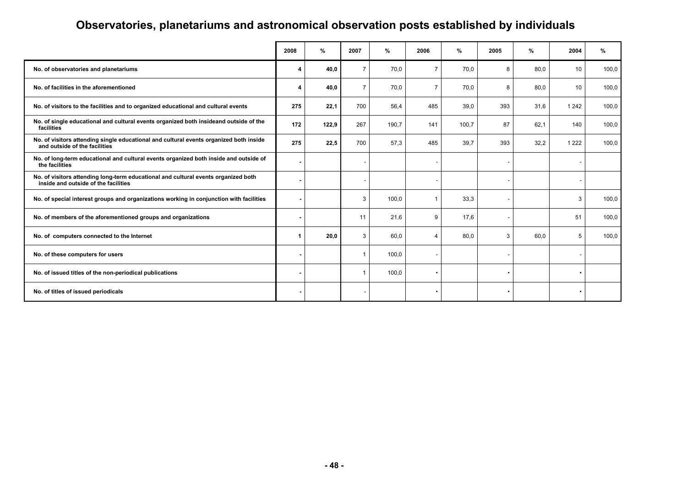# **Observatories, planetariums and astronomical observation posts established by individuals**

|                                                                                                                            | 2008 | %     | 2007           | %     | 2006           | %     | 2005 | %    | 2004    | %     |
|----------------------------------------------------------------------------------------------------------------------------|------|-------|----------------|-------|----------------|-------|------|------|---------|-------|
| No. of observatories and planetariums                                                                                      | 4    | 40,0  | $\overline{7}$ | 70.0  | $\overline{7}$ | 70,0  | 8    | 80.0 | 10      | 100,0 |
| No. of facilities in the aforementioned                                                                                    | 4    | 40,0  | $\overline{7}$ | 70.0  | $\overline{7}$ | 70,0  | 8    | 80.0 | 10      | 100,0 |
| No. of visitors to the facilities and to organized educational and cultural events                                         | 275  | 22,1  | 700            | 56,4  | 485            | 39,0  | 393  | 31,6 | 1 2 4 2 | 100,0 |
| No. of single educational and cultural events organized both insideand outside of the<br>facilities                        | 172  | 122,9 | 267            | 190,7 | 141            | 100,7 | 87   | 62,1 | 140     | 100,0 |
| No. of visitors attending single educational and cultural events organized both inside<br>and outside of the facilities    | 275  | 22,5  | 700            | 57,3  | 485            | 39,7  | 393  | 32,2 | 1 2 2 2 | 100,0 |
| No. of long-term educational and cultural events organized both inside and outside of<br>the facilities                    |      |       |                |       |                |       |      |      |         |       |
| No. of visitors attending long-term educational and cultural events organized both<br>inside and outside of the facilities |      |       |                |       |                |       |      |      |         |       |
| No. of special interest groups and organizations working in conjunction with facilities                                    |      |       | 3              | 100,0 | 1              | 33,3  |      |      | 3       | 100,0 |
| No. of members of the aforementioned groups and organizations                                                              |      |       | 11             | 21,6  | 9              | 17,6  |      |      | 51      | 100,0 |
| No. of computers connected to the Internet                                                                                 | 1    | 20,0  | 3              | 60,0  | $\overline{4}$ | 80,0  | 3    | 60,0 | 5       | 100,0 |
| No. of these computers for users                                                                                           |      |       |                | 100,0 |                |       |      |      |         |       |
| No. of issued titles of the non-periodical publications                                                                    |      |       | $\overline{1}$ | 100,0 |                |       |      |      |         |       |
| No. of titles of issued periodicals                                                                                        |      |       |                |       |                |       |      |      |         |       |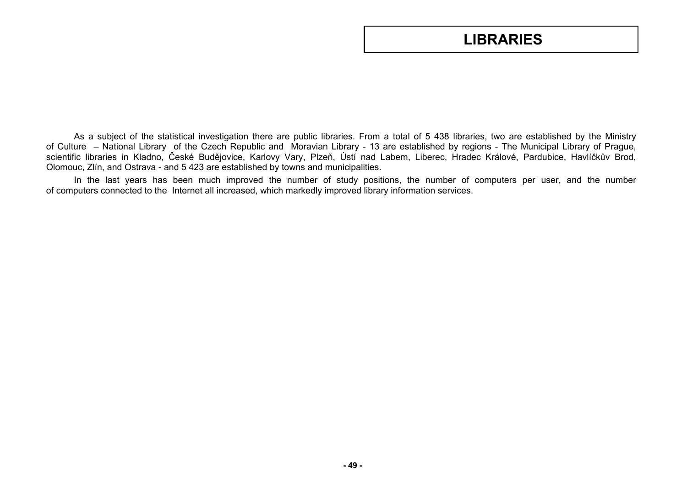## **LIBRARIES**

As a subject of the statistical investigation there are public libraries. From a total of 5 438 libraries, two are established by the Ministry of Culture – National Library of the Czech Republic and Moravian Library - 13 are established by regions - The Municipal Library of Prague, scientific libraries in Kladno, České Budějovice, Karlovy Vary, Plzeň, Ústí nad Labem, Liberec, Hradec Králové, Pardubice, Havlíčkův Brod, Olomouc, Zlín, and Ostrava - and 5 423 are established by towns and municipalities.

In the last years has been much improved the number of study positions, the number of computers per user, and the number of computers connected to the Internet all increased, which markedly improved library information services.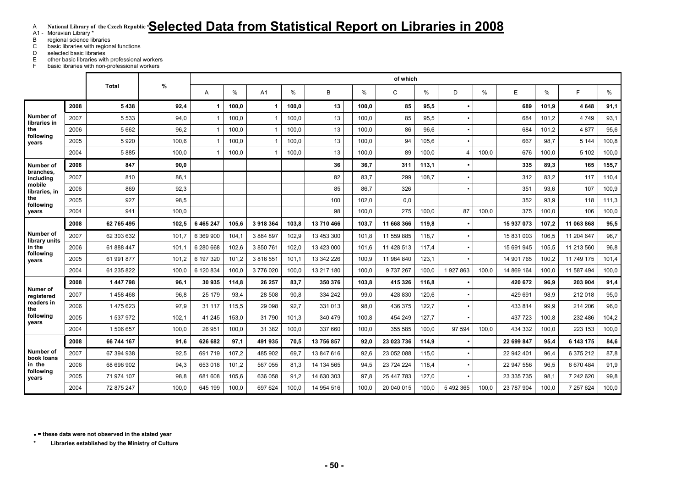## A **National Library of the Czech Republic \*Selected Data from Statistical Report on Libraries in 2008**

A1 - Moravian Library \*

B regional science libraries<br>C basic libraries with region

C basic libraries with regional functions<br>D selected basic libraries selected basic libraries

 E other basic libraries with professional workers F basic libraries with non-professional workers

|                            |      |              |       |               |       |                |       |            |       | of which   |       |           |       |            |       |            |       |
|----------------------------|------|--------------|-------|---------------|-------|----------------|-------|------------|-------|------------|-------|-----------|-------|------------|-------|------------|-------|
|                            |      | <b>Total</b> | $\%$  | A             | %     | A1             | $\%$  | B          | %     | C          | %     | D         | $\%$  | E          | %     | F          | %     |
|                            | 2008 | 5438         | 92,4  |               | 100,0 | -1             | 100.0 | 13         | 100.0 | 85         | 95,5  |           |       | 689        | 101,9 | 4648       | 91,1  |
| Number of<br>libraries in  | 2007 | 5 5 3 3      | 94,0  |               | 100.0 | $\mathbf{1}$   | 100,0 | 13         | 100,0 | 85         | 95,5  |           |       | 684        | 101,2 | 4749       | 93,1  |
| the                        | 2006 | 5 6 6 2      | 96,2  |               | 100,0 | -1             | 100,0 | 13         | 100,0 | 86         | 96,6  |           |       | 684        | 101,2 | 4877       | 95,6  |
| following<br>years         | 2005 | 5920         | 100,6 |               | 100,0 | $\overline{1}$ | 100,0 | 13         | 100,0 | 94         | 105,6 |           |       | 667        | 98,7  | 5 1 4 4    | 100,8 |
|                            | 2004 | 5885         | 100.0 |               | 100.0 | 1              | 100.0 | 13         | 100.0 | 89         | 100.0 | 4         | 100.0 | 676        | 100.0 | 5 102      | 100,0 |
| Number of                  | 2008 | 847          | 90,0  |               |       |                |       | 36         | 36,7  | 311        | 113,1 |           |       | 335        | 89,3  | 165        | 155,7 |
| branches.<br>including     | 2007 | 810          | 86.1  |               |       |                |       | 82         | 83.7  | 299        | 108.7 |           |       | 312        | 83,2  | 117        | 110,4 |
| mobile<br>libraries, in    | 2006 | 869          | 92,3  |               |       |                |       | 85         | 86,7  | 326        |       |           |       | 351        | 93,6  | 107        | 100,9 |
| the<br>following           | 2005 | 927          | 98,5  |               |       |                |       | 100        | 102,0 | 0,0        |       |           |       | 352        | 93,9  | 118        | 111,3 |
| years                      | 2004 | 941          | 100.0 |               |       |                |       | 98         | 100.0 | 275        | 100,0 | 87        | 100.0 | 375        | 100.0 | 106        | 100,0 |
| Number of<br>library units | 2008 | 62 765 495   | 102.5 | 6 4 6 5 2 4 7 | 105.6 | 3918364        | 103.8 | 13 710 466 | 103.7 | 11 668 366 | 119,8 |           |       | 15 937 073 | 107.2 | 11 063 868 | 95,5  |
|                            | 2007 | 62 303 632   | 101,7 | 6 369 900     | 104,1 | 3 884 897      | 102,9 | 13 453 300 | 101,8 | 11 559 885 | 118,7 |           |       | 15 831 003 | 106,5 | 11 204 647 | 96,7  |
| in the                     | 2006 | 61 888 447   | 101.7 | 6 280 668     | 102,6 | 3 850 761      | 102,0 | 13 423 000 | 101,6 | 11 428 513 | 117,4 |           |       | 15 691 945 | 105,5 | 11 213 560 | 96,8  |
| following<br>vears         | 2005 | 61 991 877   | 101.2 | 6 197 320     | 101.2 | 3 816 551      | 101.1 | 13 342 226 | 100.9 | 11 984 840 | 123,1 |           |       | 14 901 765 | 100.2 | 11 749 175 | 101,4 |
|                            | 2004 | 61 235 822   | 100.0 | 6 120 834     | 100.0 | 3776020        | 100,0 | 13 217 180 | 100,0 | 9737267    | 100.0 | 1927863   | 100.0 | 14 869 164 | 100,0 | 11 587 494 | 100,0 |
|                            | 2008 | 1447798      | 96.1  | 30 935        | 114,8 | 26 257         | 83,7  | 350 376    | 103.8 | 415 326    | 116,8 | $\bullet$ |       | 420 672    | 96,9  | 203 904    | 91,4  |
| Numer of<br>registered     | 2007 | 1458468      | 96,8  | 25 179        | 93,4  | 28 508         | 90,8  | 334 242    | 99,0  | 428 830    | 120,6 |           |       | 429 691    | 98,9  | 212 018    | 95,0  |
| readers in<br>the          | 2006 | 1475623      | 97,9  | 31 117        | 115,5 | 29 098         | 92,7  | 331 013    | 98.0  | 436 375    | 122,7 |           |       | 433 814    | 99.9  | 214 206    | 96,0  |
| following<br>vears         | 2005 | 1 537 972    | 102,1 | 41 245        | 153,0 | 31790          | 101,3 | 340 479    | 100,8 | 454 249    | 127,7 |           |       | 437 723    | 100,8 | 232 486    | 104,2 |
|                            | 2004 | 1 506 657    | 100,0 | 26 951        | 100,0 | 31 382         | 100,0 | 337 660    | 100,0 | 355 585    | 100,0 | 97 594    | 100.0 | 434 332    | 100,0 | 223 153    | 100,0 |
|                            | 2008 | 66 744 167   | 91,6  | 626 682       | 97,1  | 491 935        | 70,5  | 13 756 857 | 92.0  | 23 023 736 | 114,9 |           |       | 22 699 847 | 95,4  | 6 143 175  | 84,6  |
| Number of<br>book loans    | 2007 | 67 394 938   | 92,5  | 691 719       | 107.2 | 485 902        | 69.7  | 13 847 616 | 92.6  | 23 052 088 | 115.0 |           |       | 22 942 401 | 96,4  | 6 375 212  | 87,8  |
| in the                     | 2006 | 68 696 902   | 94.3  | 653 018       | 101,2 | 567 055        | 81.3  | 14 134 565 | 94.5  | 23 724 224 | 118.4 |           |       | 22 947 556 | 96,5  | 6 670 484  | 91,9  |
| following<br>years         | 2005 | 71 974 107   | 98,8  | 681 608       | 105,6 | 636 058        | 91,2  | 14 630 303 | 97,8  | 25 447 783 | 127,0 |           |       | 23 335 735 | 98,1  | 7 242 620  | 99,8  |
|                            | 2004 | 72 875 247   | 100.0 | 645 199       | 100.0 | 697 624        | 100.0 | 14 954 516 | 100.0 | 20 040 015 | 100.0 | 5 492 365 | 100.0 | 23 787 904 | 100.0 | 7 257 624  | 100,0 |

• **= these data were not observed in the stated year** 

**\* Libraries established by the Ministry of Culture**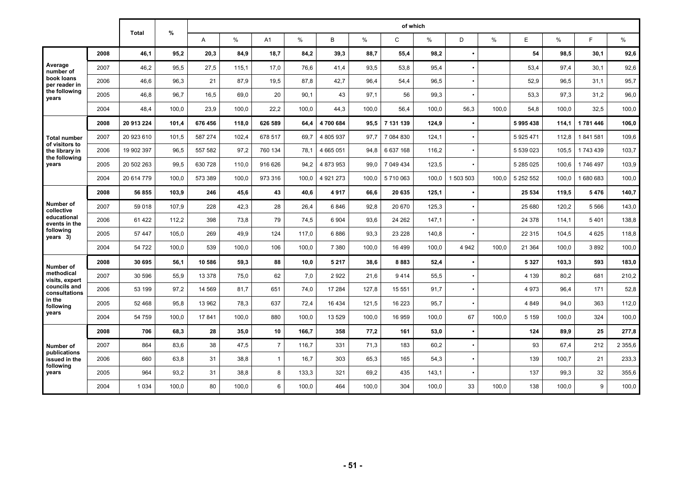|                                       |      |              |       |         |       |                |       |           |       | of which     |       |           |       |            |       |           |             |
|---------------------------------------|------|--------------|-------|---------|-------|----------------|-------|-----------|-------|--------------|-------|-----------|-------|------------|-------|-----------|-------------|
|                                       |      | <b>Total</b> | %     | A       | $\%$  | A1             | %     | B         | %     | $\mathsf{C}$ | %     | D         | $\%$  | E          | $\%$  | E         | %           |
|                                       | 2008 | 46,1         | 95,2  | 20,3    | 84,9  | 18,7           | 84,2  | 39,3      | 88,7  | 55,4         | 98,2  |           |       | 54         | 98.5  | 30.1      | 92,6        |
| Average<br>number of                  | 2007 | 46,2         | 95,5  | 27,5    | 115,1 | 17.0           | 76,6  | 41,4      | 93.5  | 53,8         | 95,4  | ٠         |       | 53,4       | 97.4  | 30.1      | 92,6        |
| book loans<br>per reader in           | 2006 | 46,6         | 96,3  | 21      | 87.9  | 19,5           | 87,8  | 42,7      | 96.4  | 54,4         | 96,5  | ٠         |       | 52,9       | 96,5  | 31.1      | 95,7        |
| the following<br>vears                | 2005 | 46,8         | 96,7  | 16,5    | 69,0  | 20             | 90,1  | 43        | 97,1  | 56           | 99,3  | $\bullet$ |       | 53,3       | 97,3  | 31,2      | 96,0        |
|                                       | 2004 | 48,4         | 100,0 | 23,9    | 100,0 | 22.2           | 100.0 | 44.3      | 100.0 | 56,4         | 100,0 | 56,3      | 100.0 | 54.8       | 100.0 | 32,5      | 100,0       |
|                                       | 2008 | 20 913 224   | 101,4 | 676 456 | 118,0 | 626 589        | 64.4  | 4700684   | 95.5  | 7 131 139    | 124.9 | $\bullet$ |       | 5995438    | 114.1 | 1781446   | 106,0       |
| <b>Total number</b><br>of visitors to | 2007 | 20 923 610   | 101,5 | 587 274 | 102.4 | 678 517        | 69.7  | 4 805 937 | 97.7  | 7 084 830    | 124.1 | $\bullet$ |       | 5925471    | 112.8 | 1841581   | 109,6       |
| the library in<br>the following       | 2006 | 19 902 397   | 96,5  | 557 582 | 97,2  | 760 134        | 78.1  | 4 665 051 | 94.8  | 6 637 168    | 116,2 | $\bullet$ |       | 5 539 023  | 105.5 | 1743439   | 103,7       |
| years                                 | 2005 | 20 502 263   | 99.5  | 630 728 | 110.0 | 916 626        | 94,2  | 4 873 953 | 99.0  | 7 049 434    | 123,5 | ٠         |       | 5 285 0 25 | 100.6 | 1746497   | 103,9       |
|                                       | 2004 | 20 614 779   | 100,0 | 573 389 | 100,0 | 973 316        | 100.0 | 4 921 273 | 100.0 | 5710063      | 100.0 | 1 503 503 | 100.0 | 5 252 552  | 100.0 | 1 680 683 | 100,0       |
|                                       | 2008 | 56 855       | 103,9 | 246     | 45,6  | 43             | 40,6  | 4917      | 66,6  | 20 635       | 125,1 | $\bullet$ |       | 25 534     | 119,5 | 5476      | 140,7       |
| Number of<br>collective               | 2007 | 59 018       | 107,9 | 228     | 42,3  | 28             | 26,4  | 6846      | 92,8  | 20 670       | 125,3 | $\bullet$ |       | 25 680     | 120,2 | 5 5 6 6   | 143,0       |
| educational<br>events in the          | 2006 | 61 422       | 112,2 | 398     | 73,8  | 79             | 74,5  | 6 9 0 4   | 93,6  | 24 262       | 147,1 | $\bullet$ |       | 24 378     | 114,1 | 5401      | 138,8       |
| following<br>years 3)                 | 2005 | 57 447       | 105,0 | 269     | 49,9  | 124            | 117,0 | 6886      | 93,3  | 23 228       | 140,8 |           |       | 22 315     | 104,5 | 4 6 2 5   | 118,8       |
|                                       | 2004 | 54 722       | 100,0 | 539     | 100,0 | 106            | 100,0 | 7 3 8 0   | 100,0 | 16 499       | 100,0 | 4 9 4 2   | 100,0 | 21 364     | 100,0 | 3892      | 100,0       |
| Number of                             | 2008 | 30 695       | 56.1  | 10 586  | 59,3  | 88             | 10,0  | 5 2 1 7   | 38,6  | 8883         | 52,4  | $\bullet$ |       | 5 3 2 7    | 103,3 | 593       | 183,0       |
| methodical<br>visits, expert          | 2007 | 30 596       | 55,9  | 13 378  | 75,0  | 62             | 7,0   | 2922      | 21,6  | 9414         | 55,5  | $\bullet$ |       | 4 1 3 9    | 80,2  | 681       | 210,2       |
| councils and<br>consultations         | 2006 | 53 199       | 97,2  | 14 5 69 | 81,7  | 651            | 74,0  | 17 284    | 127,8 | 15 551       | 91,7  | ٠         |       | 4 9 7 3    | 96,4  | 171       | 52,8        |
| in the<br>following                   | 2005 | 52 468       | 95.8  | 13 962  | 78.3  | 637            | 72.4  | 16 4 34   | 121.5 | 16 223       | 95.7  | ٠         |       | 4849       | 94.0  | 363       | 112,0       |
| years                                 | 2004 | 54 759       | 100.0 | 17841   | 100.0 | 880            | 100.0 | 13 5 29   | 100.0 | 16 959       | 100.0 | 67        | 100.0 | 5 1 5 9    | 100.0 | 324       | 100,0       |
|                                       | 2008 | 706          | 68,3  | 28      | 35,0  | 10             | 166.7 | 358       | 77,2  | 161          | 53,0  | $\bullet$ |       | 124        | 89,9  | 25        | 277,8       |
| Number of<br>publications             | 2007 | 864          | 83,6  | 38      | 47,5  | $\overline{7}$ | 116.7 | 331       | 71,3  | 183          | 60,2  | $\bullet$ |       | 93         | 67,4  | 212       | 2 3 5 5 , 6 |
| issued in the<br>following            | 2006 | 660          | 63,8  | 31      | 38,8  | $\overline{1}$ | 16.7  | 303       | 65,3  | 165          | 54,3  | ٠         |       | 139        | 100.7 | 21        | 233,3       |
| years                                 | 2005 | 964          | 93,2  | 31      | 38,8  | 8              | 133,3 | 321       | 69,2  | 435          | 143,1 | $\bullet$ |       | 137        | 99,3  | 32        | 355,6       |
|                                       | 2004 | 1 0 3 4      | 100,0 | 80      | 100,0 | 6              | 100,0 | 464       | 100,0 | 304          | 100,0 | 33        | 100.0 | 138        | 100,0 | 9         | 100,0       |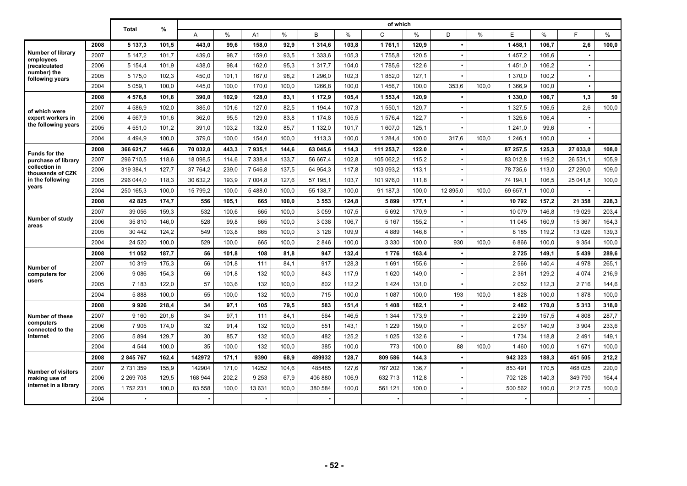|                                       |      |             |       | of which<br>$\frac{9}{6}$ |               |             |               |             |               |             |               |          |       |             |       |          |       |
|---------------------------------------|------|-------------|-------|---------------------------|---------------|-------------|---------------|-------------|---------------|-------------|---------------|----------|-------|-------------|-------|----------|-------|
|                                       |      | Total       |       | A                         | $\frac{0}{0}$ | A1          | $\frac{0}{0}$ | B           | $\frac{0}{0}$ | C           | $\frac{0}{0}$ | D        | $\%$  | E           | $\%$  | E        | $\%$  |
|                                       | 2008 | 5 137.3     | 101.5 | 443.0                     | 99.6          | 158.0       | 92,9          | 1 3 1 4 .6  | 103.8         | 1761.1      | 120.9         |          |       | 1458.1      | 106.7 | 2,6      | 100,0 |
| <b>Number of library</b><br>employees | 2007 | 5 147.2     | 101.7 | 439,0                     | 98.7          | 159,0       | 93,5          | 1 3 3 3.6   | 105,3         | 1755.8      | 120.5         |          |       | 1457.2      | 106.6 |          |       |
| (recalculated                         | 2006 | 5 1 5 4 , 4 | 101.9 | 438,0                     | 98.4          | 162,0       | 95,3          | 1 3 1 7 . 7 | 104,0         | 1785.6      | 122.6         |          |       | 1451.0      | 106.2 |          |       |
| number) the<br>following years        | 2005 | 5 175.0     | 102,3 | 450,0                     | 101.1         | 167,0       | 98,2          | 1 296,0     | 102,3         | 1852,0      | 127,1         |          |       | 1 370.0     | 100,2 |          |       |
|                                       | 2004 | 5 0 5 9 1   | 100,0 | 445,0                     | 100,0         | 170,0       | 100,0         | 1266,8      | 100,0         | 1456.7      | 100,0         | 353,6    | 100.0 | 1 366.9     | 100,0 |          |       |
|                                       | 2008 | 4576.8      | 101.8 | 390.0                     | 102.9         | 128.0       | 83.1          | 1 172.9     | 105.4         | 1 553.4     | 120.9         |          |       | 1 330.0     | 106.7 | 1,3      | 50    |
| of which were                         | 2007 | 4586.9      | 102.0 | 385.0                     | 101.6         | 127.0       | 82.5          | 1 1 9 4 . 4 | 107,3         | 1 550.1     | 120.7         |          |       | 1 3 2 7 .5  | 106.5 | 2,6      | 100,0 |
| expert workers in                     | 2006 | 4 567.9     | 101.6 | 362.0                     | 95.5          | 129.0       | 83.8          | 1 174.8     | 105,5         | 1576.4      | 122.7         |          |       | 1 3 2 5 . 6 | 106.4 |          |       |
| the following years                   | 2005 | 4 551.0     | 101.2 | 391.0                     | 103,2         | 132,0       | 85,7          | 1 132,0     | 101.7         | 1 607.0     | 125,1         |          |       | 1 241.0     | 99.6  |          |       |
|                                       | 2004 | 4 4 9 4.9   | 100,0 | 379.0                     | 100.0         | 154.0       | 100,0         | 1113,3      | 100.0         | 1 2 8 4 . 4 | 100,0         | 317,6    | 100.0 | 1 246.1     | 100,0 |          |       |
| <b>Funds for the</b>                  | 2008 | 366 621.7   | 146,6 | 70 032.0                  | 443,3         | 7935,1      | 144,6         | 63 045,6    | 114,3         | 111 253,7   | 122.0         |          |       | 87 257.5    | 125,3 | 27 033.0 | 108,0 |
| purchase of library                   | 2007 | 296 710,5   | 118,6 | 18 098,5                  | 114,6         | 7 3 3 8 , 4 | 133,7         | 56 667,4    | 102,8         | 105 062,2   | 115,2         |          |       | 83 012,8    | 119,2 | 26 531,1 | 105,9 |
| collection in<br>thousands of CZK     | 2006 | 319 384,1   | 127,7 | 37 764,2                  | 239,0         | 7 546,8     | 137,5         | 64 954,3    | 117,8         | 103 093,2   | 113,1         |          |       | 78 735,6    | 113,0 | 27 290,0 | 109,0 |
| in the following                      | 2005 | 296 044.0   | 118.3 | 30 632,2                  | 193.9         | 7 004.8     | 127.6         | 57 195.1    | 103.7         | 101 976.0   | 111.8         |          |       | 74 194.1    | 106.5 | 25 041.8 | 100,0 |
| years                                 | 2004 | 250 165.3   | 100.0 | 15 799.2                  | 100.0         | 5488.0      | 100.0         | 55 138.7    | 100.0         | 91 187.3    | 100.0         | 12 895.0 | 100.0 | 69 657.1    | 100.0 |          |       |
|                                       | 2008 | 42825       | 174,7 | 556                       | 105.1         | 665         | 100.0         | 3553        | 124.8         | 5899        | 177,1         |          |       | 10792       | 157.2 | 21 358   | 228.3 |
|                                       | 2007 | 39 056      | 159,3 | 532                       | 100.6         | 665         | 100.0         | 3 0 5 9     | 107.5         | 5692        | 170,9         |          |       | 10 079      | 146,8 | 19 0 29  | 203,4 |
| Number of study<br>areas              | 2006 | 35 810      | 146,0 | 528                       | 99.8          | 665         | 100.0         | 3 0 3 8     | 106.7         | 5 1 6 7     | 155,2         |          |       | 11 045      | 160,9 | 15 367   | 164,3 |
|                                       | 2005 | 30 442      | 124,2 | 549                       | 103,8         | 665         | 100.0         | 3 1 2 8     | 109.9         | 4889        | 146,8         |          |       | 8 1 8 5     | 119,2 | 13 0 26  | 139,3 |
|                                       | 2004 | 24 5 20     | 100,0 | 529                       | 100,0         | 665         | 100.0         | 2846        | 100.0         | 3 3 3 0     | 100,0         | 930      | 100.0 | 6866        | 100,0 | 9 3 5 4  | 100,0 |
|                                       | 2008 | 11 052      | 187,7 | 56                        | 101,8         | 108         | 81,8          | 947         | 132,4         | 1776        | 163,4         |          |       | 2725        | 149,1 | 5 4 3 9  | 289,6 |
| Number of                             | 2007 | 10 319      | 175.3 | 56                        | 101.8         | 111         | 84.1          | 917         | 128.3         | 1691        | 155.6         |          |       | 2 5 6 6     | 140.4 | 4978     | 265.1 |
| computers for                         | 2006 | 9086        | 154,3 | 56                        | 101,8         | 132         | 100.0         | 843         | 117.9         | 1620        | 149,0         |          |       | 2 3 6 1     | 129.2 | 4 0 7 4  | 216,9 |
| users                                 | 2005 | 7 183       | 122.0 | 57                        | 103,6         | 132         | 100.0         | 802         | 112,2         | 1424        | 131,0         |          |       | 2052        | 112,3 | 2716     | 144,6 |
|                                       | 2004 | 5888        | 100.0 | 55                        | 100.0         | 132         | 100.0         | 715         | 100.0         | 1 0 8 7     | 100.0         | 193      | 100.0 | 1828        | 100.0 | 1878     | 100,0 |
|                                       | 2008 | 9926        | 218,4 | 34                        | 97,1          | 105         | 79,5          | 583         | 151,4         | 1408        | 182,1         |          |       | 2482        | 170.0 | 5313     | 318,0 |
| Number of these                       | 2007 | 9 1 6 0     | 201.6 | 34                        | 97.1          | 111         | 84.1          | 564         | 146.5         | 1 3 4 4     | 173,9         |          |       | 2 2 9 9     | 157.5 | 4808     | 287,7 |
| computers<br>connected to the         | 2006 | 7 9 0 5     | 174,0 | 32                        | 91,4          | 132         | 100,0         | 551         | 143,1         | 1 2 2 9     | 159,0         |          |       | 2 0 5 7     | 140,9 | 3 9 0 4  | 233,6 |
| Internet                              | 2005 | 5894        | 129.7 | 30                        | 85.7          | 132         | 100.0         | 482         | 125.2         | 1 0 2 5     | 132.6         |          |       | 1 7 3 4     | 118.8 | 2 4 9 1  | 149.1 |
|                                       | 2004 | 4 5 4 4     | 100.0 | 35                        | 100.0         | 132         | 100.0         | 385         | 100.0         | 773         | 100.0         | 88       | 100.0 | 1460        | 100.0 | 1671     | 100,0 |
|                                       | 2008 | 2 845 767   | 162.4 | 142972                    | 171.1         | 9390        | 68.9          | 489932      | 128.7         | 809 586     | 144,3         |          |       | 942 323     | 188.3 | 451 505  | 212,2 |
| <b>Number of visitors</b>             | 2007 | 2 731 359   | 155.9 | 142904                    | 171,0         | 14252       | 104.6         | 485485      | 127.6         | 767 202     | 136,7         |          |       | 853 491     | 170.5 | 468 025  | 220,0 |
| making use of                         | 2006 | 2 2 69 7 08 | 129.5 | 168 944                   | 202.2         | 9 2 5 3     | 67.9          | 406 880     | 106.9         | 632 713     | 112,8         |          |       | 702 128     | 140,3 | 349 790  | 164,4 |
| internet in a library                 | 2005 | 1752231     | 100.0 | 83 558                    | 100.0         | 13 631      | 100.0         | 380 584     | 100.0         | 561 121     | 100.0         |          |       | 500 562     | 100.0 | 212 775  | 100,0 |
|                                       | 2004 |             |       |                           |               |             |               |             |               |             |               |          |       |             |       |          |       |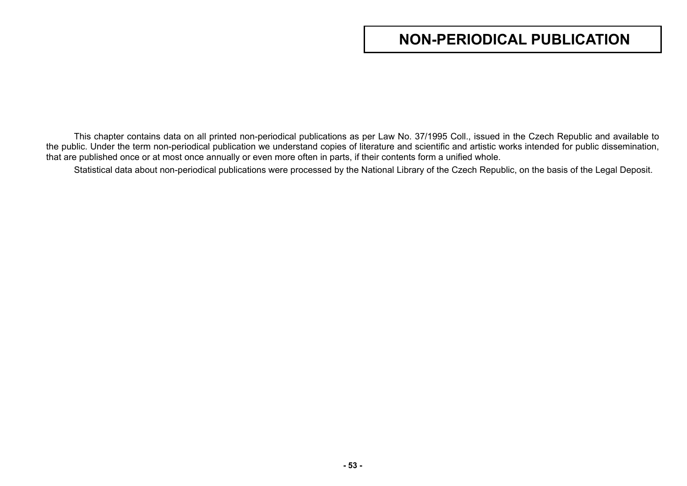# **NON-PERIODICAL PUBLICATION**

This chapter contains data on all printed non-periodical publications as per Law No. 37/1995 Coll., issued in the Czech Republic and available to the public. Under the term non-periodical publication we understand copies of literature and scientific and artistic works intended for public dissemination, that are published once or at most once annually or even more often in parts, if their contents form a unified whole.

Statistical data about non-periodical publications were processed by the National Library of the Czech Republic, on the basis of the Legal Deposit.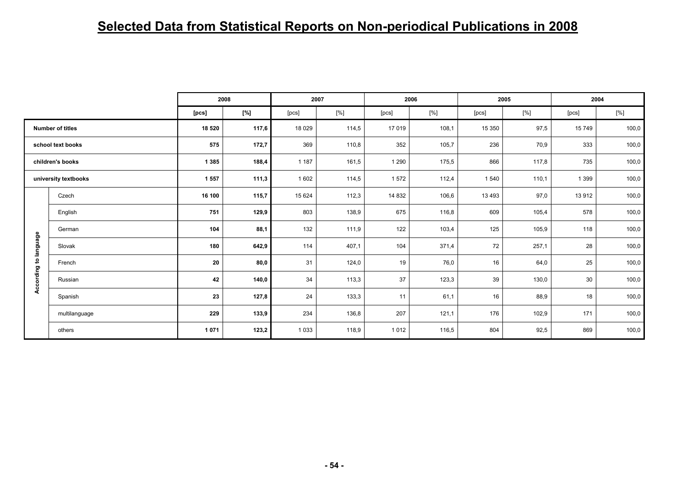# **Selected Data from Statistical Reports on Non-periodical Publications in 2008**

|             |                         |         | 2008  |         | 2007   |         | 2006  |         | 2005  |         | 2004  |
|-------------|-------------------------|---------|-------|---------|--------|---------|-------|---------|-------|---------|-------|
|             |                         | [pcs]   | [%]   | [pcs]   | $[\%]$ | [pcs]   | [%]   | [pcs]   | [%]   | [pcs]   | [%]   |
|             | <b>Number of titles</b> | 18 520  | 117,6 | 18 0 29 | 114,5  | 17 019  | 108,1 | 15 350  | 97,5  | 15 749  | 100,0 |
|             | school text books       | 575     | 172,7 | 369     | 110,8  | 352     | 105,7 | 236     | 70,9  | 333     | 100,0 |
|             | children's books        | 1 3 8 5 | 188,4 | 1 1 8 7 | 161,5  | 1 2 9 0 | 175,5 | 866     | 117,8 | 735     | 100,0 |
|             | university textbooks    | 1 5 5 7 | 111,3 | 1 602   | 114,5  | 1572    | 112,4 | 1 5 4 0 | 110,1 | 1 3 9 9 | 100,0 |
|             | Czech                   | 16 100  | 115,7 | 15 624  | 112,3  | 14 832  | 106,6 | 13 4 93 | 97,0  | 13 912  | 100,0 |
|             | English                 | 751     | 129,9 | 803     | 138,9  | 675     | 116,8 | 609     | 105,4 | 578     | 100,0 |
|             | German                  | 104     | 88,1  | 132     | 111,9  | 122     | 103,4 | 125     | 105,9 | 118     | 100,0 |
| to language | Slovak                  | 180     | 642,9 | 114     | 407,1  | 104     | 371,4 | 72      | 257,1 | 28      | 100,0 |
|             | French                  | 20      | 80,0  | 31      | 124,0  | 19      | 76,0  | 16      | 64,0  | 25      | 100,0 |
| According   | Russian                 | 42      | 140,0 | 34      | 113,3  | 37      | 123,3 | 39      | 130,0 | 30      | 100,0 |
|             | Spanish                 | 23      | 127,8 | 24      | 133,3  | 11      | 61,1  | 16      | 88,9  | 18      | 100,0 |
|             | multilanguage           | 229     | 133,9 | 234     | 136,8  | 207     | 121,1 | 176     | 102,9 | 171     | 100,0 |
|             | others                  | 1 0 7 1 | 123,2 | 1 0 3 3 | 118,9  | 1012    | 116,5 | 804     | 92,5  | 869     | 100,0 |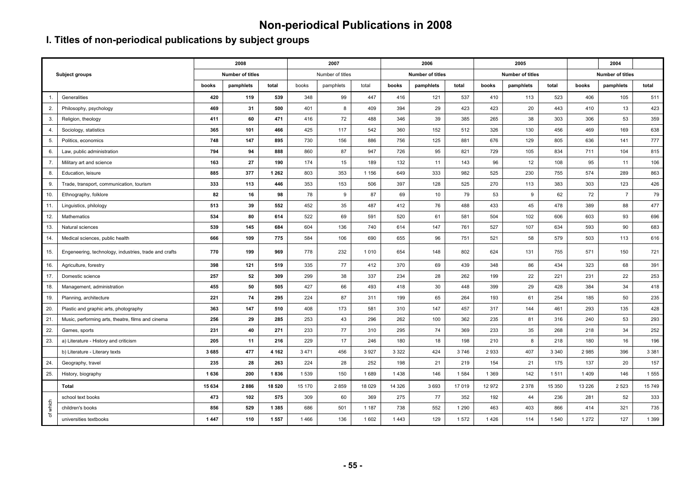# **Non-periodical Publications in 2008**

## **I. Titles of non-periodical publications by subject groups**

|                     |                                                       |        | 2008             |         |         | 2007             |         |         | 2006                    |         |         | 2005             |         |         | 2004                    |         |
|---------------------|-------------------------------------------------------|--------|------------------|---------|---------|------------------|---------|---------|-------------------------|---------|---------|------------------|---------|---------|-------------------------|---------|
|                     | <b>Subject groups</b>                                 |        | Number of titles |         |         | Number of titles |         |         | <b>Number of titles</b> |         |         | Number of titles |         |         | <b>Number of titles</b> |         |
|                     |                                                       | books  | pamphlets        | total   | books   | pamphlets        | total   | books   | pamphlets               | total   | books   | pamphlets        | total   | books   | pamphlets               | total   |
| -1.                 | Generalities                                          | 420    | 119              | 539     | 348     | 99               | 447     | 416     | 121                     | 537     | 410     | 113              | 523     | 406     | 105                     | 511     |
| 2.                  | Philosophy, psychology                                | 469    | 31               | 500     | 401     | 8                | 409     | 394     | 29                      | 423     | 423     | 20               | 443     | 410     | 13                      | 423     |
| 3.                  | Religion, theology                                    | 411    | 60               | 471     | 416     | 72               | 488     | 346     | 39                      | 385     | 265     | 38               | 303     | 306     | 53                      | 359     |
| 4.                  | Sociology, statistics                                 | 365    | 101              | 466     | 425     | 117              | 542     | 360     | 152                     | 512     | 326     | 130              | 456     | 469     | 169                     | 638     |
| 5.                  | Politics, economics                                   | 748    | 147              | 895     | 730     | 156              | 886     | 756     | 125                     | 881     | 676     | 129              | 805     | 636     | 141                     | 777     |
| 6.                  | Law, public administration                            | 794    | 94               | 888     | 860     | 87               | 947     | 726     | 95                      | 821     | 729     | 105              | 834     | 711     | 104                     | 815     |
| 7.                  | Military art and science                              | 163    | 27               | 190     | 174     | 15               | 189     | 132     | 11                      | 143     | 96      | 12               | 108     | 95      | 11                      | 106     |
| 8.                  | Education, leisure                                    | 885    | 377              | 1 2 6 2 | 803     | 353              | 1 1 5 6 | 649     | 333                     | 982     | 525     | 230              | 755     | 574     | 289                     | 863     |
| 9.                  | Trade, transport, communication, tourism              | 333    | 113              | 446     | 353     | 153              | 506     | 397     | 128                     | 525     | 270     | 113              | 383     | 303     | 123                     | 426     |
| 10.                 | Ethnography, folklore                                 | 82     | 16               | 98      | 78      | 9                | 87      | 69      | 10                      | 79      | 53      | 9                | 62      | 72      | $\overline{7}$          | 79      |
| 11.                 | Linguistics, philology                                | 513    | 39               | 552     | 452     | 35               | 487     | 412     | 76                      | 488     | 433     | 45               | 478     | 389     | 88                      | 477     |
| 12.                 | Mathematics                                           | 534    | 80               | 614     | 522     | 69               | 591     | 520     | 61                      | 581     | 504     | 102              | 606     | 603     | 93                      | 696     |
| 13.                 | Natural sciences                                      | 539    | 145              | 684     | 604     | 136              | 740     | 614     | 147                     | 761     | 527     | 107              | 634     | 593     | 90                      | 683     |
| 14.                 | Medical sciences, public health                       | 666    | 109              | 775     | 584     | 106              | 690     | 655     | 96                      | 751     | 521     | 58               | 579     | 503     | 113                     | 616     |
| 15.                 | Engeneering, technology, industries, trade and crafts | 770    | 199              | 969     | 778     | 232              | 1010    | 654     | 148                     | 802     | 624     | 131              | 755     | 571     | 150                     | 721     |
| 16.                 | Agriculture, forestry                                 | 398    | 121              | 519     | 335     | 77               | 412     | 370     | 69                      | 439     | 348     | 86               | 434     | 323     | 68                      | 391     |
| 17.                 | Domestic science                                      | 257    | 52               | 309     | 299     | 38               | 337     | 234     | 28                      | 262     | 199     | 22               | 221     | 231     | 22                      | 253     |
| 18.                 | Management, administration                            | 455    | 50               | 505     | 427     | 66               | 493     | 418     | 30                      | 448     | 399     | 29               | 428     | 384     | 34                      | 418     |
| 19.                 | Planning, architecture                                | 221    | 74               | 295     | 224     | 87               | 311     | 199     | 65                      | 264     | 193     | 61               | 254     | 185     | 50                      | 235     |
| 20.                 | Plastic and graphic arts, photography                 | 363    | 147              | 510     | 408     | 173              | 581     | 310     | 147                     | 457     | 317     | 144              | 461     | 293     | 135                     | 428     |
| 21.                 | Music, performing arts, theatre, films and cinema     | 256    | 29               | 285     | 253     | 43               | 296     | 262     | 100                     | 362     | 235     | 81               | 316     | 240     | 53                      | 293     |
| 22.                 | Games, sports                                         | 231    | 40               | 271     | 233     | 77               | 310     | 295     | 74                      | 369     | 233     | 35               | 268     | 218     | 34                      | 252     |
| 23.                 | a) Literature - History and criticism                 | 205    | 11               | 216     | 229     | 17               | 246     | 180     | 18                      | 198     | 210     | 8                | 218     | 180     | 16                      | 196     |
|                     | b) Literature - Literary texts                        | 3685   | 477              | 4 1 6 2 | 3 4 7 1 | 456              | 3927    | 3 3 2 2 | 424                     | 3746    | 2933    | 407              | 3 3 4 0 | 2985    | 396                     | 3 3 8 1 |
| 24.                 | Geography, travel                                     | 235    | 28               | 263     | 224     | 28               | 252     | 198     | 21                      | 219     | 154     | 21               | 175     | 137     | 20                      | 157     |
| 25.                 | History, biography                                    | 1 636  | 200              | 1836    | 1539    | 150              | 1689    | 1438    | 146                     | 1584    | 1 3 6 9 | 142              | 1511    | 1409    | 146                     | 1555    |
|                     | Total                                                 | 15 634 | 2886             | 18 5 20 | 15 170  | 2859             | 18 0 29 | 14 3 26 | 3693                    | 17 019  | 12 972  | 2 3 7 8          | 15 350  | 13 2 26 | 2 5 2 3                 | 15749   |
|                     | school text books                                     | 473    | 102              | 575     | 309     | 60               | 369     | 275     | 77                      | 352     | 192     | 44               | 236     | 281     | 52                      | 333     |
| which               | children's books                                      | 856    | 529              | 1 3 8 5 | 686     | 501              | 1 1 8 7 | 738     | 552                     | 1 2 9 0 | 463     | 403              | 866     | 414     | 321                     | 735     |
| $\overline{\sigma}$ | universities textbooks                                | 1447   | 110              | 1557    | 1466    | 136              | 1 602   | 1443    | 129                     | 1572    | 1426    | 114              | 1 5 4 0 | 1 2 7 2 | 127                     | 1 3 9 9 |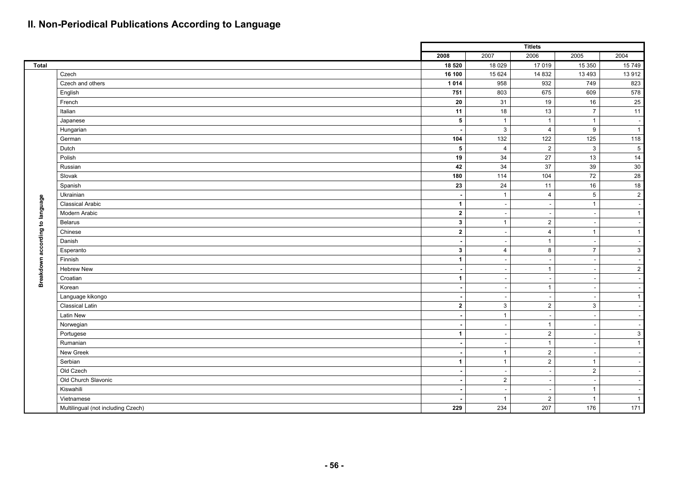## **II. Non-Periodical Publications According to Language**

|                                 |                                    |                      |                          | <b>Titlets</b>           |                |              |
|---------------------------------|------------------------------------|----------------------|--------------------------|--------------------------|----------------|--------------|
|                                 |                                    | 2008                 | 2007                     | 2006                     | 2005           | 2004         |
| Total                           |                                    | 18 520               | 18 0 29                  | 17019                    | 15 350         | 15 749       |
|                                 | Czech                              | 16 100               | 15 624                   | 14 8 32                  | 13 4 93        | 13 912       |
|                                 | Czech and others                   | 1 0 1 4              | 958                      | 932                      | 749            | 823          |
|                                 | English                            | 751                  | 803                      | 675                      | 609            | 578          |
|                                 | French                             | 20                   | 31                       | 19                       | $16\,$         | 25           |
|                                 | Italian                            | 11                   | 18                       | 13                       | $\overline{7}$ | 11           |
|                                 | Japanese                           | $5\phantom{.0}$      | $\overline{1}$           | $\overline{1}$           | $\overline{1}$ | <b>.</b>     |
|                                 | Hungarian                          | $\blacksquare$       | $\mathbf{3}$             | $\overline{4}$           | 9              | $\mathbf{1}$ |
|                                 | German                             | 104                  | 132                      | 122                      | 125            | 118          |
|                                 | Dutch                              | 5                    | $\overline{4}$           | $\overline{2}$           | $\mathbf{3}$   | $\,$ 5 $\,$  |
|                                 | Polish                             | 19                   | 34                       | $27\,$                   | 13             | 14           |
|                                 | Russian                            | 42                   | 34                       | $\overline{37}$          | 39             | $30\,$       |
|                                 | Slovak                             | 180                  | 114                      | 104                      | $72\,$         | 28           |
|                                 | Spanish                            | 23                   | 24                       | 11                       | $16\,$         | 18           |
|                                 | Ukrainian                          | $\sim$               | $\overline{1}$           | $\overline{4}$           | $5\phantom{1}$ | $\sqrt{2}$   |
|                                 | <b>Classical Arabic</b>            | $\blacktriangleleft$ |                          |                          | $\overline{1}$ |              |
|                                 | Modern Arabic                      | $\overline{2}$       | $\overline{\phantom{a}}$ | $\overline{\phantom{a}}$ |                | $\mathbf{1}$ |
| Breakdown according to language | Belarus                            | $\mathbf{3}$         | $\overline{1}$           | $\overline{2}$           |                |              |
|                                 | Chinese                            | $\overline{2}$       |                          | 4                        | $\overline{1}$ | $\mathbf{1}$ |
|                                 | Danish                             | $\blacksquare$       |                          | $\overline{1}$           |                |              |
|                                 | Esperanto                          | $\mathbf{3}$         | $\overline{4}$           | 8                        | $\overline{7}$ | $\mathsf 3$  |
|                                 | Finnish                            | $\blacktriangleleft$ |                          |                          |                |              |
|                                 | <b>Hebrew New</b>                  | $\blacksquare$       |                          | $\overline{1}$           |                | $\mathbf{2}$ |
|                                 | Croatian                           | $\mathbf{1}$         | $\sim$                   | ۰.                       |                |              |
|                                 | Korean                             | $\sim$               | $\overline{\phantom{a}}$ | $\overline{1}$           |                |              |
|                                 | Language kikongo                   | $\blacksquare$       |                          | ٠.                       |                | $\mathbf{1}$ |
|                                 | <b>Classical Latin</b>             | $\overline{2}$       | 3                        | 2                        | 3              |              |
|                                 | <b>Latin New</b>                   | $\blacksquare$       | $\overline{1}$           | $\overline{\phantom{a}}$ |                |              |
|                                 | Norwegian                          | $\sim$               |                          | $\overline{1}$           |                |              |
|                                 | Portugese                          | $\mathbf{1}$         |                          | $\overline{2}$           |                | $\mathbf{3}$ |
|                                 | Rumanian                           | $\sim$               | ٠                        | $\overline{1}$           |                | $\mathbf{1}$ |
|                                 | New Greek                          | $\sim$               | $\overline{1}$           | $\overline{2}$           |                |              |
|                                 | Serbian                            | $\mathbf{1}$         | $\overline{1}$           | $\overline{2}$           | $\overline{1}$ |              |
|                                 | Old Czech                          | $\blacksquare$       |                          |                          | $\overline{2}$ |              |
|                                 | Old Church Slavonic                | $\sim$               | $\overline{2}$           |                          |                |              |
|                                 | Kiswahili                          | $\sim$               |                          |                          | $\overline{1}$ |              |
|                                 | Vietnamese                         |                      | $\overline{1}$           | $\overline{2}$           | $\overline{1}$ | $\mathbf{1}$ |
|                                 | Multilingual (not including Czech) | 229                  | 234                      | 207                      | 176            | 171          |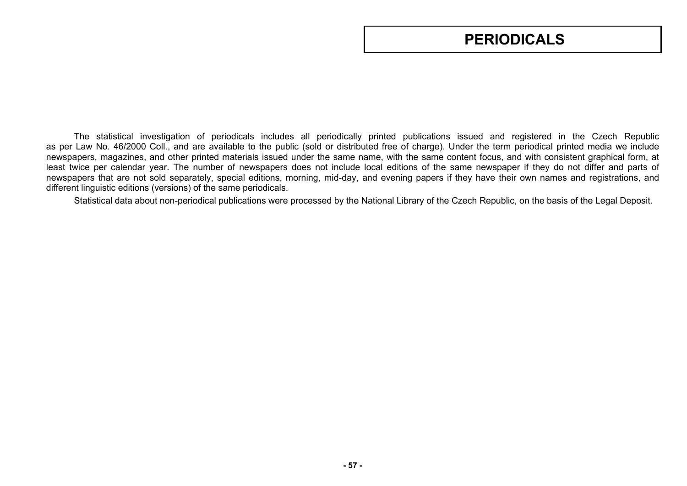# **PERIODICALS**

The statistical investigation of periodicals includes all periodically printed publications issued and registered in the Czech Republic as per Law No. 46/2000 Coll., and are available to the public (sold or distributed free of charge). Under the term periodical printed media we include newspapers, magazines, and other printed materials issued under the same name, with the same content focus, and with consistent graphical form, at least twice per calendar year. The number of newspapers does not include local editions of the same newspaper if they do not differ and parts of newspapers that are not sold separately, special editions, morning, mid-day, and evening papers if they have their own names and registrations, and different linguistic editions (versions) of the same periodicals.

Statistical data about non-periodical publications were processed by the National Library of the Czech Republic, on the basis of the Legal Deposit.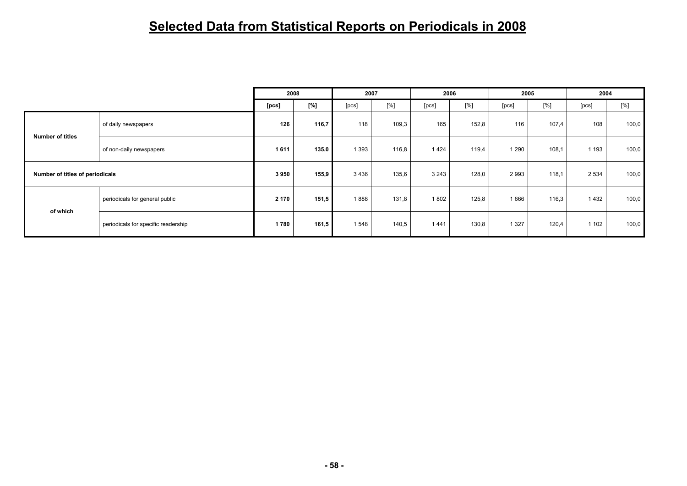# **Selected Data from Statistical Reports on Periodicals in 2008**

|                                 |                                     |       | 2008  |         | 2007  |         | 2006  |         | 2005  | 2004    |       |
|---------------------------------|-------------------------------------|-------|-------|---------|-------|---------|-------|---------|-------|---------|-------|
|                                 |                                     | [pcs] | [%]   | [pcs]   | [%]   | [pcs]   | [%]   | [pcs]   | [%]   | [pcs]   | [%]   |
|                                 | of daily newspapers                 | 126   | 116,7 | 118     | 109,3 | 165     | 152,8 | 116     | 107,4 | 108     | 100,0 |
| <b>Number of titles</b>         | of non-daily newspapers             | 1611  | 135,0 | 1 3 9 3 | 116,8 | 1424    | 119,4 | 1 2 9 0 | 108,1 | 1 1 9 3 | 100,0 |
| Number of titles of periodicals |                                     | 3950  | 155,9 | 3436    | 135,6 | 3 2 4 3 | 128,0 | 2993    | 118,1 | 2 5 3 4 | 100,0 |
|                                 | periodicals for general public      | 2 170 | 151,5 | 1888    | 131,8 | 1802    | 125,8 | 1 6 6 6 | 116,3 | 1432    | 100,0 |
| of which                        | periodicals for specific readership | 1780  | 161,5 | 1548    | 140,5 | 1441    | 130,8 | 1 3 2 7 | 120,4 | 1 1 0 2 | 100,0 |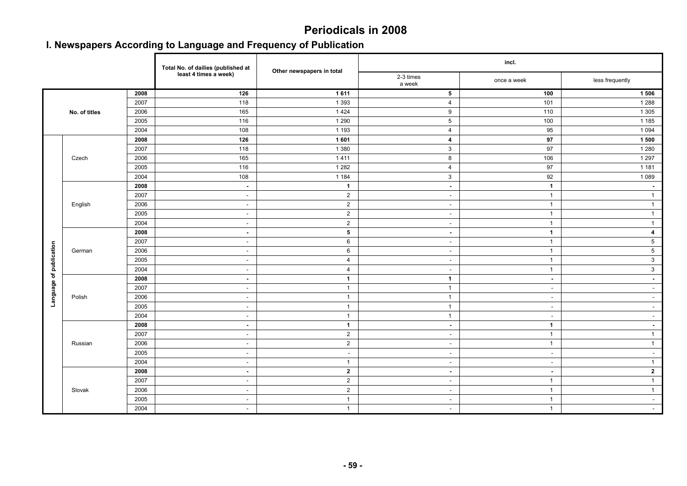## **Periodicals in 2008**

## **I. Newspapers According to Language and Frequency of Publication**

|                         |               |      | Total No. of dailies (published at | Other newspapers in total |                          | incl.        |                          |
|-------------------------|---------------|------|------------------------------------|---------------------------|--------------------------|--------------|--------------------------|
|                         |               |      | least 4 times a week)              |                           | 2-3 times<br>a week      | once a week  | less frequently          |
|                         |               | 2008 | 126                                | 1611                      | 5                        | 100          | 1 506                    |
|                         |               | 2007 | 118                                | 1 3 9 3                   | $\overline{4}$           | 101          | 1 2 8 8                  |
|                         | No. of titles | 2006 | 165                                | 1424                      | 9                        | 110          | 1 3 0 5                  |
|                         |               | 2005 | 116                                | 1 2 9 0                   | $5\phantom{.0}$          | 100          | 1 1 8 5                  |
|                         |               | 2004 | 108                                | 1 1 9 3                   | $\overline{4}$           | 95           | 1 0 9 4                  |
|                         |               | 2008 | 126                                | 1 601                     | $\overline{\mathbf{4}}$  | 97           | 1 500                    |
|                         |               | 2007 | 118                                | 1 3 8 0                   | $\mathbf{3}$             | 97           | 1 2 8 0                  |
|                         | Czech         | 2006 | 165                                | 1411                      | 8                        | 106          | 1 2 9 7                  |
|                         |               | 2005 | 116                                | 1 2 8 2                   | $\overline{4}$           | 97           | 1 1 8 1                  |
|                         |               | 2004 | 108                                | 1 1 8 4                   | 3                        | 92           | 1 0 8 9                  |
|                         |               | 2008 | $\sim$                             | $\mathbf{1}$              | $\blacksquare$           | $\mathbf{1}$ | $\sim$                   |
|                         |               | 2007 | $\sim$                             | $\overline{2}$            | $\sim$                   | $\mathbf{1}$ | $\mathbf{1}$             |
|                         | English       | 2006 | $\sim$                             | $\overline{2}$            | $\sim$                   | $\mathbf{1}$ | $\overline{1}$           |
|                         |               | 2005 | $\sim$                             | $\overline{2}$            | $\overline{\phantom{a}}$ | $\mathbf{1}$ | $\mathbf{1}$             |
|                         |               | 2004 | $\sim$                             | $\overline{2}$            | $\sim$                   | $\mathbf{1}$ | $\mathbf{1}$             |
|                         |               | 2008 | $\sim$                             | ${\bf 5}$                 | $\mathbf{r}$             | $\mathbf{1}$ | $\boldsymbol{4}$         |
|                         |               | 2007 | $\sim$                             | 6                         | $\sim$                   | $\mathbf{1}$ | $5\phantom{.0}$          |
| Language of publication | German        | 2006 | $\sim$                             | $\,6\,$                   | $\sim$                   | $\mathbf{1}$ | $\overline{5}$           |
|                         |               | 2005 | $\sim$                             | $\overline{4}$            | $\sim$                   | $\mathbf{1}$ | 3                        |
|                         |               | 2004 | $\sim$                             | $\overline{4}$            | $\sim$                   | $\mathbf{1}$ | $\mathbf{3}$             |
|                         |               | 2008 | $\sim$                             | $\mathbf{1}$              | $\mathbf{1}$             | $\sim$       | $\sim$                   |
|                         |               | 2007 | $\sim$                             | $\overline{1}$            | $\overline{1}$           | $\sim$       | $\sim$                   |
|                         | Polish        | 2006 | $\sim$                             | $\overline{1}$            | $\mathbf{1}$             | $\sim$       | $\sim$                   |
|                         |               | 2005 | $\sim$                             | $\overline{1}$            | $\mathbf{1}$             | $\sim$       | $\sim$                   |
|                         |               | 2004 | $\sim$                             | $\overline{1}$            | $\mathbf{1}$             | $\sim$       | $\sim$                   |
|                         |               | 2008 | $\sim$                             | $\mathbf{1}$              | $\blacksquare$           | $\mathbf{1}$ | $\sim$                   |
|                         |               | 2007 | $\sim$                             | $\overline{2}$            | $\sim$                   | $\mathbf{1}$ | $\overline{1}$           |
|                         | Russian       | 2006 | $\sim$                             | $\overline{2}$            | $\overline{\phantom{a}}$ | $\mathbf{1}$ | $\mathbf{1}$             |
|                         |               | 2005 | $\sim$                             | $\sim$                    | $\sim$                   | $\sim$       | $\sim$                   |
|                         |               | 2004 | $\sim$                             | $\mathbf{1}$              | $\mathbf{r}$             | $\sim$       | $\mathbf{1}$             |
|                         |               | 2008 | $\sim$                             | $\overline{2}$            | $\sim$                   | $\sim$       | $\mathbf{2}$             |
|                         |               | 2007 | $\sim$                             | $\overline{2}$            | $\sim$                   | $\mathbf{1}$ | $\mathbf{1}$             |
|                         | Slovak        | 2006 | $\sim$                             | $\overline{2}$            | $\sim$                   | $\mathbf{1}$ | $\mathbf{1}$             |
|                         |               | 2005 | $\sim$                             | $\overline{1}$            | $\sim$                   | $\mathbf{1}$ | $\sim$                   |
|                         |               | 2004 | $\sim$                             | $\mathbf{1}$              | $\sim$                   | $\mathbf{1}$ | $\overline{\phantom{a}}$ |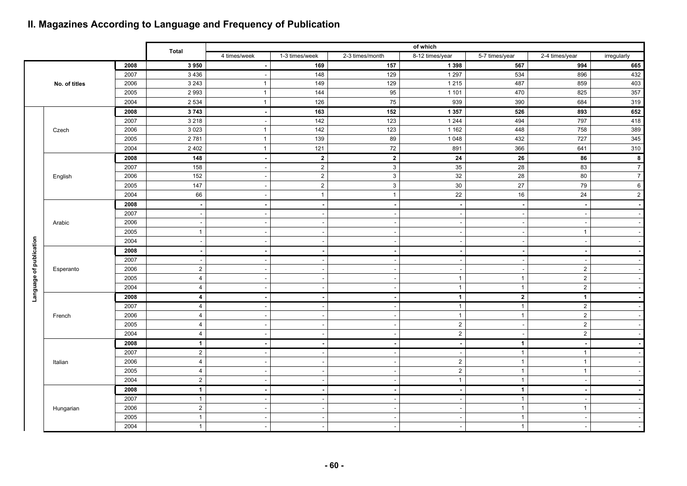## **II. Magazines According to Language and Frequency of Publication**

|                         |               |      |                         |                          |                          |                  | of which                 |                          |                          |                         |
|-------------------------|---------------|------|-------------------------|--------------------------|--------------------------|------------------|--------------------------|--------------------------|--------------------------|-------------------------|
|                         |               |      | <b>Total</b>            | 4 times/week             | 1-3 times/week           | 2-3 times/month  | 8-12 times/year          | 5-7 times/year           | 2-4 times/year           | irregularly             |
|                         |               | 2008 | 3950                    |                          | 169                      | 157              | 1 3 9 8                  | 567                      | 994                      | 665                     |
|                         |               | 2007 | 3 4 3 6                 | $\sim$                   | 148                      | 129              | 1297                     | 534                      | 896                      | 432                     |
|                         | No. of titles | 2006 | 3 2 4 3                 | $\mathbf{1}$             | 149                      | 129              | 1 2 1 5                  | 487                      | 859                      | 403                     |
|                         |               | 2005 | 2993                    | $\mathbf{1}$             | 144                      | 95               | 1 1 0 1                  | 470                      | 825                      | 357                     |
|                         |               | 2004 | 2 5 3 4                 | $\mathbf{1}$             | 126                      | 75               | 939                      | 390                      | 684                      | 319                     |
|                         |               | 2008 | 3743                    | $\blacksquare$           | 163                      | 152              | 1 3 5 7                  | 526                      | 893                      | 652                     |
|                         |               | 2007 | 3 2 1 8                 | $\sim$                   | 142                      | $\overline{123}$ | 1 2 4 4                  | 494                      | 797                      | 418                     |
|                         | Czech         | 2006 | 3 0 2 3                 | $\mathbf{1}$             | 142                      | 123              | 1 1 6 2                  | 448                      | 758                      | 389                     |
|                         |               | 2005 | 2781                    | $\mathbf{1}$             | 139                      | 89               | 1 0 4 8                  | 432                      | 727                      | 345                     |
|                         |               | 2004 | 2 4 0 2                 | $\mathbf{1}$             | 121                      | 72               | 891                      | 366                      | 641                      | 310                     |
|                         |               | 2008 | 148                     | $\overline{\phantom{a}}$ | $\overline{2}$           | $\overline{2}$   | 24                       | 26                       | 86                       | 8                       |
|                         |               | 2007 | 158                     | $\overline{\phantom{a}}$ | $\overline{a}$           | $\mathbf{3}$     | 35                       | 28                       | 83                       | $\boldsymbol{7}$        |
|                         | English       | 2006 | 152                     | $\overline{\phantom{a}}$ | $\overline{2}$           | $\sqrt{3}$       | 32                       | 28                       | 80                       | $\overline{\mathbf{7}}$ |
|                         |               | 2005 | 147                     |                          | $\overline{2}$           | $\mathbf{3}$     | $30\,$                   | 27                       | 79                       | $\,6$                   |
|                         |               | 2004 | 66                      | $\sim$                   | $\overline{1}$           | $\overline{1}$   | 22                       | 16                       | 24                       | $\mathbf 2$             |
|                         |               | 2008 | $\sim$                  | $\blacksquare$           | $\sim$                   | $\blacksquare$   | $\overline{\phantom{a}}$ | $\sim$                   | $\overline{\phantom{a}}$ |                         |
|                         |               | 2007 |                         |                          | $\sim$                   | ÷,               | $\overline{\phantom{a}}$ | $\sim$                   | $\overline{\phantom{a}}$ |                         |
|                         | Arabic        | 2006 |                         |                          | $\overline{\phantom{a}}$ |                  | $\overline{\phantom{a}}$ | $\sim$                   | $\overline{\phantom{a}}$ |                         |
|                         |               | 2005 | $\overline{1}$          | $\sim$                   | $\sim$                   |                  | $\sim$                   | $\sim$                   | $\mathbf{1}$             |                         |
|                         |               | 2004 |                         |                          | $\overline{\phantom{a}}$ |                  | $\overline{\phantom{a}}$ | $\overline{\phantom{a}}$ |                          |                         |
|                         |               | 2008 |                         |                          |                          |                  | $\overline{\phantom{a}}$ | $\blacksquare$           |                          |                         |
|                         |               | 2007 |                         |                          | $\overline{\phantom{a}}$ |                  | $\sim$                   | $\sim$                   | $\overline{\phantom{a}}$ |                         |
|                         | Esperanto     | 2006 | $\overline{2}$          |                          | $\sim$                   |                  | $\overline{\phantom{a}}$ | $\sim$                   | $\overline{2}$           |                         |
|                         |               | 2005 | 4                       |                          | $\overline{\phantom{a}}$ |                  | $\mathbf{1}$             | $\mathbf{1}$             | $\overline{2}$           |                         |
| Language of publication |               | 2004 | $\overline{4}$          |                          |                          |                  | $\overline{1}$           | $\mathbf{1}$             | $\sqrt{2}$               |                         |
|                         |               | 2008 | $\overline{\mathbf{4}}$ |                          | $\overline{\phantom{a}}$ |                  | $\overline{1}$           | $\mathbf{2}$             | $\mathbf{1}$             |                         |
|                         |               | 2007 | $\overline{4}$          | $\overline{\phantom{a}}$ | $\overline{\phantom{a}}$ |                  | $\overline{1}$           | $\mathbf{1}$             | $\overline{2}$           |                         |
|                         | French        | 2006 | $\overline{4}$          | $\overline{\phantom{a}}$ | $\overline{\phantom{a}}$ |                  | $\mathbf{1}$             | $\mathbf{1}$             | $\sqrt{2}$               |                         |
|                         |               | 2005 | $\overline{4}$          |                          | $\overline{\phantom{a}}$ |                  | $\mathbf 2$              | $\sim$                   | $\sqrt{2}$               |                         |
|                         |               | 2004 | 4                       | $\overline{\phantom{a}}$ | $\overline{\phantom{a}}$ |                  | $\mathbf 2$              | $\sim$                   | $\sqrt{2}$               |                         |
|                         |               | 2008 | $\mathbf 1$             | $\blacksquare$           |                          |                  | $\sim$                   | $\mathbf{1}$             | $\overline{\phantom{a}}$ |                         |
|                         |               | 2007 | $\overline{2}$          | $\overline{\phantom{a}}$ | $\sim$                   | ÷                | $\sim$                   | $\mathbf{1}$             | $\mathbf{1}$             |                         |
|                         | Italian       | 2006 | $\overline{4}$          | $\sim$                   | $\overline{\phantom{a}}$ |                  | $\sqrt{2}$               | $\mathbf{1}$             | $\mathbf{1}$             |                         |
|                         |               | 2005 | $\overline{4}$          | $\overline{\phantom{a}}$ | $\sim$                   |                  | $\overline{2}$           | $\mathbf{1}$             | $\mathbf{1}$             |                         |
|                         |               | 2004 | $\overline{2}$          |                          |                          |                  | $\mathbf{1}$             | $\mathbf{1}$             |                          |                         |
|                         |               | 2008 | $\mathbf{1}$            |                          |                          |                  | $\overline{\phantom{a}}$ | $\mathbf{1}$             |                          |                         |
|                         |               | 2007 | $\mathbf{1}$            | $\overline{\phantom{a}}$ | $\sim$                   |                  | $\sim$                   | $\mathbf{1}$             | $\overline{\phantom{a}}$ |                         |
|                         | Hungarian     | 2006 | $\overline{2}$          |                          |                          |                  | $\sim$                   | $\mathbf{1}$             | $\mathbf{1}$             |                         |
|                         |               | 2005 | $\mathbf{1}$            |                          | $\overline{\phantom{a}}$ |                  | $\overline{\phantom{a}}$ | $\mathbf{1}$             |                          |                         |
|                         |               | 2004 | $\mathbf{1}$            |                          |                          |                  |                          | $\mathbf{1}$             |                          |                         |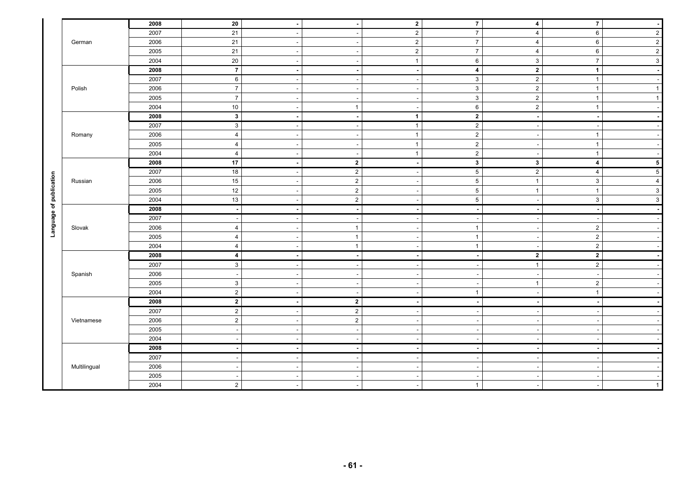|                         |              | 2008         | 20                       | $\blacksquare$           |                          | $\overline{2}$           | $\overline{7}$                             | 4                        | $\overline{7}$           | $\sim$                   |
|-------------------------|--------------|--------------|--------------------------|--------------------------|--------------------------|--------------------------|--------------------------------------------|--------------------------|--------------------------|--------------------------|
|                         |              | 2007         | 21                       | $\sim$                   |                          | $\overline{2}$           | $\overline{7}$                             | $\overline{4}$           | 6                        | $\overline{2}$           |
|                         | German       | 2006         | $21$                     | $\sim$                   |                          | $\mathbf 2$              | $\overline{7}$                             | 4                        | 6                        | $\mathbf 2$              |
|                         |              | 2005         | 21                       | $\sim$                   |                          | $\mathbf 2$              | $\overline{7}$                             | $\overline{4}$           | 6                        | $\sqrt{2}$               |
|                         |              | 2004         | $20\,$                   | $\overline{\phantom{a}}$ |                          | $\mathbf{1}$             | $\,6\,$                                    | $\mathbf{3}$             | $\overline{7}$           | $\mathbf{3}$             |
|                         |              | 2008         | $\overline{7}$           | $\blacksquare$           |                          | $\overline{a}$           | $\overline{\mathbf{4}}$                    | $\overline{2}$           | $\mathbf{1}$             | $\blacksquare$           |
|                         |              | 2007         | 6                        | $\overline{\phantom{a}}$ |                          | $\overline{\phantom{a}}$ | $\mathbf{3}$                               | $\sqrt{2}$               | $\mathbf{1}$             | $\sim$                   |
|                         | Polish       | 2006         | $\overline{7}$           | $\overline{\phantom{a}}$ |                          | $\overline{\phantom{a}}$ | $\mathbf{3}$                               | $\overline{2}$           | $\mathbf{1}$             | $\mathbf{1}$             |
|                         |              | 2005         | $\overline{7}$           | $\overline{\phantom{a}}$ |                          | $\overline{a}$           | 3                                          | $\mathbf{2}$             | $\overline{1}$           | $\mathbf{1}$             |
|                         |              | 2004         | $10\,$                   | $\overline{\phantom{a}}$ | $\overline{1}$           | $\overline{\phantom{a}}$ | 6                                          | $\mathbf 2$              | $\overline{1}$           | $\overline{\phantom{a}}$ |
|                         |              | 2008         | 3 <sup>1</sup>           | $\blacksquare$           | ٠.                       | $\mathbf{1}$             | $2^{\circ}$                                | $\overline{\phantom{a}}$ | $\blacksquare$           | $\overline{\phantom{a}}$ |
|                         |              | 2007         | $\overline{3}$           | $\sim$                   | ÷                        | $\mathbf{1}$             | $\mathbf{2}$                               | $\overline{\phantom{a}}$ | $\sim$                   | $\sim$                   |
|                         | Romany       | 2006         | $\overline{\mathbf{4}}$  | $\overline{\phantom{a}}$ |                          | $\mathbf{1}$             | $\mathbf 2$                                | $\overline{\phantom{a}}$ | $\mathbf{1}$             | $\sim$                   |
|                         |              | 2005         | $\overline{4}$           | $\overline{\phantom{a}}$ |                          | $\mathbf{1}$             | $\overline{2}$                             |                          | $\mathbf{1}$             | $\overline{\phantom{a}}$ |
|                         |              | 2004         | $\overline{4}$           | $\overline{\phantom{a}}$ |                          | $\mathbf{1}$             | $\overline{2}$                             |                          | $\mathbf{1}$             | $\overline{\phantom{a}}$ |
|                         |              | 2008         | 17                       | $\blacksquare$           | $\overline{2}$           | $\overline{\phantom{a}}$ | $\mathbf{3}$                               | $\mathbf{3}$             | 4                        | ${\bf 5}$                |
|                         |              | 2007         | $18\,$                   | $\overline{a}$           | $\sqrt{2}$               | $\overline{a}$           | $5\phantom{.0}$                            | $\overline{2}$           | $\overline{4}$           | $\,$ 5 $\,$              |
|                         | Russian      | 2006         | 15                       | $\overline{\phantom{a}}$ | $\overline{2}$           | $\overline{a}$           | $\overline{5}$                             | $\mathbf{1}$             | $\mathbf{3}$             | $\overline{4}$           |
|                         |              | 2005         | $12\,$                   | $\sim$                   | $\sqrt{2}$               | $\sim$                   | $5\phantom{.0}$                            | $\mathbf{1}$             | $\mathbf{1}$             | $\mathbf{3}$             |
|                         |              | 2004         | 13                       | $\sim$                   | $\overline{c}$           | $\overline{\phantom{a}}$ | $\,$ 5 $\,$                                | $\overline{\phantom{a}}$ | 3                        | $\mathbf{3}$             |
|                         |              |              |                          |                          |                          |                          |                                            |                          |                          |                          |
|                         |              | 2008         | $\blacksquare$           | $\sim$                   | $\blacksquare$           | $\blacksquare$           | $\sim$                                     | $\overline{\phantom{a}}$ | $\blacksquare$           | $\sim$                   |
|                         |              | 2007         | $\blacksquare$           | $\overline{\phantom{a}}$ |                          | $\overline{\phantom{a}}$ | $\sim$                                     |                          | $\overline{\phantom{a}}$ | $\sim$                   |
|                         | Slovak       | 2006         | $\overline{4}$           | $\overline{\phantom{a}}$ | $\overline{1}$           |                          | $\overline{1}$                             | ۰.                       | $\overline{2}$           | $\sim$                   |
| Language of publication |              | 2005         | $\overline{\mathbf{4}}$  | $\overline{\phantom{a}}$ | $\overline{1}$           |                          | $\overline{1}$                             |                          | $\mathbf{2}$             | $\overline{\phantom{a}}$ |
|                         |              | 2004         | $\overline{4}$           | $\overline{\phantom{a}}$ | $\overline{1}$           |                          | $\overline{1}$                             |                          | $\overline{2}$           | $\overline{\phantom{a}}$ |
|                         |              | 2008         | $\overline{\mathbf{4}}$  | $\blacksquare$           |                          | $\blacksquare$           | $\sim$                                     | $\mathbf 2$              | $\mathbf{2}$             | $\sim$                   |
|                         |              | 2007         | $\mathbf{3}$             | $\sim$                   | ٠                        | $\sim$                   | $\sim$                                     | $\mathbf{1}$             | $\overline{2}$           | $\sim$                   |
|                         | Spanish      | 2006         | $\overline{\phantom{a}}$ | $\overline{\phantom{a}}$ |                          | $\overline{\phantom{a}}$ | $\sim$                                     | $\overline{\phantom{a}}$ | ۰.                       | $\sim$                   |
|                         |              | 2005         | $\mathbf{3}$             | $\overline{\phantom{a}}$ |                          | $\overline{\phantom{a}}$ | $\sim$                                     | $\mathbf{1}$             | $\overline{2}$           | $\overline{\phantom{a}}$ |
|                         |              | 2004         | $\overline{2}$           | $\overline{\phantom{a}}$ |                          | $\overline{\phantom{a}}$ | $\overline{1}$                             |                          | $\mathbf{1}$             | $\overline{\phantom{a}}$ |
|                         |              | 2008         | $\overline{2}$           | $\blacksquare$           | $\mathbf{2}$             | $\overline{\phantom{a}}$ | $\sim$                                     | $\overline{\phantom{a}}$ | $\blacksquare$           | $\overline{\phantom{a}}$ |
|                         |              | 2007         | $\sqrt{2}$               | $\overline{\phantom{a}}$ | $\overline{2}$           | $\overline{\phantom{a}}$ | $\sim$                                     | $\sim$                   |                          | $\sim$                   |
|                         | Vietnamese   | 2006         | $\sqrt{2}$               | $\overline{\phantom{a}}$ | $\overline{2}$           | $\overline{\phantom{a}}$ | $\sim$                                     | $\overline{\phantom{a}}$ | $\overline{\phantom{a}}$ | $\sim$                   |
|                         |              | 2005         | $\overline{\phantom{a}}$ | $\sim$                   | ÷.                       | $\sim$                   | $\sim$                                     | $\overline{\phantom{a}}$ | $\overline{\phantom{a}}$ | $\sim$                   |
|                         |              | 2004         | $\overline{\phantom{a}}$ | $\sim$                   |                          | $\overline{\phantom{a}}$ | $\sim$                                     | ۰.                       |                          | $\overline{\phantom{a}}$ |
|                         |              | 2008         | $\blacksquare$           | $\sim$                   | $\overline{\phantom{a}}$ | $\blacksquare$           | $\sim$                                     | $\overline{\phantom{a}}$ | $\sim$                   | $\blacksquare$           |
|                         |              | 2007         | $\blacksquare$           | $\overline{\phantom{a}}$ |                          | $\blacksquare$           | $\sim$                                     |                          | $\overline{\phantom{a}}$ |                          |
|                         | Multilingual | 2006         |                          | $\overline{\phantom{a}}$ |                          | $\overline{\phantom{a}}$ | $\overline{\phantom{a}}$                   | $\sim$                   |                          | $\sim$                   |
|                         |              | 2005<br>2004 | $\overline{2}$           | $\overline{\phantom{a}}$ |                          |                          | $\overline{\phantom{a}}$<br>$\overline{1}$ | . .                      |                          | $\sim$<br>$\mathbf{1}$   |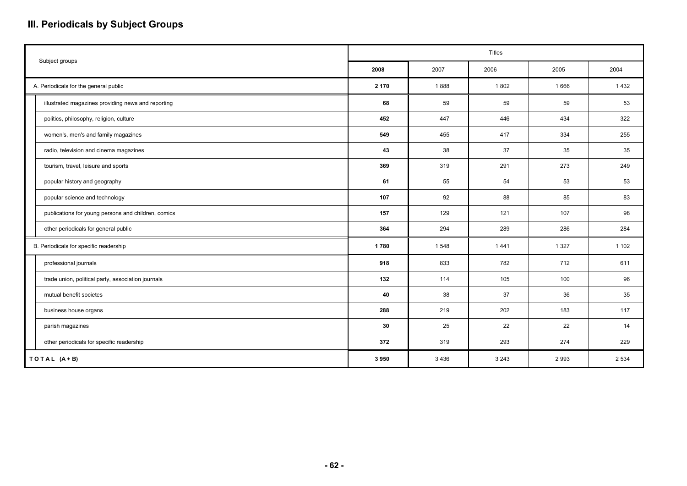## **III. Periodicals by Subject Groups**

|                                                     |       |         | <b>Titles</b> |         |         |
|-----------------------------------------------------|-------|---------|---------------|---------|---------|
| Subject groups                                      | 2008  | 2007    | 2006          | 2005    | 2004    |
| A. Periodicals for the general public               | 2 170 | 1888    | 1802          | 1666    | 1432    |
| illustrated magazines providing news and reporting  | 68    | 59      | 59            | 59      | 53      |
| politics, philosophy, religion, culture             | 452   | 447     | 446           | 434     | 322     |
| women's, men's and family magazines                 | 549   | 455     | 417           | 334     | 255     |
| radio, television and cinema magazines              | 43    | 38      | 37            | 35      | 35      |
| tourism, travel, leisure and sports                 | 369   | 319     | 291           | 273     | 249     |
| popular history and geography                       | 61    | 55      | 54            | 53      | 53      |
| popular science and technology                      | 107   | 92      | 88            | 85      | 83      |
| publications for young persons and children, comics | 157   | 129     | 121           | 107     | 98      |
| other periodicals for general public                | 364   | 294     | 289           | 286     | 284     |
| B. Periodicals for specific readership              | 1780  | 1548    | 1441          | 1 3 2 7 | 1 1 0 2 |
| professional journals                               | 918   | 833     | 782           | 712     | 611     |
| trade union, political party, association journals  | 132   | 114     | 105           | 100     | 96      |
| mutual benefit societes                             | 40    | 38      | 37            | 36      | 35      |
| business house organs                               | 288   | 219     | 202           | 183     | 117     |
| parish magazines                                    | 30    | 25      | 22            | 22      | 14      |
| other periodicals for specific readership           | 372   | 319     | 293           | 274     | 229     |
| TOTAL (A+B)                                         | 3950  | 3 4 3 6 | 3 2 4 3       | 2993    | 2 5 3 4 |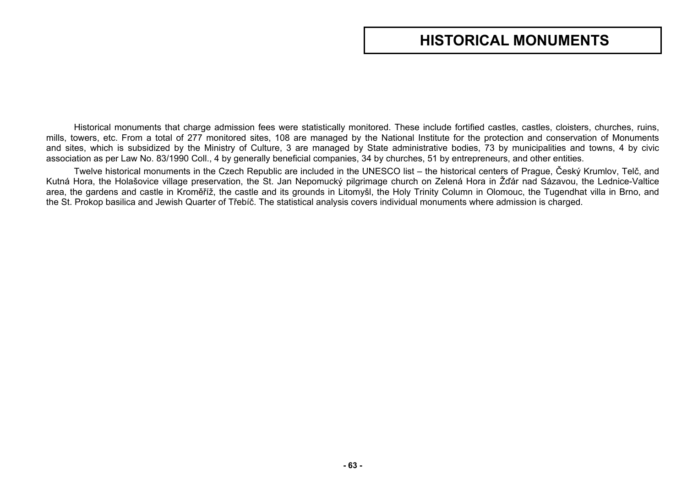# **HISTORICAL MONUMENTS**

Historical monuments that charge admission fees were statistically monitored. These include fortified castles, castles, cloisters, churches, ruins, mills, towers, etc. From a total of 277 monitored sites, 108 are managed by the National Institute for the protection and conservation of Monuments and sites, which is subsidized by the Ministry of Culture, 3 are managed by State administrative bodies, 73 by municipalities and towns, 4 by civic association as per Law No. 83/1990 Coll., 4 by generally beneficial companies, 34 by churches, 51 by entrepreneurs, and other entities.

Twelve historical monuments in the Czech Republic are included in the UNESCO list – the historical centers of Prague, Český Krumlov, Telč, and Kutná Hora, the Holašovice village preservation, the St. Jan Nepomucký pilgrimage church on Zelená Hora in Žďár nad Sázavou, the Lednice-Valtice area, the gardens and castle in Kroměříž, the castle and its grounds in Litomyšl, the Holy Trinity Column in Olomouc, the Tugendhat villa in Brno, and the St. Prokop basilica and Jewish Quarter of Třebíč. The statistical analysis covers individual monuments where admission is charged.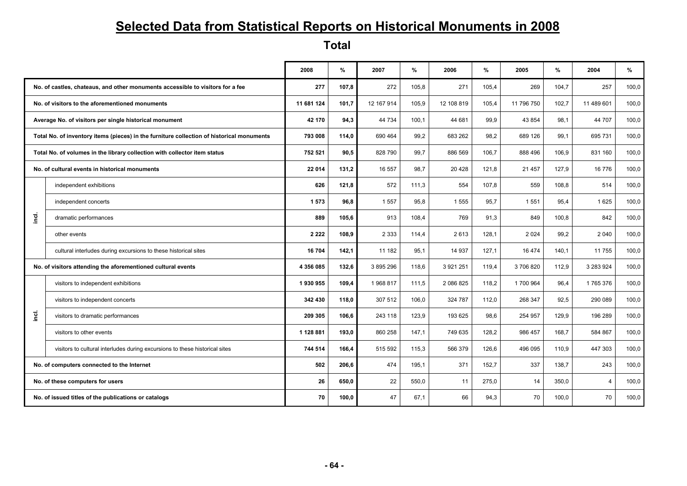# **Selected Data from Statistical Reports on Historical Monuments in 2008**

**Total** 

|         |                                                                                           | 2008       | %     | 2007       | %     | 2006       | %     | 2005       | %     | 2004           | %     |
|---------|-------------------------------------------------------------------------------------------|------------|-------|------------|-------|------------|-------|------------|-------|----------------|-------|
|         | No. of castles, chateaus, and other monuments accessible to visitors for a fee            | 277        | 107,8 | 272        | 105.8 | 271        | 105,4 | 269        | 104,7 | 257            | 100,0 |
|         | No. of visitors to the aforementioned monuments                                           | 11 681 124 | 101,7 | 12 167 914 | 105,9 | 12 108 819 | 105,4 | 11 796 750 | 102,7 | 11 489 601     | 100,0 |
|         | Average No. of visitors per single historical monument                                    | 42 170     | 94,3  | 44 734     | 100,1 | 44 681     | 99,9  | 43 854     | 98,1  | 44 707         | 100,0 |
|         | Total No. of inventory items (pieces) in the furniture collection of historical monuments | 793 008    | 114,0 | 690 464    | 99,2  | 683 262    | 98,2  | 689 126    | 99,1  | 695 731        | 100,0 |
|         | Total No. of volumes in the library collection with collector item status                 | 752 521    | 90.5  | 828 790    | 99,7  | 886 569    | 106,7 | 888 496    | 106,9 | 831 160        | 100,0 |
|         | No. of cultural events in historical monuments                                            | 22 014     | 131.2 | 16 557     | 98.7  | 20 4 28    | 121,8 | 21 457     | 127.9 | 16 776         | 100,0 |
|         | independent exhibitions                                                                   | 626        | 121.8 | 572        | 111.3 | 554        | 107,8 | 559        | 108.8 | 514            | 100,0 |
|         | independent concerts                                                                      | 1573       | 96.8  | 1557       | 95,8  | 1555       | 95,7  | 1551       | 95.4  | 1625           | 100,0 |
| je<br>آ | dramatic performances                                                                     | 889        | 105,6 | 913        | 108,4 | 769        | 91,3  | 849        | 100,8 | 842            | 100,0 |
|         | other events                                                                              | 2 2 2 2    | 108.9 | 2 3 3 3    | 114.4 | 2613       | 128,1 | 2 0 2 4    | 99,2  | 2 0 4 0        | 100,0 |
|         | cultural interludes during excursions to these historical sites                           | 16704      | 142,1 | 11 182     | 95,1  | 14 9 37    | 127,1 | 16 474     | 140,1 | 11 755         | 100,0 |
|         | No. of visitors attending the aforementioned cultural events                              | 4 356 085  | 132,6 | 3 895 296  | 118,6 | 3 921 251  | 119,4 | 3706820    | 112,9 | 3 283 924      | 100,0 |
|         | visitors to independent exhibitions                                                       | 1930955    | 109,4 | 1968817    | 111,5 | 2 086 825  | 118,2 | 1700 964   | 96,4  | 1765376        | 100,0 |
|         | visitors to independent concerts                                                          | 342 430    | 118,0 | 307 512    | 106,0 | 324 787    | 112,0 | 268 347    | 92,5  | 290 089        | 100,0 |
| incl.   | visitors to dramatic performances                                                         | 209 305    | 106,6 | 243 118    | 123,9 | 193 625    | 98,6  | 254 957    | 129,9 | 196 289        | 100,0 |
|         | visitors to other events                                                                  | 1 128 881  | 193,0 | 860 258    | 147,1 | 749 635    | 128,2 | 986 457    | 168,7 | 584 867        | 100,0 |
|         | visitors to cultural interludes during excursions to these historical sites               | 744 514    | 166,4 | 515 592    | 115,3 | 566 379    | 126,6 | 496 095    | 110,9 | 447 303        | 100,0 |
|         | No. of computers connected to the Internet                                                |            | 206,6 | 474        | 195,1 | 371        | 152,7 | 337        | 138,7 | 243            | 100,0 |
|         | No. of these computers for users                                                          |            | 650,0 | 22         | 550,0 | 11         | 275,0 | 14         | 350,0 | $\overline{4}$ | 100,0 |
|         | No. of issued titles of the publications or catalogs                                      |            | 100,0 | 47         | 67,1  | 66         | 94,3  | 70         | 100,0 | 70             | 100,0 |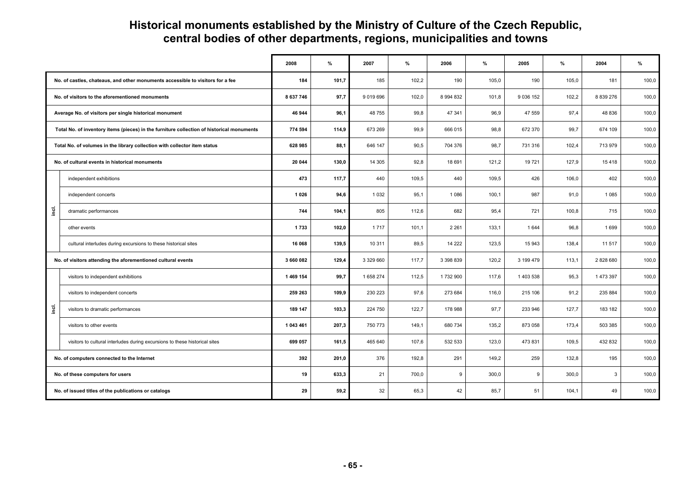## **Historical monuments established by the Ministry of Culture of the Czech Republic, central bodies of other departments, regions, municipalities and towns**

|       |                                                                                           | 2008      | $\%$  | 2007      | %     | 2006          | $\%$  | 2005        | %     | 2004          | $\%$  |
|-------|-------------------------------------------------------------------------------------------|-----------|-------|-----------|-------|---------------|-------|-------------|-------|---------------|-------|
|       | No. of castles, chateaus, and other monuments accessible to visitors for a fee            | 184       | 101,7 | 185       | 102,2 | 190           | 105,0 | 190         | 105,0 | 181           | 100,0 |
|       | No. of visitors to the aforementioned monuments                                           | 8 637 746 | 97,7  | 9 019 696 | 102,0 | 8 9 9 4 8 3 2 | 101,8 | 9 0 36 1 52 | 102,2 | 8 8 3 9 2 7 6 | 100,0 |
|       | Average No. of visitors per single historical monument                                    | 46 944    | 96,1  | 48 755    | 99,8  | 47 341        | 96,9  | 47 559      | 97,4  | 48 836        | 100,0 |
|       | Total No. of inventory items (pieces) in the furniture collection of historical monuments | 774 594   | 114,9 | 673 269   | 99,9  | 666 015       | 98,8  | 672 370     | 99,7  | 674 109       | 100,0 |
|       | Total No. of volumes in the library collection with collector item status                 |           | 88,1  | 646 147   | 90,5  | 704 376       | 98,7  | 731 316     | 102,4 | 713 979       | 100,0 |
|       | No. of cultural events in historical monuments                                            | 20 044    | 130,0 | 14 30 5   | 92,8  | 18 691        | 121,2 | 19721       | 127,9 | 15 4 18       | 100,0 |
|       | independent exhibitions                                                                   | 473       | 117,7 | 440       | 109,5 | 440           | 109,5 | 426         | 106,0 | 402           | 100,0 |
|       | independent concerts                                                                      | 1 0 2 6   | 94,6  | 1 0 3 2   | 95,1  | 1 0 8 6       | 100,1 | 987         | 91,0  | 1 0 8 5       | 100,0 |
| inei. | dramatic performances                                                                     | 744       | 104,1 | 805       | 112,6 | 682           | 95,4  | 721         | 100,8 | 715           | 100,0 |
|       | other events                                                                              | 1733      | 102,0 | 1717      | 101,1 | 2 2 6 1       | 133,1 | 1 644       | 96,8  | 1699          | 100,0 |
|       | cultural interludes during excursions to these historical sites                           | 16 068    | 139,5 | 10 311    | 89,5  | 14 222        | 123,5 | 15 943      | 138,4 | 11 517        | 100,0 |
|       | No. of visitors attending the aforementioned cultural events                              | 3 660 082 | 129,4 | 3 329 660 | 117,7 | 3 3 9 8 8 3 9 | 120,2 | 3 199 479   | 113,1 | 2828680       | 100,0 |
|       | visitors to independent exhibitions                                                       | 1469 154  | 99,7  | 1 658 274 | 112,5 | 1732 900      | 117,6 | 1 403 538   | 95,3  | 1 473 397     | 100,0 |
|       | visitors to independent concerts                                                          | 259 263   | 109,9 | 230 223   | 97,6  | 273 684       | 116,0 | 215 106     | 91,2  | 235 884       | 100,0 |
| inei. | visitors to dramatic performances                                                         | 189 147   | 103,3 | 224 750   | 122,7 | 178 988       | 97,7  | 233 946     | 127,7 | 183 182       | 100,0 |
|       | visitors to other events                                                                  | 1 043 461 | 207,3 | 750 773   | 149,1 | 680 734       | 135,2 | 873 058     | 173,4 | 503 385       | 100,0 |
|       | visitors to cultural interludes during excursions to these historical sites               |           | 161,5 | 465 640   | 107,6 | 532 533       | 123,0 | 473 831     | 109,5 | 432 832       | 100,0 |
|       | No. of computers connected to the Internet                                                |           | 201,0 | 376       | 192,8 | 291           | 149,2 | 259         | 132,8 | 195           | 100,0 |
|       | No. of these computers for users                                                          |           | 633,3 | 21        | 700,0 | 9             | 300,0 | 9           | 300,0 | 3             | 100,0 |
|       | No. of issued titles of the publications or catalogs                                      |           | 59,2  | 32        | 65,3  | 42            | 85,7  | 51          | 104,1 | 49            | 100,0 |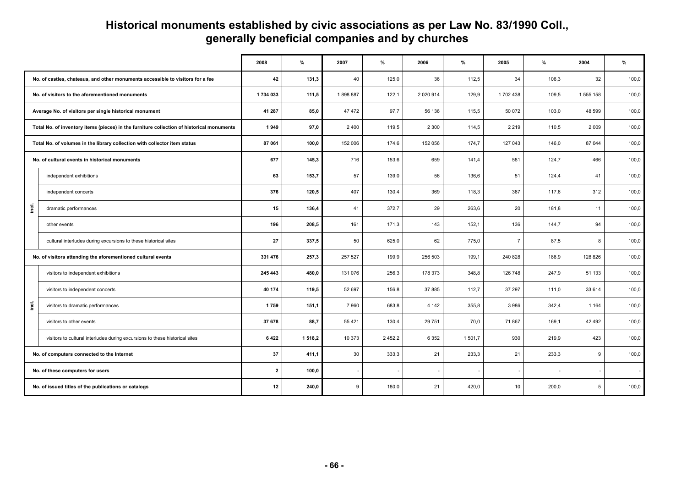### **Historical monuments established by civic associations as per Law No. 83/1990 Coll., generally beneficial companies and by churches**

|           |                                                                                           | 2008    | %       | 2007    | $\%$       | 2006          | %       | 2005           | $\%$  | 2004      | $\frac{9}{6}$ |
|-----------|-------------------------------------------------------------------------------------------|---------|---------|---------|------------|---------------|---------|----------------|-------|-----------|---------------|
|           | No. of castles, chateaus, and other monuments accessible to visitors for a fee            | 42      | 131,3   | 40      | 125,0      | 36            | 112,5   | 34             | 106,3 | 32        | 100,0         |
|           | No. of visitors to the aforementioned monuments                                           | 1734033 | 111,5   | 1898887 | 122,1      | 2 0 2 0 9 1 4 | 129,9   | 1702 438       | 109,5 | 1 555 158 | 100,0         |
|           | Average No. of visitors per single historical monument                                    | 41 287  | 85,0    | 47 472  | 97,7       | 56 136        | 115,5   | 50 072         | 103,0 | 48 599    | 100,0         |
|           | Total No. of inventory items (pieces) in the furniture collection of historical monuments | 1949    | 97,0    | 2 4 0 0 | 119,5      | 2 3 0 0       | 114,5   | 2 2 1 9        | 110,5 | 2 0 0 9   | 100,0         |
|           | Total No. of volumes in the library collection with collector item status                 | 87 061  | 100,0   | 152 006 | 174,6      | 152 056       | 174,7   | 127 043        | 146,0 | 87 044    | 100,0         |
|           | No. of cultural events in historical monuments                                            | 677     | 145,3   | 716     | 153,6      | 659           | 141,4   | 581            | 124,7 | 466       | 100,0         |
|           | independent exhibitions                                                                   | 63      | 153,7   | 57      | 139,0      | 56            | 136,6   | 51             | 124,4 | 41        | 100,0         |
|           | independent concerts                                                                      | 376     | 120,5   | 407     | 130,4      | 369           | 118,3   | 367            | 117,6 | 312       | 100,0         |
| $\vec{e}$ | dramatic performances                                                                     | 15      | 136,4   | 41      | 372,7      | 29            | 263,6   | 20             | 181,8 | 11        | 100,0         |
|           | other events                                                                              | 196     | 208,5   | 161     | 171,3      | 143           | 152,1   | 136            | 144,7 | 94        | 100,0         |
|           | cultural interludes during excursions to these historical sites                           | 27      | 337,5   | 50      | 625,0      | 62            | 775,0   | $\overline{7}$ | 87,5  | 8         | 100,0         |
|           | No. of visitors attending the aforementioned cultural events                              | 331 476 | 257,3   | 257 527 | 199,9      | 256 503       | 199,1   | 240 828        | 186,9 | 128 826   | 100,0         |
|           | visitors to independent exhibitions                                                       | 245 443 | 480,0   | 131 076 | 256,3      | 178 373       | 348,8   | 126 748        | 247,9 | 51 133    | 100,0         |
|           | visitors to independent concerts                                                          | 40 174  | 119,5   | 52 697  | 156,8      | 37 885        | 112,7   | 37 297         | 111,0 | 33 614    | 100,0         |
| je.       | visitors to dramatic performances                                                         | 1759    | 151,1   | 7960    | 683,8      | 4 1 4 2       | 355,8   | 3 9 8 6        | 342,4 | 1 1 6 4   | 100,0         |
|           | visitors to other events                                                                  | 37 678  | 88,7    | 55 4 21 | 130,4      | 29 751        | 70,0    | 71 867         | 169,1 | 42 492    | 100,0         |
|           | visitors to cultural interludes during excursions to these historical sites               |         | 1 518,2 | 10 373  | 2 4 5 2, 2 | 6 3 5 2       | 1 501.7 | 930            | 219.9 | 423       | 100,0         |
|           | No. of computers connected to the Internet                                                |         | 411,1   | 30      | 333,3      | 21            | 233,3   | 21             | 233,3 | 9         | 100,0         |
|           | No. of these computers for users                                                          |         | 100,0   |         |            |               |         |                |       |           |               |
|           | No. of issued titles of the publications or catalogs                                      |         | 240,0   | 9       | 180,0      | 21            | 420,0   | 10             | 200,0 | 5         | 100,0         |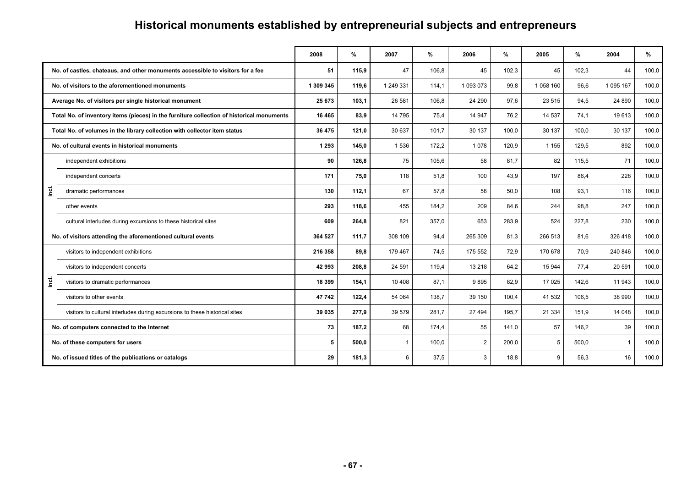#### **2008 % 2007 % 2006 % 2005 % 2004 %**  $\frac{9}{6}$ **No. of castles, chateaus, and other monuments accessible to visitors for a fee 61 651 115,9** 47 106,8 45 102,3 45 102,3 44 100.0 **No. of visitors to the aforementioned monuments 1 1 200 345 119,6** 1 249 331 1249 331 1249 331 1093 073 99.8 1058 160 96.6 1095 167 100.0 **Average No. of visitors per single historical monument 103,0 103,1 26 581 103,1** 26 581 106,8 24 290 97,6 23 515 94,5 24 890 100,0 **Total No. of inventory items (pieces) in the furniture collection of historical monuments 16 465 83.9 14 795 75.4 14 947 76.2 14 537 74.1 19 613 100.0 Total No. of volumes in the library collection with collector item status 100,0 and 121,0** 30 637 101,7 30 137 100,0 30 137 100,0 30 137 100,0 **No. of cultural events in historical monuments 1 293 145,0** 1 536 172,2 1 078 120,9 1 155 129,5 892 100,0 **incl.**  independent exhibitions **90 126,8** 75 105,6 58 81,7 82 115,5 71 100,0 independent concerts **171 75,0** 118 51,8 100 43,9 197 86,4 228 100,0 dramatic performances 130 | 112,1 **|** 67 | 58 | 58 | 50,0 | 108 | 93,1 | 116 | 100,0 other events **293 118,6** 455 184,2 209 84,6 244 98,8 247 100,0 cultural interludes during excursions to these historical sites **609 264,8** 821 357,0 653 283,9 524 227,8 230 100,0 **No. of visitors attending the aforementioned cultural events 364 527 111,7** 308 109 308 109 84,4 265 309 81,3 266 513 81,6 326 418 100,0 **incl.**  visitors to independent exhibitions **216 358 216 358 216 358 29,8 216 358 24,5** 179 467 **216 358 24,5** 175 552 **72,9** 170 678 **70,9** 240 846 100,0 visitors to independent concerts **42 993 208,8** 24 591 119,4 13 218 64,2 15 944 77,4 20 591 100,0 visitors to dramatic performances **18 39 16 17 020 154,1** 10 408 154,1 10 408 87,1 9 895 82,9 17 025 142,6 11 943 100,0 visitors to other events **47 742 122,4** 54 064 138,7 39 150 100,4 41 532 106,5 38 990 100,0 visitors to cultural interludes during excursions to these historical sites **39 035 277,9** 39 579 281,7 **27 494 195,7** 21 334 151,9 14 048 100,0 **No. of computers connected to the Internet 73 187,2** 68 174,4 55 141,0 57 146,2 39 100,0 **No. of these computers for users 600.0 Exercícle 1 100,0 Exercícle 1 2 200,0 Exercícle 1 100,0 Exercícle 1 100,0 Exercícle 1 100,0 Exercícle 1 100,0 Exercícle 1 100,0 Exercícle 1 100,0 Exercícle 1 100,0 Exercícle 1 100,0 No. of issued titles of the publications or catalogs 29 181,3 181,3 181,3 18 18,8** 3 **18,8** 9 56,3 16 100,0

## **Historical monuments established by entrepreneurial subjects and entrepreneurs**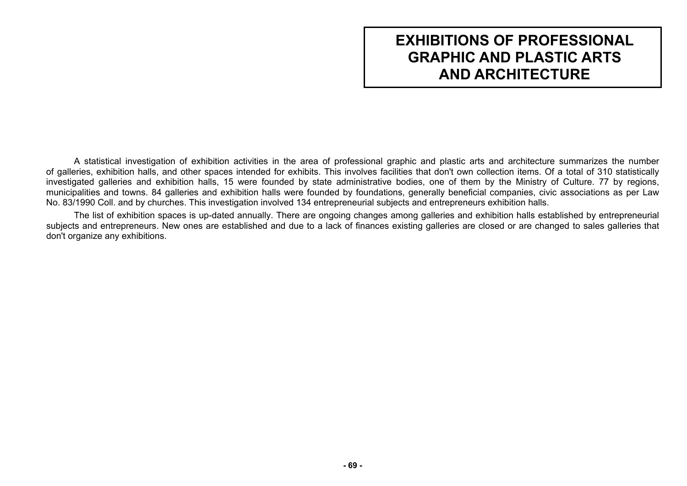# **EXHIBITIONS OF PROFESSIONAL GRAPHIC AND PLASTIC ARTS AND ARCHITECTURE**

A statistical investigation of exhibition activities in the area of professional graphic and plastic arts and architecture summarizes the number of galleries, exhibition halls, and other spaces intended for exhibits. This involves facilities that don't own collection items. Of a total of 310 statistically investigated galleries and exhibition halls, 15 were founded by state administrative bodies, one of them by the Ministry of Culture. 77 by regions, municipalities and towns. 84 galleries and exhibition halls were founded by foundations, generally beneficial companies, civic associations as per Law No. 83/1990 Coll. and by churches. This investigation involved 134 entrepreneurial subjects and entrepreneurs exhibition halls.

The list of exhibition spaces is up-dated annually. There are ongoing changes among galleries and exhibition halls established by entrepreneurial subjects and entrepreneurs. New ones are established and due to a lack of finances existing galleries are closed or are changed to sales galleries that don't organize any exhibitions.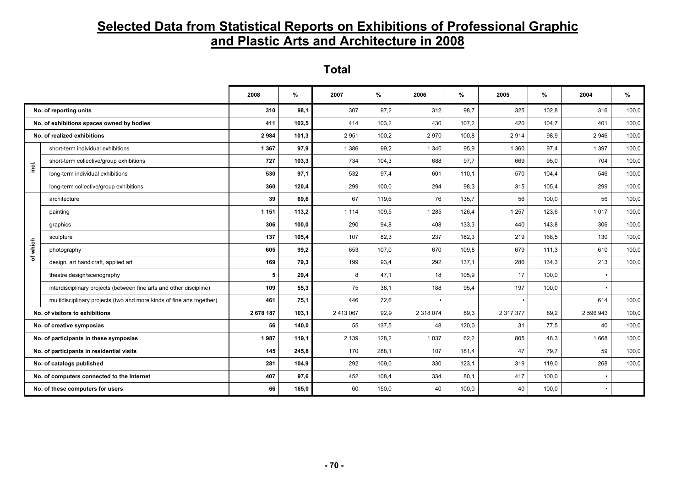## **Selected Data from Statistical Reports on Exhibitions of Professional Graphic and Plastic Arts and Architecture in 2008**

**Total** 

|                                            |                                                                       | 2008      | %     | 2007      | %     | 2006      | %     | 2005      | ℅     | 2004      | $\%$  |
|--------------------------------------------|-----------------------------------------------------------------------|-----------|-------|-----------|-------|-----------|-------|-----------|-------|-----------|-------|
| No. of reporting units                     |                                                                       | 310       | 98,1  | 307       | 97,2  | 312       | 98,7  | 325       | 102,8 | 316       | 100,0 |
| No. of exhibitions spaces owned by bodies  |                                                                       | 411       | 102,5 | 414       | 103,2 | 430       | 107,2 | 420       | 104,7 | 401       | 100,0 |
| No. of realized exhibitions                |                                                                       | 2984      | 101,3 | 2951      | 100,2 | 2970      | 100,8 | 2914      | 98,9  | 2946      | 100,0 |
|                                            | short-term individual exhibitions                                     | 1 3 6 7   | 97,9  | 1 3 8 6   | 99,2  | 1 3 4 0   | 95,9  | 1 3 6 0   | 97,4  | 1 3 9 7   | 100,0 |
| ingi.                                      | short-term collective/group exhibitions                               | 727       | 103,3 | 734       | 104,3 | 688       | 97.7  | 669       | 95,0  | 704       | 100,0 |
|                                            | long-term individual exhibitions                                      | 530       | 97,1  | 532       | 97,4  | 601       | 110,1 | 570       | 104,4 | 546       | 100,0 |
|                                            | long-term collective/group exhibitions                                | 360       | 120,4 | 299       | 100,0 | 294       | 98,3  | 315       | 105,4 | 299       | 100,0 |
|                                            | architecture                                                          | 39        | 69,6  | 67        | 119,6 | 76        | 135,7 | 56        | 100,0 | 56        | 100,0 |
|                                            | painting                                                              | 1 1 5 1   | 113,2 | 1 1 1 4   | 109,5 | 1 2 8 5   | 126,4 | 1 2 5 7   | 123,6 | 1017      | 100,0 |
|                                            | graphics                                                              | 306       | 100,0 | 290       | 94,8  | 408       | 133,3 | 440       | 143,8 | 306       | 100,0 |
|                                            | sculpture                                                             | 137       | 105,4 | 107       | 82,3  | 237       | 182,3 | 219       | 168,5 | 130       | 100,0 |
| which                                      | photography                                                           | 605       | 99,2  | 653       | 107,0 | 670       | 109.8 | 679       | 111.3 | 610       | 100,0 |
| ৳                                          | design, art handicraft, applied art                                   | 169       | 79,3  | 199       | 93,4  | 292       | 137,1 | 286       | 134,3 | 213       | 100,0 |
|                                            | theatre design/scenography                                            | 5         | 29,4  | 8         | 47.1  | 18        | 105.9 | 17        | 100.0 |           |       |
|                                            | interdisciplinary projects (between fine arts and other discipline)   | 109       | 55,3  | 75        | 38,1  | 188       | 95,4  | 197       | 100,0 |           |       |
|                                            | multidisciplinary projects (two and more kinds of fine arts together) | 461       | 75,1  | 446       | 72,6  |           |       |           |       | 614       | 100,0 |
| No. of visitors to exhibitions             |                                                                       | 2 678 187 | 103,1 | 2 413 067 | 92,9  | 2 318 074 | 89,3  | 2 317 377 | 89,2  | 2 596 943 | 100,0 |
| No. of creative symposias                  |                                                                       | 56        | 140,0 | 55        | 137,5 | 48        | 120,0 | 31        | 77,5  | 40        | 100,0 |
| No. of participants in these symposias     |                                                                       | 1987      | 119.1 | 2 1 3 9   | 128,2 | 1 0 3 7   | 62,2  | 805       | 48,3  | 1668      | 100,0 |
| No. of participants in residential visits  |                                                                       | 145       | 245,8 | 170       | 288,1 | 107       | 181,4 | 47        | 79,7  | 59        | 100,0 |
| No. of catalogs published                  |                                                                       | 281       | 104.9 | 292       | 109,0 | 330       | 123.1 | 319       | 119.0 | 268       | 100,0 |
| No. of computers connected to the Internet |                                                                       | 407       | 97,6  | 452       | 108,4 | 334       | 80,1  | 417       | 100,0 |           |       |
| No. of these computers for users           |                                                                       | 66        | 165.0 | 60        | 150,0 | 40        | 100,0 | 40        | 100,0 |           |       |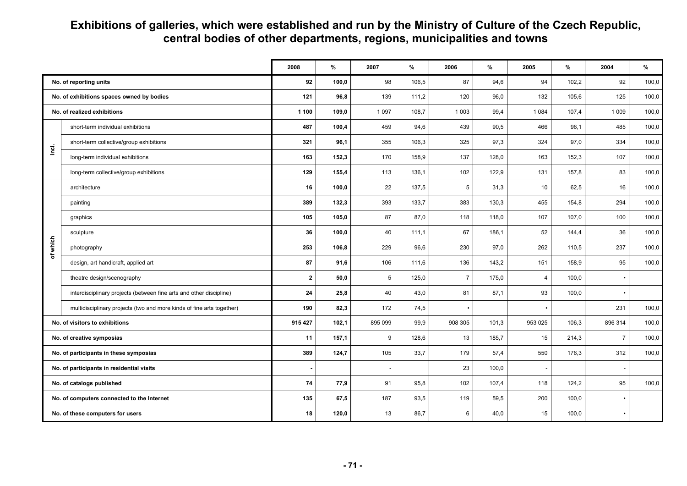#### **Exhibitions of galleries, which were established and run by the Ministry of Culture of the Czech Republic, central bodies of other departments, regions, municipalities and towns**

|                                            |                                                                       | 2008           | $\%$  | 2007    | $\%$  | 2006           | %     | 2005    | %     | 2004           | $\%$  |
|--------------------------------------------|-----------------------------------------------------------------------|----------------|-------|---------|-------|----------------|-------|---------|-------|----------------|-------|
| No. of reporting units                     |                                                                       | 92             | 100,0 | 98      | 106,5 | 87             | 94,6  | 94      | 102,2 | 92             | 100,0 |
| No. of exhibitions spaces owned by bodies  |                                                                       | 121            | 96,8  | 139     | 111,2 | 120            | 96,0  | 132     | 105,6 | 125            | 100,0 |
| No. of realized exhibitions                |                                                                       | 1 100          | 109,0 | 1 0 9 7 | 108,7 | 1 0 0 3        | 99,4  | 1 0 8 4 | 107,4 | 1 0 0 9        | 100,0 |
|                                            | short-term individual exhibitions                                     | 487            | 100,4 | 459     | 94,6  | 439            | 90,5  | 466     | 96,1  | 485            | 100,0 |
| ja.                                        | short-term collective/group exhibitions                               | 321            | 96,1  | 355     | 106,3 | 325            | 97.3  | 324     | 97,0  | 334            | 100,0 |
|                                            | long-term individual exhibitions                                      | 163            | 152,3 | 170     | 158,9 | 137            | 128,0 | 163     | 152,3 | 107            | 100,0 |
|                                            | long-term collective/group exhibitions                                | 129            | 155,4 | 113     | 136,1 | 102            | 122,9 | 131     | 157,8 | 83             | 100,0 |
|                                            | architecture                                                          | 16             | 100,0 | 22      | 137,5 | 5              | 31,3  | 10      | 62,5  | 16             | 100,0 |
|                                            | painting                                                              | 389            | 132,3 | 393     | 133,7 | 383            | 130.3 | 455     | 154,8 | 294            | 100,0 |
|                                            | graphics                                                              | 105            | 105,0 | 87      | 87,0  | 118            | 118,0 | 107     | 107,0 | 100            | 100,0 |
|                                            | sculpture                                                             | 36             | 100,0 | 40      | 111,1 | 67             | 186,1 | 52      | 144,4 | 36             | 100,0 |
| which                                      | photography                                                           | 253            | 106,8 | 229     | 96,6  | 230            | 97,0  | 262     | 110,5 | 237            | 100,0 |
| ৳                                          | design, art handicraft, applied art                                   | 87             | 91,6  | 106     | 111,6 | 136            | 143.2 | 151     | 158.9 | 95             | 100,0 |
|                                            | theatre design/scenography                                            | $\mathbf{2}$   | 50,0  | 5       | 125,0 | $\overline{7}$ | 175,0 | 4       | 100,0 |                |       |
|                                            | interdisciplinary projects (between fine arts and other discipline)   | 24             | 25,8  | 40      | 43,0  | 81             | 87,1  | 93      | 100,0 |                |       |
|                                            | multidisciplinary projects (two and more kinds of fine arts together) | 190            | 82,3  | 172     | 74,5  | $\bullet$      |       |         |       | 231            | 100,0 |
| No. of visitors to exhibitions             |                                                                       | 915 427        | 102,1 | 895 099 | 99,9  | 908 305        | 101,3 | 953 025 | 106,3 | 896 314        | 100,0 |
| No. of creative symposias                  |                                                                       | 11             | 157,1 | 9       | 128,6 | 13             | 185,7 | 15      | 214,3 | $\overline{7}$ | 100,0 |
| No. of participants in these symposias     |                                                                       | 389            | 124,7 | 105     | 33,7  | 179            | 57,4  | 550     | 176,3 | 312            | 100,0 |
| No. of participants in residential visits  |                                                                       | $\blacksquare$ |       |         |       | 23             | 100,0 |         |       |                |       |
| No. of catalogs published                  |                                                                       | 74             | 77,9  | 91      | 95,8  | 102            | 107,4 | 118     | 124,2 | 95             | 100,0 |
| No. of computers connected to the Internet |                                                                       | 135            | 67,5  | 187     | 93,5  | 119            | 59,5  | 200     | 100,0 |                |       |
| No. of these computers for users           |                                                                       | 18             | 120,0 | 13      | 86,7  | 6              | 40,0  | 15      | 100,0 |                |       |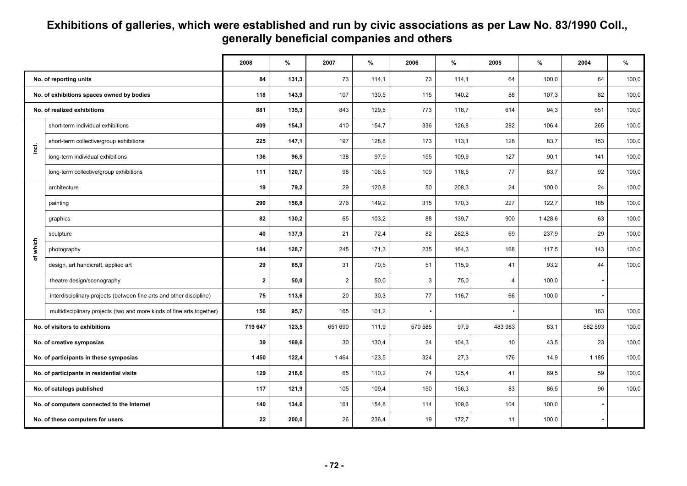#### **Exhibitions of galleries, which were established and run by civic associations as per Law No. 83/1990 Coll., generally beneficial companies and others**

|                                            |                                                                       | 2008         | $\%$  | 2007           | %     | 2006    | %     | 2005    | %      | 2004                     | %     |
|--------------------------------------------|-----------------------------------------------------------------------|--------------|-------|----------------|-------|---------|-------|---------|--------|--------------------------|-------|
| No. of reporting units                     |                                                                       | 84           | 131,3 | 73             | 114,1 | 73      | 114,1 | 64      | 100,0  | 64                       | 100,0 |
| No. of exhibitions spaces owned by bodies  |                                                                       | 118          | 143,9 | 107            | 130,5 | 115     | 140,2 | 88      | 107,3  | 82                       | 100,0 |
| No. of realized exhibitions                |                                                                       | 881          | 135,3 | 843            | 129,5 | 773     | 118,7 | 614     | 94,3   | 651                      | 100,0 |
|                                            | short-term individual exhibitions                                     | 409          | 154,3 | 410            | 154,7 | 336     | 126,8 | 282     | 106,4  | 265                      | 100,0 |
| incl.                                      | short-term collective/group exhibitions                               | 225          | 147,1 | 197            | 128,8 | 173     | 113,1 | 128     | 83,7   | 153                      | 100,0 |
|                                            | long-term individual exhibitions                                      | 136          | 96,5  | 138            | 97,9  | 155     | 109,9 | 127     | 90,1   | 141                      | 100,0 |
|                                            | long-term collective/group exhibitions                                | 111          | 120,7 | 98             | 106,5 | 109     | 118,5 | 77      | 83,7   | 92                       | 100,0 |
|                                            | architecture                                                          | 19           | 79,2  | 29             | 120,8 | 50      | 208.3 | 24      | 100.0  | 24                       | 100,0 |
|                                            | painting                                                              | 290          | 156,8 | 276            | 149,2 | 315     | 170,3 | 227     | 122,7  | 185                      | 100,0 |
|                                            | graphics                                                              | 82           | 130,2 | 65             | 103,2 | 88      | 139,7 | 900     | 1428,6 | 63                       | 100,0 |
|                                            | sculpture                                                             | 40           | 137,9 | 21             | 72,4  | 82      | 282,8 | 69      | 237,9  | 29                       | 100,0 |
| which                                      | photography                                                           | 184          | 128,7 | 245            | 171,3 | 235     | 164,3 | 168     | 117,5  | 143                      | 100,0 |
|                                            | design, art handicraft, applied art                                   | 29           | 65,9  | 31             | 70,5  | 51      | 115,9 | 41      | 93,2   | 44                       | 100,0 |
|                                            | theatre design/scenography                                            | $\mathbf{2}$ | 50,0  | $\overline{2}$ | 50,0  | 3       | 75,0  | 4       | 100,0  | $\overline{\phantom{a}}$ |       |
|                                            | interdisciplinary projects (between fine arts and other discipline)   | 75           | 113,6 | 20             | 30,3  | 77      | 116,7 | 66      | 100,0  |                          |       |
|                                            | multidisciplinary projects (two and more kinds of fine arts together) | 156          | 95,7  | 165            | 101,2 |         |       |         |        | 163                      | 100,0 |
| No. of visitors to exhibitions             |                                                                       | 719 647      | 123,5 | 651 690        | 111.9 | 570 585 | 97.9  | 483 983 | 83,1   | 582 593                  | 100,0 |
| No. of creative symposias                  |                                                                       | 39           | 169,6 | 30             | 130,4 | 24      | 104,3 | 10      | 43,5   | 23                       | 100,0 |
| No. of participants in these symposias     |                                                                       | 1450         | 122,4 | 1464           | 123,5 | 324     | 27,3  | 176     | 14,9   | 1 1 8 5                  | 100,0 |
| No. of participants in residential visits  |                                                                       | 129          | 218,6 | 65             | 110,2 | 74      | 125,4 | 41      | 69,5   | 59                       | 100,0 |
| No. of catalogs published                  |                                                                       | 117          | 121,9 | 105            | 109,4 | 150     | 156,3 | 83      | 86,5   | 96                       | 100,0 |
| No. of computers connected to the Internet |                                                                       | 140          | 134,6 | 161            | 154,8 | 114     | 109,6 | 104     | 100,0  | $\bullet$                |       |
| No. of these computers for users           |                                                                       | 22           | 200,0 | 26             | 236,4 | 19      | 172,7 | 11      | 100,0  |                          |       |